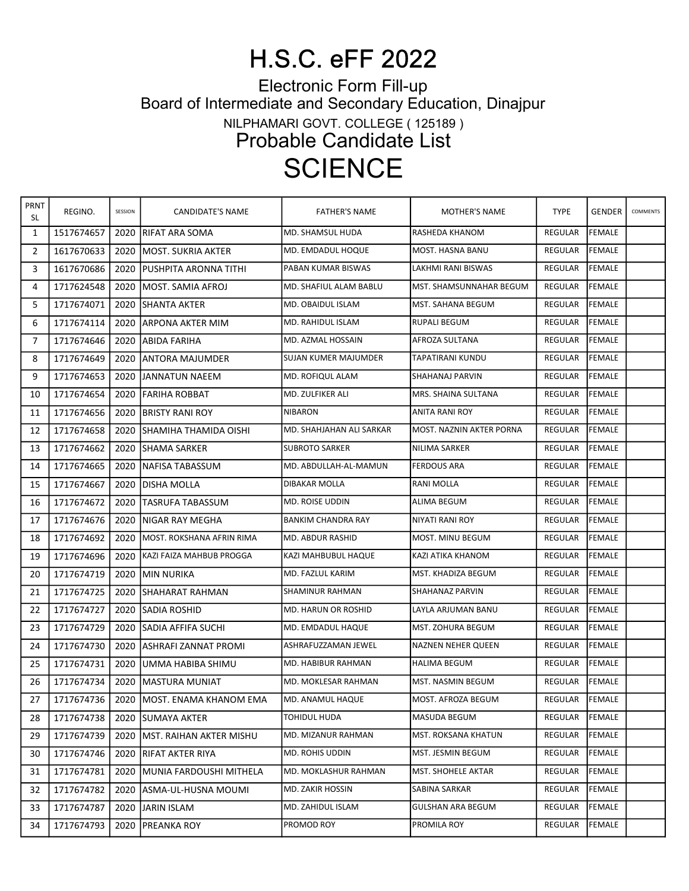## H.S.C. eFF 2022

Electronic Form Fill-up

Board of Intermediate and Secondary Education, Dinajpur

NILPHAMARI GOVT. COLLEGE ( 125189 )

Probable Candidate List

## **SCIENCE**

| PRNT<br>SL | REGINO.    | SESSION | CANDIDATE'S NAME                           | <b>FATHER'S NAME</b>     | MOTHER'S NAME             | <b>TYPE</b>    | <b>GENDER</b> | COMMENTS |
|------------|------------|---------|--------------------------------------------|--------------------------|---------------------------|----------------|---------------|----------|
| 1          | 1517674657 | 2020    | <b>IRIFAT ARA SOMA</b>                     | MD. SHAMSUL HUDA         | RASHEDA KHANOM            | REGULAR        | <b>FEMALE</b> |          |
| 2          | 1617670633 | 2020    | <b>IMOST. SUKRIA AKTER</b>                 | MD. EMDADUL HOQUE        | MOST. HASNA BANU          | <b>REGULAR</b> | <b>FEMALE</b> |          |
| 3          | 1617670686 | 2020    | <b>IPUSHPITA ARONNA TITHI</b>              | PABAN KUMAR BISWAS       | LAKHMI RANI BISWAS        | <b>REGULAR</b> | <b>FEMALE</b> |          |
| 4          | 1717624548 | 2020    | IMOST. SAMIA AFROJ                         | MD. SHAFIUL ALAM BABLU   | MST. SHAMSUNNAHAR BEGUM   | REGULAR        | FEMALE        |          |
| 5          | 1717674071 | 2020    | <b>ISHANTA AKTER</b>                       | MD. OBAIDUL ISLAM        | MST. SAHANA BEGUM         | REGULAR        | <b>FEMALE</b> |          |
| 6          | 1717674114 | 2020    | JARPONA AKTER MIM                          | MD. RAHIDUL ISLAM        | RUPALI BEGUM              | <b>REGULAR</b> | FEMALE        |          |
| 7          | 1717674646 | 2020    | <b>JABIDA FARIHA</b>                       | MD. AZMAL HOSSAIN        | AFROZA SULTANA            | REGULAR        | FEMALE        |          |
| 8          | 1717674649 | 2020    | <b>JANTORA MAJUMDER</b>                    | ISUJAN KUMER MAJUMDER    | TAPATIRANI KUNDU          | <b>REGULAR</b> | <b>FEMALE</b> |          |
| 9          | 1717674653 | 2020    | <b>IJANNATUN NAEEM</b>                     | MD. ROFIQUL ALAM         | SHAHANAJ PARVIN           | <b>REGULAR</b> | <b>FEMALE</b> |          |
| 10         | 1717674654 | 2020    | <b>IFARIHA ROBBAT</b>                      | MD. ZULFIKER ALI         | MRS. SHAINA SULTANA       | REGULAR        | FEMALE        |          |
| 11         | 1717674656 | 2020    | <b>BRISTY RANI ROY</b>                     | NIBARON                  | <b>ANITA RANI ROY</b>     | <b>REGULAR</b> | <b>FEMALE</b> |          |
| 12         | 1717674658 | 2020    | ISHAMIHA THAMIDA OISHI                     | MD. SHAHJAHAN ALI SARKAR | MOST. NAZNIN AKTER PORNA  | REGULAR        | <b>FEMALE</b> |          |
| 13         | 1717674662 | 2020    | <b>ISHAMA SARKER</b>                       | <b>SUBROTO SARKER</b>    | <b>NILIMA SARKER</b>      | REGULAR        | FEMALE        |          |
| 14         | 1717674665 | 2020    | <b>INAFISA TABASSUM</b>                    | MD. ABDULLAH-AL-MAMUN    | <b>FERDOUS ARA</b>        | <b>REGULAR</b> | <b>FEMALE</b> |          |
| 15         | 1717674667 | 2020    | <b>IDISHA MOLLA</b>                        | DIBAKAR MOLLA            | <b>RANI MOLLA</b>         | <b>REGULAR</b> | <b>FEMALE</b> |          |
| 16         | 1717674672 | 2020    | <b>ITASRUFA TABASSUM</b>                   | <b>MD. ROISE UDDIN</b>   | ALIMA BEGUM               | REGULAR        | FEMALE        |          |
| 17         | 1717674676 | 2020    | INIGAR RAY MEGHA                           | BANKIM CHANDRA RAY       | NIYATI RANI ROY           | REGULAR        | FEMALE        |          |
| 18         | 1717674692 | 2020    | MOST. ROKSHANA AFRIN RIMA                  | MD. ABDUR RASHID         | MOST. MINU BEGUM          | REGULAR        | <b>FEMALE</b> |          |
| 19         | 1717674696 | 2020    | <b>KAZI FAIZA MAHBUB PROGGA</b>            | KAZI MAHBUBUL HAQUE      | KAZI ATIKA KHANOM         | REGULAR        | FEMALE        |          |
| 20         | 1717674719 | 2020    | <b>IMIN NURIKA</b>                         | MD. FAZLUL KARIM         | MST. KHADIZA BEGUM        | <b>REGULAR</b> | <b>FEMALE</b> |          |
| 21         | 1717674725 | 2020    | <b>ISHAHARAT RAHMAN</b>                    | <b>SHAMINUR RAHMAN</b>   | SHAHANAZ PARVIN           | <b>REGULAR</b> | <b>FEMALE</b> |          |
| 22         | 1717674727 | 2020    | <b>SADIA ROSHID</b>                        | MD. HARUN OR ROSHID      | LAYLA ARJUMAN BANU        | REGULAR        | FEMALE        |          |
| 23         | 1717674729 | 2020    | <b>SADIA AFFIFA SUCHI</b>                  | MD. EMDADUL HAQUE        | MST. ZOHURA BEGUM         | REGULAR        | FEMALE        |          |
| 24         | 1717674730 | 2020    | <b>JASHRAFI ZANNAT PROMI</b>               | ASHRAFUZZAMAN JEWEL      | <b>NAZNEN NEHER QUEEN</b> | REGULAR        | <b>FEMALE</b> |          |
| 25         | 1717674731 | 2020    | JUMMA HABIBA SHIMU                         | MD. HABIBUR RAHMAN       | HALIMA BEGUM              | REGULAR        | FEMALE        |          |
| 26         | 1717674734 | 2020    | <b>IMASTURA MUNIAT</b>                     | MD. MOKLESAR RAHMAN      | MST. NASMIN BEGUM         | <b>REGULAR</b> | FEMALE        |          |
| 27         |            |         | 1717674736   2020   MOST. ENAMA KHANOM EMA | MD. ANAMUL HAQUE         | MOST. AFROZA BEGUM        | REGULAR FEMALE |               |          |
| 28         | 1717674738 |         | 2020 ISUMAYA AKTER                         | TOHIDUL HUDA             | MASUDA BEGUM              | REGULAR        | FEMALE        |          |
| 29         | 1717674739 | 2020    | <b>IMST. RAIHAN AKTER MISHU</b>            | MD. MIZANUR RAHMAN       | MST. ROKSANA KHATUN       | REGULAR        | <b>FEMALE</b> |          |
| 30         | 1717674746 | 2020    | <b>IRIFAT AKTER RIYA</b>                   | MD. ROHIS UDDIN          | MST. JESMIN BEGUM         | REGULAR        | <b>FEMALE</b> |          |
| 31         | 1717674781 | 2020    | <b>IMUNIA FARDOUSHI MITHELA</b>            | MD. MOKLASHUR RAHMAN     | MST. SHOHELE AKTAR        | REGULAR        | FEMALE        |          |
| 32         | 1717674782 | 2020    | JASMA-UL-HUSNA MOUMI                       | MD. ZAKIR HOSSIN         | SABINA SARKAR             | REGULAR        | <b>FEMALE</b> |          |
| 33         | 1717674787 | 2020    | JJARIN ISLAM                               | MD. ZAHIDUL ISLAM        | <b>GULSHAN ARA BEGUM</b>  | REGULAR        | <b>FEMALE</b> |          |
| 34         | 1717674793 | 2020    | <b>PREANKA ROY</b>                         | PROMOD ROY               | PROMILA ROY               | REGULAR        | FEMALE        |          |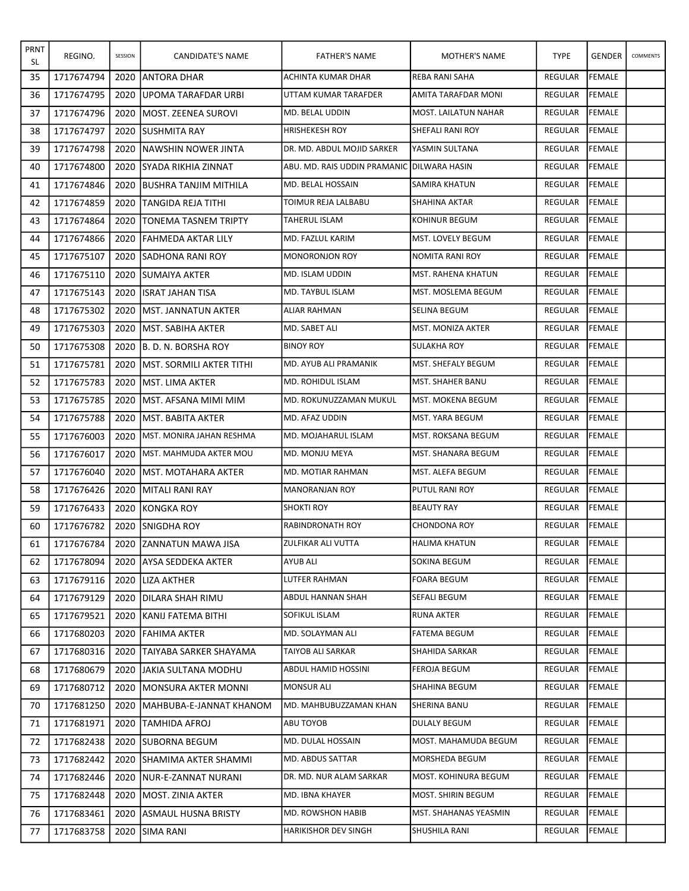| PRNT<br>SL | REGINO.    | SESSION | CANDIDATE'S NAME                 | <b>FATHER'S NAME</b>         | MOTHER'S NAME         | <b>TYPE</b>    | <b>GENDER</b>  | COMMENTS |
|------------|------------|---------|----------------------------------|------------------------------|-----------------------|----------------|----------------|----------|
| 35         | 1717674794 | 2020    | <b>JANTORA DHAR</b>              | ACHINTA KUMAR DHAR           | REBA RANI SAHA        | <b>REGULAR</b> | FEMALE         |          |
| 36         | 1717674795 | 2020    | <b>JUPOMA TARAFDAR URBI</b>      | UTTAM KUMAR TARAFDER         | AMITA TARAFDAR MONI   | <b>REGULAR</b> | <b>FEMALE</b>  |          |
| 37         | 1717674796 | 2020    | <b>MOST. ZEENEA SUROVI</b>       | MD. BELAL UDDIN              | MOST. LAILATUN NAHAR  | <b>REGULAR</b> | FEMALE         |          |
| 38         | 1717674797 | 2020    | <b>ISUSHMITA RAY</b>             | <b>HRISHEKESH ROY</b>        | SHEFALI RANI ROY      | REGULAR        | FEMALE         |          |
| 39         | 1717674798 | 2020    | INAWSHIN NOWER JINTA             | DR. MD. ABDUL MOJID SARKER   | YASMIN SULTANA        | REGULAR        | FEMALE         |          |
| 40         | 1717674800 | 2020    | ISYADA RIKHIA ZINNAT             | ABU. MD. RAIS UDDIN PRAMANIC | DILWARA HASIN         | <b>REGULAR</b> | <b>FEMALE</b>  |          |
| 41         | 1717674846 | 2020    | <b>IBUSHRA TANJIM MITHILA</b>    | MD. BELAL HOSSAIN            | SAMIRA KHATUN         | <b>REGULAR</b> | <b>FEMALE</b>  |          |
| 42         | 1717674859 | 2020    | ITANGIDA REJA TITHI              | TOIMUR REJA LALBABU          | ISHAHINA AKTAR        | REGULAR        | <b>FEMALE</b>  |          |
| 43         | 1717674864 | 2020    | ITONEMA TASNEM TRIPTY            | TAHERUL ISLAM                | KOHINUR BEGUM         | <b>REGULAR</b> | FEMALE         |          |
| 44         | 1717674866 | 2020    | <b>FAHMEDA AKTAR LILY</b>        | MD. FAZLUL KARIM             | MST. LOVELY BEGUM     | REGULAR        | FEMALE         |          |
| 45         | 1717675107 | 2020    | <b>ISADHONA RANI ROY</b>         | MONORONJON ROY               | NOMITA RANI ROY       | REGULAR        | FEMALE         |          |
| 46         | 1717675110 | 2020    | <b>ISUMAIYA AKTER</b>            | <b>MD. ISLAM UDDIN</b>       | MST. RAHENA KHATUN    | <b>REGULAR</b> | <b>FEMALE</b>  |          |
| 47         | 1717675143 | 2020    | IISRAT JAHAN TISA                | MD. TAYBUL ISLAM             | MST. MOSLEMA BEGUM    | REGULAR        | <b>FEMALE</b>  |          |
| 48         | 1717675302 | 2020    | <b>IMST. JANNATUN AKTER</b>      | ALIAR RAHMAN                 | SELINA BEGUM          | REGULAR        | <b>FEMALE</b>  |          |
| 49         | 1717675303 | 2020    | IMST. SABIHA AKTER               | MD. SABET ALI                | MST. MONIZA AKTER     | <b>REGULAR</b> | <b>FEMALE</b>  |          |
| 50         | 1717675308 | 2020    | B. D. N. BORSHA ROY              | <b>BINOY ROY</b>             | SULAKHA ROY           | <b>REGULAR</b> | <b>FEMALE</b>  |          |
| 51         | 1717675781 | 2020    | <b>IMST. SORMILI AKTER TITHI</b> | MD. AYUB ALI PRAMANIK        | lMST. SHEFALY BEGUM   | <b>REGULAR</b> | FEMALE         |          |
| 52         | 1717675783 | 2020    | <b>IMST. LIMA AKTER</b>          | MD. ROHIDUL ISLAM            | MST. SHAHER BANU      | <b>REGULAR</b> | <b>FEMALE</b>  |          |
| 53         | 1717675785 | 2020    | IMST. AFSANA MIMI MIM            | MD. ROKUNUZZAMAN MUKUL       | MST. MOKENA BEGUM     | REGULAR        | FEMALE         |          |
| 54         | 1717675788 | 2020    | <b>IMST. BABITA AKTER</b>        | MD. AFAZ UDDIN               | MST. YARA BEGUM       | <b>REGULAR</b> | FEMALE         |          |
| 55         | 1717676003 | 2020    | MST. MONIRA JAHAN RESHMA         | MD. MOJAHARUL ISLAM          | MST. ROKSANA BEGUM    | REGULAR        | FEMALE         |          |
| 56         | 1717676017 | 2020    | <b>IMST. MAHMUDA AKTER MOU</b>   | MD. MONJU MEYA               | MST. SHANARA BEGUM    | REGULAR        | FEMALE         |          |
| 57         | 1717676040 | 2020    | <b>IMST. MOTAHARA AKTER</b>      | MD. MOTIAR RAHMAN            | MST. ALEFA BEGUM      | REGULAR        | FEMALE         |          |
| 58         | 1717676426 | 2020    | MITALI RANI RAY                  | <b>MANORANJAN ROY</b>        | PUTUL RANI ROY        | REGULAR        | <b>FEMALE</b>  |          |
| 59         | 1717676433 | 2020    | IKONGKA ROY                      | <b>SHOKTI ROY</b>            | <b>BEAUTY RAY</b>     | <b>REGULAR</b> | FEMALE         |          |
| 60         | 1717676782 |         | 2020 ISNIGDHA ROY                | <b>RABINDRONATH ROY</b>      | <b>CHONDONA ROY</b>   | REGULAR        | <b>FEMALE</b>  |          |
| 61         | 1717676784 |         | 2020 ZANNATUN MAWA JISA          | ZULFIKAR ALI VUTTA           | <b>HALIMA KHATUN</b>  | REGULAR FEMALE |                |          |
| 62         | 1717678094 |         | 2020 JAYSA SEDDEKA AKTER         | AYUB ALI                     | SOKINA BEGUM          | REGULAR        | <b>IFEMALE</b> |          |
| 63         | 1717679116 |         | 2020 ILIZA AKTHER                | LUTFER RAHMAN                | FOARA BEGUM           | REGULAR        | FEMALE         |          |
| 64         | 1717679129 |         | 2020 JDILARA SHAH RIMU           | ABDUL HANNAN SHAH            | SEFALI BEGUM          | <b>REGULAR</b> | <b>FEMALE</b>  |          |
| 65         | 1717679521 | 2020    | <b>IKANIJ FATEMA BITHI</b>       | SOFIKUL ISLAM                | RUNA AKTER            | <b>REGULAR</b> | FEMALE         |          |
| 66         | 1717680203 |         | 2020   FAHIMA AKTER              | MD. SOLAYMAN ALI             | <b>FATEMA BEGUM</b>   | REGULAR        | FEMALE         |          |
| 67         | 1717680316 |         | 2020   TAIYABA SARKER SHAYAMA    | TAIYOB ALI SARKAR            | SHAHIDA SARKAR        | REGULAR        | <b>FEMALE</b>  |          |
| 68         | 1717680679 |         | 2020 JJAKIA SULTANA MODHU        | ABDUL HAMID HOSSINI          | FEROJA BEGUM          | REGULAR        | FEMALE         |          |
| 69         | 1717680712 |         | 2020   MONSURA AKTER MONNI       | MONSUR ALI                   | SHAHINA BEGUM         | REGULAR        | FEMALE         |          |
| 70         | 1717681250 |         | 2020   MAHBUBA-E-JANNAT KHANOM   | MD. MAHBUBUZZAMAN KHAN       | SHERINA BANU          | REGULAR        | <b>FEMALE</b>  |          |
| 71         | 1717681971 |         | 2020   TAMHIDA AFROJ             | ABU TOYOB                    | DULALY BEGUM          | REGULAR        | <b>FEMALE</b>  |          |
| 72         | 1717682438 |         | 2020 SUBORNA BEGUM               | MD. DULAL HOSSAIN            | MOST. MAHAMUDA BEGUM  | REGULAR        | <b>FEMALE</b>  |          |
| 73         | 1717682442 |         | 2020 SHAMIMA AKTER SHAMMI        | MD. ABDUS SATTAR             | MORSHEDA BEGUM        | REGULAR        | FEMALE         |          |
| 74         | 1717682446 |         | 2020 INUR-E-ZANNAT NURANI        | DR. MD. NUR ALAM SARKAR      | MOST. KOHINURA BEGUM  | REGULAR        | <b>FEMALE</b>  |          |
| 75         | 1717682448 |         | 2020   MOST. ZINIA AKTER         | MD. IBNA KHAYER              | MOST. SHIRIN BEGUM    | REGULAR        | FEMALE         |          |
| 76         | 1717683461 |         | 2020 ASMAUL HUSNA BRISTY         | MD. ROWSHON HABIB            | MST. SHAHANAS YEASMIN | REGULAR        | FEMALE         |          |
| 77         | 1717683758 |         | 2020 ISIMA RANI                  | HARIKISHOR DEV SINGH         | SHUSHILA RANI         | REGULAR        | FEMALE         |          |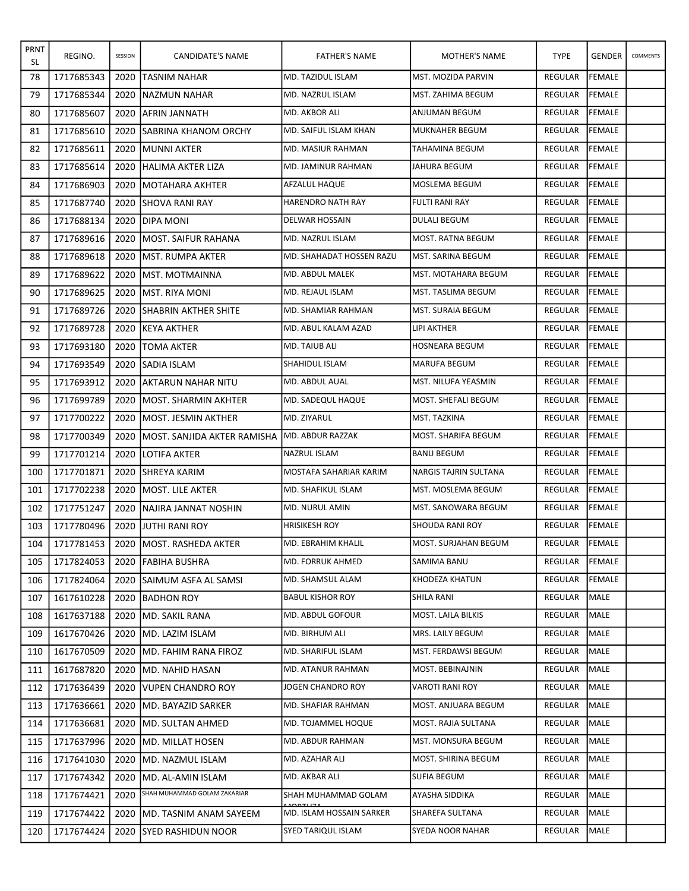| PRNT<br>SL | REGINO.    | SESSION | CANDIDATE'S NAME                        | <b>FATHER'S NAME</b>     | <b>MOTHER'S NAME</b>       | <b>TYPE</b>    | <b>GENDER</b> | COMMENTS |
|------------|------------|---------|-----------------------------------------|--------------------------|----------------------------|----------------|---------------|----------|
| 78         | 1717685343 | 2020    | ITASNIM NAHAR                           | MD. TAZIDUL ISLAM        | MST. MOZIDA PARVIN         | REGULAR        | <b>FEMALE</b> |          |
| 79         | 1717685344 |         | 2020 INAZMUN NAHAR                      | MD. NAZRUL ISLAM         | MST. ZAHIMA BEGUM          | REGULAR        | <b>FEMALE</b> |          |
| 80         | 1717685607 | 2020    | IAFRIN JANNATH                          | MD. AKBOR ALI            | ANJUMAN BEGUM              | REGULAR        | <b>FEMALE</b> |          |
| 81         | 1717685610 | 2020    | ISABRINA KHANOM ORCHY                   | MD. SAIFUL ISLAM KHAN    | <b>MUKNAHER BEGUM</b>      | REGULAR        | FEMALE        |          |
| 82         | 1717685611 | 2020    | <b>IMUNNI AKTER</b>                     | MD. MASIUR RAHMAN        | TAHAMINA BEGUM             | REGULAR        | FEMALE        |          |
| 83         | 1717685614 | 2020    | İHALIMA AKTER LIZA                      | MD. JAMINUR RAHMAN       | JAHURA BEGUM               | REGULAR        | <b>FEMALE</b> |          |
| 84         | 1717686903 | 2020    | <b>IMOTAHARA AKHTER</b>                 | AFZALUL HAQUE            | MOSLEMA BEGUM              | REGULAR        | FEMALE        |          |
| 85         | 1717687740 |         | 2020 ISHOVA RANI RAY                    | HARENDRO NATH RAY        | FULTI RANI RAY             | REGULAR        | <b>FEMALE</b> |          |
| 86         | 1717688134 | 2020    | IDIPA MONI                              | <b>DELWAR HOSSAIN</b>    | <b>DULALI BEGUM</b>        | REGULAR        | <b>FEMALE</b> |          |
| 87         | 1717689616 | 2020    | IMOST. SAIFUR RAHANA                    | MD. NAZRUL ISLAM         | MOST. RATNA BEGUM          | REGULAR        | FEMALE        |          |
| 88         | 1717689618 |         | 2020 JMST. RUMPA AKTER                  | MD. SHAHADAT HOSSEN RAZU | MST. SARINA BEGUM          | REGULAR        | FEMALE        |          |
| 89         | 1717689622 | 2020    | <b>MST. MOTMAINNA</b>                   | <b>MD. ABDUL MALEK</b>   | MST. MOTAHARA BEGUM        | REGULAR        | FEMALE        |          |
| 90         | 1717689625 | 2020    | IMST. RIYA MONI                         | MD. REJAUL ISLAM         | MST. TASLIMA BEGUM         | REGULAR        | <b>FEMALE</b> |          |
| 91         | 1717689726 | 2020    | <b>ISHABRIN AKTHER SHITE</b>            | MD. SHAMIAR RAHMAN       | MST. SURAIA BEGUM          | REGULAR        | <b>FEMALE</b> |          |
| 92         | 1717689728 | 2020    | IKEYA AKTHER                            | MD. ABUL KALAM AZAD      | LIPI AKTHER                | REGULAR        | <b>FEMALE</b> |          |
| 93         | 1717693180 | 2020    | TOMA AKTER                              | MD. TAIUB ALI            | <b>HOSNEARA BEGUM</b>      | REGULAR        | FEMALE        |          |
| 94         | 1717693549 | 2020    | <b>SADIA ISLAM</b>                      | <b>SHAHIDUL ISLAM</b>    | lMARUFA BEGUM              | <b>REGULAR</b> | FEMALE        |          |
| 95         | 1717693912 | 2020    | AKTARUN NAHAR NITU                      | MD. ABDUL AUAL           | MST. NILUFA YEASMIN        | REGULAR        | <b>FEMALE</b> |          |
| 96         | 1717699789 | 2020    | IMOST. SHARMIN AKHTER                   | MD. SADEQUL HAQUE        | MOST. SHEFALI BEGUM        | REGULAR        | FEMALE        |          |
| 97         | 1717700222 | 2020    | <b>IMOST. JESMIN AKTHER</b>             | MD. ZIYARUL              | MST. TAZKINA               | REGULAR        | FEMALE        |          |
| 98         | 1717700349 | 2020    | IMOST. SANJIDA AKTER RAMISHA            | MD. ABDUR RAZZAK         | <b>MOST. SHARIFA BEGUM</b> | REGULAR        | <b>FEMALE</b> |          |
| 99         | 1717701214 | 2020    | LOTIFA AKTER                            | <b>NAZRUL ISLAM</b>      | <b>BANU BEGUM</b>          | REGULAR        | FEMALE        |          |
| 100        | 1717701871 | 2020    | <b>SHREYA KARIM</b>                     | MOSTAFA SAHARIAR KARIM   | NARGIS TAJRIN SULTANA      | REGULAR        | FEMALE        |          |
| 101        | 1717702238 | 2020    | lmost. Lile akter                       | MD. SHAFIKUL ISLAM       | MST. MOSLEMA BEGUM         | REGULAR        | <b>FEMALE</b> |          |
| 102        | 1717751247 | 2020    | INAJIRA JANNAT NOSHIN                   | MD. NURUL AMIN           | MST. SANOWARA BEGUM        | <b>REGULAR</b> | FEMALE        |          |
| 103        | 1717780496 |         | 2020 JJUTHI RANI ROY                    | <b>HRISIKESH ROY</b>     | <b>SHOUDA RANI ROY</b>     | REGULAR        | <b>FEMALE</b> |          |
| 104        |            |         | 1717781453   2020   MOST. RASHEDA AKTER | MD. EBRAHIM KHALIL       | MOST. SURJAHAN BEGUM       | REGULAR FEMALE |               |          |
| 105        | 1717824053 |         | 2020 FABIHA BUSHRA                      | MD. FORRUK AHMED         | SAMIMA BANU                | REGULAR        | <b>FEMALE</b> |          |
| 106        | 1717824064 | 2020    | <b>ISAIMUM ASFA AL SAMSI</b>            | MD. SHAMSUL ALAM         | <b>KHODEZA KHATUN</b>      | <b>REGULAR</b> | <b>FEMALE</b> |          |
| 107        | 1617610228 |         | 2020 BADHON ROY                         | <b>BABUL KISHOR ROY</b>  | SHILA RANI                 | REGULAR        | MALE          |          |
| 108        | 1617637188 |         | 2020 MD. SAKIL RANA                     | MD. ABDUL GOFOUR         | MOST. LAILA BILKIS         | REGULAR        | MALE          |          |
| 109        | 1617670426 |         | 2020 MD. LAZIM ISLAM                    | MD. BIRHUM ALI           | MRS. LAILY BEGUM           | REGULAR        | <b>MALE</b>   |          |
| 110        | 1617670509 | 2020    | <b>IMD. FAHIM RANA FIROZ</b>            | MD. SHARIFUL ISLAM       | MST. FERDAWSI BEGUM        | REGULAR        | MALE          |          |
| 111        | 1617687820 |         | 2020 IMD. NAHID HASAN                   | MD. ATANUR RAHMAN        | MOST. BEBINAJNIN           | REGULAR        | MALE          |          |
| 112        | 1717636439 |         | 2020 VUPEN CHANDRO ROY                  | JOGEN CHANDRO ROY        | VAROTI RANI ROY            | REGULAR        | <b>MALE</b>   |          |
| 113        | 1717636661 |         | 2020   MD. BAYAZID SARKER               | MD. SHAFIAR RAHMAN       | MOST. ANJUARA BEGUM        | REGULAR        | MALE          |          |
| 114        | 1717636681 |         | 2020 JMD. SULTAN AHMED                  | MD. TOJAMMEL HOQUE       | MOST. RAJIA SULTANA        | REGULAR        | MALE          |          |
| 115        | 1717637996 |         | 2020 MD. MILLAT HOSEN                   | MD. ABDUR RAHMAN         | MST. MONSURA BEGUM         | REGULAR        | <b>MALE</b>   |          |
| 116        | 1717641030 | 2020    | MD. NAZMUL ISLAM                        | MD. AZAHAR ALI           | MOST. SHIRINA BEGUM        | REGULAR        | MALE          |          |
| 117        | 1717674342 |         | 2020 JMD. AL-AMIN ISLAM                 | MD. AKBAR ALI            | SUFIA BEGUM                | REGULAR        | MALE          |          |
| 118        | 1717674421 | 2020    | SHAH MUHAMMAD GOLAM ZAKARIAR            | SHAH MUHAMMAD GOLAM      | AYASHA SIDDIKA             | REGULAR        | MALE          |          |
| 119        | 1717674422 | 2020    | IMD. TASNIM ANAM SAYEEM                 | MD. ISLAM HOSSAIN SARKER | SHAREFA SULTANA            | REGULAR        | MALE          |          |
| 120        | 1717674424 |         | 2020 ISYED RASHIDUN NOOR                | SYED TARIQUL ISLAM       | SYEDA NOOR NAHAR           | REGULAR        | MALE          |          |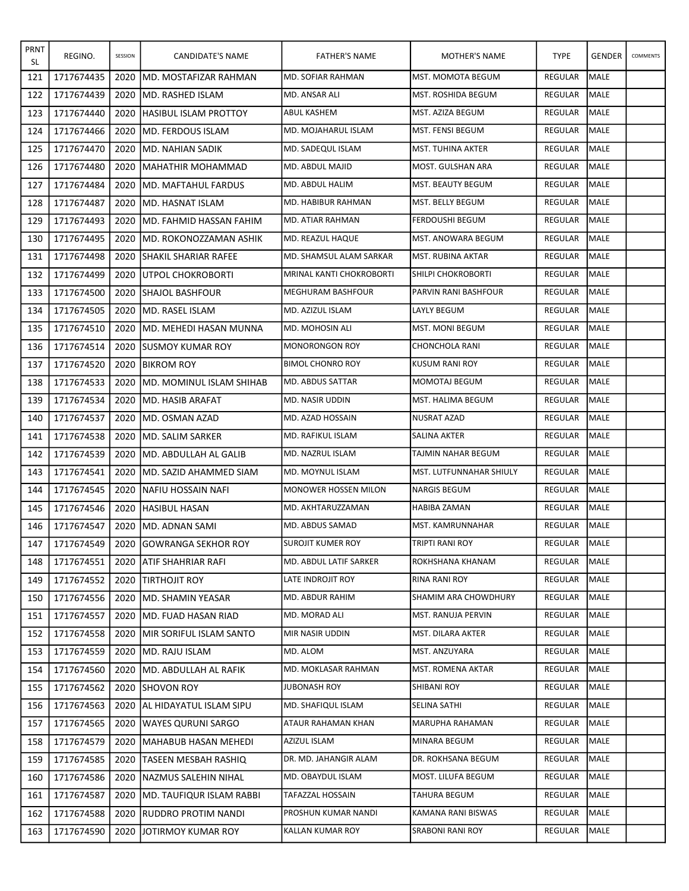| <b>PRNT</b><br>SL | REGINO.    | SESSION | CANDIDATE'S NAME                 | <b>FATHER'S NAME</b>        | MOTHER'S NAME            | <b>TYPE</b>    | <b>GENDER</b> | COMMENTS |
|-------------------|------------|---------|----------------------------------|-----------------------------|--------------------------|----------------|---------------|----------|
| 121               | 1717674435 | 2020    | İMD. MOSTAFIZAR RAHMAN           | MD. SOFIAR RAHMAN           | <b>MST. MOMOTA BEGUM</b> | REGULAR        | <b>MALE</b>   |          |
| 122               | 1717674439 | 2020    | IMD. RASHED ISLAM                | MD. ANSAR ALI               | MST. ROSHIDA BEGUM       | <b>REGULAR</b> | <b>MALE</b>   |          |
| 123               | 1717674440 | 2020    | <b>HASIBUL ISLAM PROTTOY</b>     | ABUL KASHEM                 | MST. AZIZA BEGUM         | <b>REGULAR</b> | <b>MALE</b>   |          |
| 124               | 1717674466 | 2020    | <b>IMD. FERDOUS ISLAM</b>        | MD. MOJAHARUL ISLAM         | MST. FENSI BEGUM         | REGULAR        | <b>MALE</b>   |          |
| 125               | 1717674470 | 2020    | <b>IMD. NAHIAN SADIK</b>         | MD. SADEQUL ISLAM           | MST. TUHINA AKTER        | REGULAR        | <b>MALE</b>   |          |
| 126               | 1717674480 | 2020    | MAHATHIR MOHAMMAD                | MD. ABDUL MAJID             | MOST. GULSHAN ARA        | <b>REGULAR</b> | <b>MALE</b>   |          |
| 127               | 1717674484 | 2020    | <b>IMD. MAFTAHUL FARDUS</b>      | MD. ABDUL HALIM             | MST. BEAUTY BEGUM        | REGULAR        | MALE          |          |
| 128               | 1717674487 | 2020    | <b>JMD. HASNAT ISLAM</b>         | MD. HABIBUR RAHMAN          | MST. BELLY BEGUM         | <b>REGULAR</b> | <b>MALE</b>   |          |
| 129               | 1717674493 | 2020    | IMD. FAHMID HASSAN FAHIM         | MD. ATIAR RAHMAN            | FERDOUSHI BEGUM          | REGULAR        | <b>MALE</b>   |          |
| 130               | 1717674495 | 2020    | IMD. ROKONOZZAMAN ASHIK          | MD. REAZUL HAQUE            | MST. ANOWARA BEGUM       | REGULAR        | <b>MALE</b>   |          |
| 131               | 1717674498 | 2020    | <b>SHAKIL SHARIAR RAFEE</b>      | MD. SHAMSUL ALAM SARKAR     | MST. RUBINA AKTAR        | <b>REGULAR</b> | <b>MALE</b>   |          |
| 132               | 1717674499 | 2020    | <b>JUTPOL CHOKROBORTI</b>        | MRINAL KANTI CHOKROBORTI    | SHILPI CHOKROBORTI       | <b>REGULAR</b> | <b>MALE</b>   |          |
| 133               | 1717674500 | 2020    | <b>ISHAJOL BASHFOUR</b>          | <b>MEGHURAM BASHFOUR</b>    | PARVIN RANI BASHFOUR     | <b>REGULAR</b> | <b>MALE</b>   |          |
| 134               | 1717674505 | 2020    | <b>IMD. RASEL ISLAM</b>          | IMD. AZIZUL ISLAM           | LAYLY BEGUM              | <b>REGULAR</b> | <b>MALE</b>   |          |
| 135               | 1717674510 | 2020    | IMD. MEHEDI HASAN MUNNA          | MD. MOHOSIN ALI             | <b>MST. MONI BEGUM</b>   | <b>REGULAR</b> | <b>MALE</b>   |          |
| 136               | 1717674514 | 2020    | <b>ISUSMOY KUMAR ROY</b>         | <b>MONORONGON ROY</b>       | CHONCHOLA RANI           | REGULAR        | <b>MALE</b>   |          |
| 137               | 1717674520 | 2020    | <b>BIKROM ROY</b>                | <b>BIMOL CHONRO ROY</b>     | <b>KUSUM RANI ROY</b>    | REGULAR        | <b>MALE</b>   |          |
| 138               | 1717674533 | 2020    | MD. MOMINUL ISLAM SHIHAB         | MD. ABDUS SATTAR            | MOMOTAJ BEGUM            | <b>REGULAR</b> | <b>MALE</b>   |          |
| 139               | 1717674534 | 2020    | <b>IMD. HASIB ARAFAT</b>         | MD. NASIR UDDIN             | MST. HALIMA BEGUM        | REGULAR        | <b>MALE</b>   |          |
| 140               | 1717674537 | 2020    | IMD. OSMAN AZAD                  | MD. AZAD HOSSAIN            | <b>NUSRAT AZAD</b>       | REGULAR        | MALE          |          |
| 141               | 1717674538 | 2020    | <b>I</b> MD. SALIM SARKER        | MD. RAFIKUL ISLAM           | SALINA AKTER             | REGULAR        | <b>MALE</b>   |          |
| 142               | 1717674539 | 2020    | IMD. ABDULLAH AL GALIB           | MD. NAZRUL ISLAM            | TAJMIN NAHAR BEGUM       | REGULAR        | <b>MALE</b>   |          |
| 143               | 1717674541 | 2020    | IMD. SAZID AHAMMED SIAM          | MD. MOYNUL ISLAM            | MST. LUTFUNNAHAR SHIULY  | REGULAR        | <b>MALE</b>   |          |
| 144               | 1717674545 | 2020    | INAFIU HOSSAIN NAFI              | <b>MONOWER HOSSEN MILON</b> | <b>NARGIS BEGUM</b>      | REGULAR        | <b>MALE</b>   |          |
| 145               | 1717674546 | 2020    | <b>HASIBUL HASAN</b>             | MD. AKHTARUZZAMAN           | HABIBA ZAMAN             | <b>REGULAR</b> | <b>MALE</b>   |          |
| 146               | 1717674547 | 2020    | IMD. ADNAN SAMI                  | MD. ABDUS SAMAD             | MST. KAMRUNNAHAR         | REGULAR        | MALE          |          |
| 147               | 1717674549 |         | 2020 GOWRANGA SEKHOR ROY         | <b>SUROJIT KUMER ROY</b>    | <b>TRIPTI RANI ROY</b>   | REGULAR MALE   |               |          |
| 148               | 1717674551 |         | 2020 JATIF SHAHRIAR RAFI         | MD. ABDUL LATIF SARKER      | ROKHSHANA KHANAM         | REGULAR        | MALE          |          |
| 149               | 1717674552 | 2020    | <b>ITIRTHOJIT ROY</b>            | LATE INDROJIT ROY           | RINA RANI ROY            | REGULAR        | MALE          |          |
| 150               | 1717674556 | 2020    | <b>JMD. SHAMIN YEASAR</b>        | MD. ABDUR RAHIM             | SHAMIM ARA CHOWDHURY     | REGULAR        | <b>MALE</b>   |          |
| 151               | 1717674557 | 2020    | IMD. FUAD HASAN RIAD             | MD. MORAD ALI               | MST. RANUJA PERVIN       | REGULAR        | MALE          |          |
| 152               | 1717674558 | 2020    | <b>IMIR SORIFUL ISLAM SANTO</b>  | MIR NASIR UDDIN             | MST. DILARA AKTER        | REGULAR        | MALE          |          |
| 153               | 1717674559 | 2020    | IMD. RAJU ISLAM                  | MD. ALOM                    | MST. ANZUYARA            | REGULAR        | MALE          |          |
| 154               | 1717674560 | 2020    | <b>MD. ABDULLAH AL RAFIK</b>     | MD. MOKLASAR RAHMAN         | MST. ROMENA AKTAR        | REGULAR        | MALE          |          |
| 155               | 1717674562 | 2020    | <b>ISHOVON ROY</b>               | <b>JUBONASH ROY</b>         | SHIBANI ROY              | REGULAR        | MALE          |          |
| 156               | 1717674563 | 2020    | <b>JAL HIDAYATUL ISLAM SIPU</b>  | MD. SHAFIQUL ISLAM          | SELINA SATHI             | REGULAR        | <b>MALE</b>   |          |
| 157               | 1717674565 | 2020    | <b>WAYES QURUNI SARGO</b>        | ATAUR RAHAMAN KHAN          | MARUPHA RAHAMAN          | REGULAR        | MALE          |          |
| 158               | 1717674579 | 2020    | MAHABUB HASAN MEHEDI             | AZIZUL ISLAM                | MINARA BEGUM             | REGULAR        | MALE          |          |
| 159               | 1717674585 | 2020    | <b>TASEEN MESBAH RASHIQ</b>      | DR. MD. JAHANGIR ALAM       | DR. ROKHSANA BEGUM       | REGULAR        | <b>MALE</b>   |          |
| 160               | 1717674586 | 2020    | <b>INAZMUS SALEHIN NIHAL</b>     | MD. OBAYDUL ISLAM           | MOST. LILUFA BEGUM       | REGULAR        | MALE          |          |
| 161               | 1717674587 | 2020    | <b>IMD. TAUFIQUR ISLAM RABBI</b> | TAFAZZAL HOSSAIN            | TAHURA BEGUM             | REGULAR        | MALE          |          |
| 162               | 1717674588 | 2020    | <b>RUDDRO PROTIM NANDI</b>       | PROSHUN KUMAR NANDI         | KAMANA RANI BISWAS       | REGULAR        | MALE          |          |
| 163               | 1717674590 |         | 2020 JJOTIRMOY KUMAR ROY         | KALLAN KUMAR ROY            | <b>SRABONI RANI ROY</b>  | REGULAR        | MALE          |          |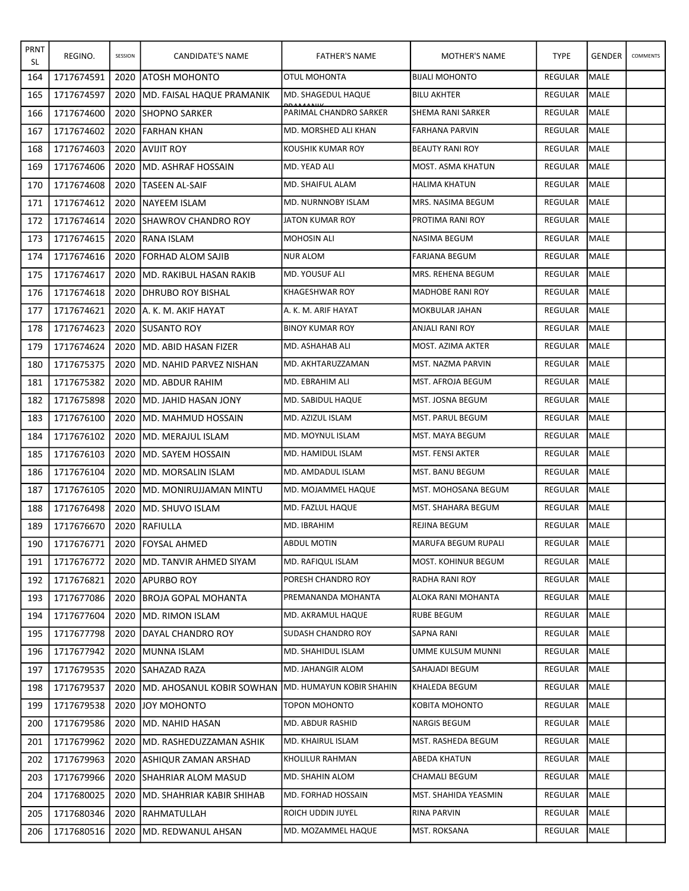| PRNT<br>SL | REGINO.    | SESSION | CANDIDATE'S NAME                                          | <b>FATHER'S NAME</b>      | MOTHER'S NAME           | <b>TYPE</b>    | <b>GENDER</b> | COMMENTS |
|------------|------------|---------|-----------------------------------------------------------|---------------------------|-------------------------|----------------|---------------|----------|
| 164        | 1717674591 | 2020    | <b>LATOSH MOHONTO</b>                                     | <b>OTUL MOHONTA</b>       | <b>BIJALI MOHONTO</b>   | <b>REGULAR</b> | <b>MALE</b>   |          |
| 165        | 1717674597 | 2020    | IMD. FAISAL HAQUE PRAMANIK                                | IMD. SHAGEDUL HAQUE       | <b>BILU AKHTER</b>      | <b>REGULAR</b> | <b>MALE</b>   |          |
| 166        | 1717674600 | 2020    | <b>SHOPNO SARKER</b>                                      | PARIMAL CHANDRO SARKER    | SHEMA RANI SARKER       | <b>REGULAR</b> | <b>MALE</b>   |          |
| 167        | 1717674602 | 2020    | FARHAN KHAN                                               | MD. MORSHED ALI KHAN      | <b>FARHANA PARVIN</b>   | REGULAR        | <b>MALE</b>   |          |
| 168        | 1717674603 | 2020    | <b>JAVIJIT ROY</b>                                        | KOUSHIK KUMAR ROY         | <b>BEAUTY RANI ROY</b>  | <b>REGULAR</b> | <b>MALE</b>   |          |
| 169        | 1717674606 | 2020    | IMD. ASHRAF HOSSAIN                                       | MD. YEAD ALI              | MOST. ASMA KHATUN       | <b>REGULAR</b> | <b>MALE</b>   |          |
| 170        | 1717674608 | 2020    | <b>ITASEEN AL-SAIF</b>                                    | MD. SHAIFUL ALAM          | <b>HALIMA KHATUN</b>    | REGULAR        | <b>MALE</b>   |          |
| 171        | 1717674612 | 2020    | <b>INAYEEM ISLAM</b>                                      | MD. NURNNOBY ISLAM        | MRS. NASIMA BEGUM       | REGULAR        | <b>MALE</b>   |          |
| 172        | 1717674614 | 2020    | <b>ISHAWROV CHANDRO ROY</b>                               | JATON KUMAR ROY           | PROTIMA RANI ROY        | <b>REGULAR</b> | <b>MALE</b>   |          |
| 173        | 1717674615 | 2020    | <b>IRANA ISLAM</b>                                        | <b>MOHOSIN ALI</b>        | NASIMA BEGUM            | REGULAR        | MALE          |          |
| 174        | 1717674616 | 2020    | <b>IFORHAD ALOM SAJIB</b>                                 | NUR ALOM                  | FARJANA BEGUM           | REGULAR        | <b>MALE</b>   |          |
| 175        | 1717674617 | 2020    | IMD. RAKIBUL HASAN RAKIB                                  | MD. YOUSUF ALI            | MRS. REHENA BEGUM       | <b>REGULAR</b> | <b>MALE</b>   |          |
| 176        | 1717674618 | 2020    | <b>JDHRUBO ROY BISHAL</b>                                 | <b>KHAGESHWAR ROY</b>     | <b>MADHOBE RANI ROY</b> | REGULAR        | <b>MALE</b>   |          |
| 177        | 1717674621 |         | 2020 JA. K. M. AKIF HAYAT                                 | A. K. M. ARIF HAYAT       | MOKBULAR JAHAN          | REGULAR        | <b>MALE</b>   |          |
| 178        | 1717674623 | 2020    | <b>ISUSANTO ROY</b>                                       | <b>BINOY KUMAR ROY</b>    | <b>ANJALI RANI ROY</b>  | REGULAR        | <b>MALE</b>   |          |
| 179        | 1717674624 | 2020    | <b>JMD. ABID HASAN FIZER</b>                              | <b>MD. ASHAHAB ALI</b>    | MOST. AZIMA AKTER       | <b>REGULAR</b> | <b>MALE</b>   |          |
| 180        | 1717675375 | 2020    | IMD. NAHID PARVEZ NISHAN                                  | MD. AKHTARUZZAMAN         | MST. NAZMA PARVIN       | <b>REGULAR</b> | <b>MALE</b>   |          |
| 181        | 1717675382 | 2020    | IMD. ABDUR RAHIM                                          | MD. EBRAHIM ALI           | MST. AFROJA BEGUM       | REGULAR        | MALE          |          |
| 182        | 1717675898 | 2020    | IMD. JAHID HASAN JONY                                     | MD. SABIDUL HAQUE         | MST. JOSNA BEGUM        | <b>REGULAR</b> | <b>MALE</b>   |          |
| 183        | 1717676100 | 2020    | IMD. MAHMUD HOSSAIN                                       | MD. AZIZUL ISLAM          | MST. PARUL BEGUM        | <b>REGULAR</b> | <b>MALE</b>   |          |
| 184        | 1717676102 | 2020    | <b>MD. MERAJUL ISLAM</b>                                  | MD. MOYNUL ISLAM          | MST. MAYA BEGUM         | REGULAR        | <b>MALE</b>   |          |
| 185        | 1717676103 | 2020    | <b>IMD. SAYEM HOSSAIN</b>                                 | MD. HAMIDUL ISLAM         | MST. FENSI AKTER        | <b>REGULAR</b> | <b>MALE</b>   |          |
| 186        | 1717676104 | 2020    | <b>MD. MORSALIN ISLAM</b>                                 | MD. AMDADUL ISLAM         | MST. BANU BEGUM         | <b>REGULAR</b> | MALE          |          |
| 187        | 1717676105 | 2020    | IMD. MONIRUJJAMAN MINTU                                   | MD. MOJAMMEL HAQUE        | MST. MOHOSANA BEGUM     | REGULAR        | <b>MALE</b>   |          |
| 188        | 1717676498 | 2020    | IMD. SHUVO ISLAM                                          | MD. FAZLUL HAQUE          | MST. SHAHARA BEGUM      | <b>REGULAR</b> | <b>MALE</b>   |          |
| 189        | 1717676670 |         | 2020 RAFIULLA                                             | MD. IBRAHIM               | REJINA BEGUM            | REGULAR        | MALE          |          |
| 190        | 1717676771 |         | 2020   FOYSAL AHMED                                       | ABDUL MOTIN               | MARUFA BEGUM RUPALI     | REGULAR   MALE |               |          |
| 191        | 1717676772 |         | 2020 JMD. TANVIR AHMED SIYAM                              | MD. RAFIQUL ISLAM         | MOST. KOHINUR BEGUM     | REGULAR        | MALE          |          |
| 192        | 1717676821 |         | 2020 APURBO ROY                                           | PORESH CHANDRO ROY        | RADHA RANI ROY          | REGULAR        | MALE          |          |
| 193        | 1717677086 |         | 2020 BROJA GOPAL MOHANTA                                  | PREMANANDA MOHANTA        | ALOKA RANI MOHANTA      | REGULAR        | <b>MALE</b>   |          |
| 194        | 1717677604 |         | 2020 IMD. RIMON ISLAM                                     | MD. AKRAMUL HAQUE         | RUBE BEGUM              | REGULAR        | MALE          |          |
| 195        | 1717677798 |         | 2020 DAYAL CHANDRO ROY                                    | <b>SUDASH CHANDRO ROY</b> | SAPNA RANI              | REGULAR        | MALE          |          |
| 196        | 1717677942 |         | 2020 MUNNA ISLAM                                          | MD. SHAHIDUL ISLAM        | UMME KULSUM MUNNI       | REGULAR        | <b>MALE</b>   |          |
| 197        | 1717679535 |         | 2020 SAHAZAD RAZA                                         | MD. JAHANGIR ALOM         | SAHAJADI BEGUM          | REGULAR        | <b>MALE</b>   |          |
| 198        | 1717679537 |         | 2020 IMD. AHOSANUL KOBIR SOWHAN IMD. HUMAYUN KOBIR SHAHIN |                           | KHALEDA BEGUM           | REGULAR        | MALE          |          |
| 199        | 1717679538 |         | 2020 JJOY MOHONTO                                         | TOPON MOHONTO             | KOBITA MOHONTO          | REGULAR        | MALE          |          |
| 200        | 1717679586 |         | 2020 MD. NAHID HASAN                                      | MD. ABDUR RASHID          | NARGIS BEGUM            | REGULAR        | MALE          |          |
| 201        | 1717679962 |         | 2020   MD. RASHEDUZZAMAN ASHIK                            | MD. KHAIRUL ISLAM         | MST. RASHEDA BEGUM      | REGULAR        | MALE          |          |
| 202        | 1717679963 |         | 2020 ASHIQUR ZAMAN ARSHAD                                 | KHOLILUR RAHMAN           | ABEDA KHATUN            | REGULAR        | MALE          |          |
| 203        | 1717679966 |         | 2020 SHAHRIAR ALOM MASUD                                  | MD. SHAHIN ALOM           | CHAMALI BEGUM           | REGULAR        | MALE          |          |
| 204        | 1717680025 |         | 2020 JMD. SHAHRIAR KABIR SHIHAB                           | MD. FORHAD HOSSAIN        | MST. SHAHIDA YEASMIN    | REGULAR        | <b>MALE</b>   |          |
| 205        | 1717680346 | 2020    | <b>IRAHMATULLAH</b>                                       | ROICH UDDIN JUYEL         | RINA PARVIN             | REGULAR        | <b>MALE</b>   |          |
| 206        | 1717680516 |         | 2020 JMD. REDWANUL AHSAN                                  | MD. MOZAMMEL HAQUE        | <b>MST. ROKSANA</b>     | REGULAR        | MALE          |          |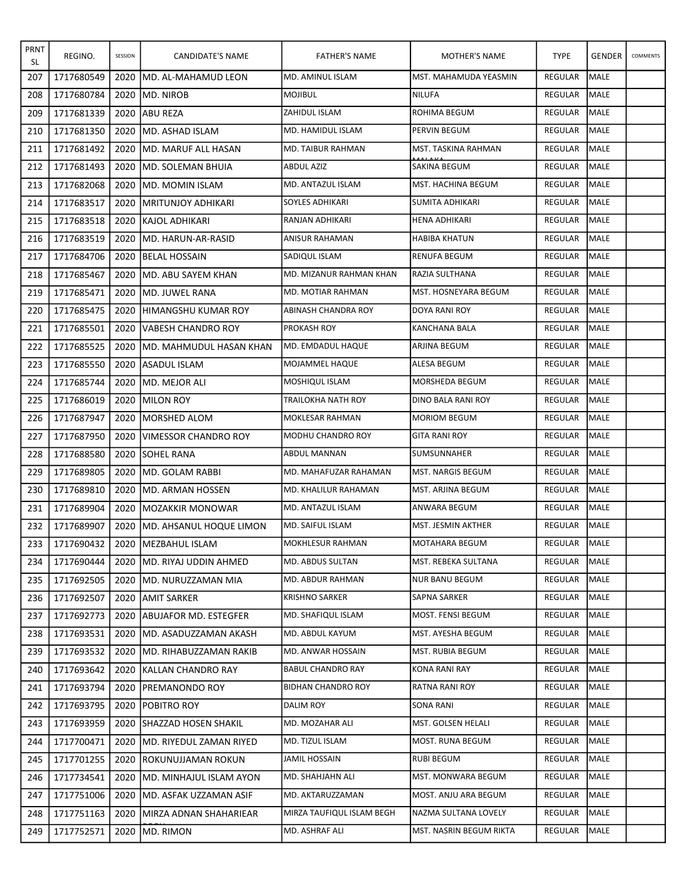| <b>PRNT</b><br>SL | REGINO.    | SESSION | CANDIDATE'S NAME               | <b>FATHER'S NAME</b>      | MOTHER'S NAME            | <b>TYPE</b>    | <b>GENDER</b> | COMMENTS |
|-------------------|------------|---------|--------------------------------|---------------------------|--------------------------|----------------|---------------|----------|
| 207               | 1717680549 | 2020    | IMD. AL-MAHAMUD LEON           | MD. AMINUL ISLAM          | MST. MAHAMUDA YEASMIN    | <b>REGULAR</b> | <b>MALE</b>   |          |
| 208               | 1717680784 | 2020    | IMD. NIROB                     | <b>MOJIBUL</b>            | <b>NILUFA</b>            | REGULAR        | <b>MALE</b>   |          |
| 209               | 1717681339 | 2020    | <b>ABU REZA</b>                | <b>ZAHIDUL ISLAM</b>      | ROHIMA BEGUM             | <b>REGULAR</b> | <b>MALE</b>   |          |
| 210               | 1717681350 | 2020    | MD. ASHAD ISLAM                | MD. HAMIDUL ISLAM         | PERVIN BEGUM             | REGULAR        | <b>MALE</b>   |          |
| 211               | 1717681492 | 2020    | IMD. MARUF ALL HASAN           | MD. TAIBUR RAHMAN         | MST. TASKINA RAHMAN      | <b>REGULAR</b> | <b>MALE</b>   |          |
| 212               | 1717681493 | 2020    | <b>IMD. SOLEMAN BHUIA</b>      | <b>ABDUL AZIZ</b>         | SAKINA BEGUM             | <b>REGULAR</b> | <b>MALE</b>   |          |
| 213               | 1717682068 | 2020    | IMD. MOMIN ISLAM               | MD. ANTAZUL ISLAM         | MST. HACHINA BEGUM       | REGULAR        | MALE          |          |
| 214               | 1717683517 | 2020    | <b>IMRITUNJOY ADHIKARI</b>     | <b>SOYLES ADHIKARI</b>    | SUMITA ADHIKARI          | <b>REGULAR</b> | <b>MALE</b>   |          |
| 215               | 1717683518 | 2020    | KAJOL ADHIKARI                 | RANJAN ADHIKARI           | <b>HENA ADHIKARI</b>     | <b>REGULAR</b> | <b>MALE</b>   |          |
| 216               | 1717683519 | 2020    | IMD. HARUN-AR-RASID            | ANISUR RAHAMAN            | <b>HABIBA KHATUN</b>     | REGULAR        | <b>MALE</b>   |          |
| 217               | 1717684706 | 2020    | <b>IBELAL HOSSAIN</b>          | SADIQUL ISLAM             | <b>RENUFA BEGUM</b>      | <b>REGULAR</b> | <b>MALE</b>   |          |
| 218               | 1717685467 | 2020    | <b>MD. ABU SAYEM KHAN</b>      | MD. MIZANUR RAHMAN KHAN   | RAZIA SULTHANA           | <b>REGULAR</b> | <b>MALE</b>   |          |
| 219               | 1717685471 | 2020    | IMD. JUWEL RANA                | MD. MOTIAR RAHMAN         | MST. HOSNEYARA BEGUM     | <b>REGULAR</b> | <b>MALE</b>   |          |
| 220               | 1717685475 | 2020    | <b>HIMANGSHU KUMAR ROY</b>     | ABINASH CHANDRA ROY       | <b>DOYA RANI ROY</b>     | <b>REGULAR</b> | <b>MALE</b>   |          |
| 221               | 1717685501 | 2020    | <b>IVABESH CHANDRO ROY</b>     | <b>PROKASH ROY</b>        | KANCHANA BALA            | <b>REGULAR</b> | <b>MALE</b>   |          |
| 222               | 1717685525 | 2020    | IMD. MAHMUDUL HASAN KHAN       | MD. EMDADUL HAQUE         | ARJINA BEGUM             | <b>REGULAR</b> | MALE          |          |
| 223               | 1717685550 | 2020    | <b>JASADUL ISLAM</b>           | MOJAMMEL HAQUE            | ALESA BEGUM              | <b>REGULAR</b> | <b>MALE</b>   |          |
| 224               | 1717685744 | 2020    | IMD. MEJOR ALI                 | MOSHIQUL ISLAM            | MORSHEDA BEGUM           | REGULAR        | <b>MALE</b>   |          |
| 225               | 1717686019 | 2020    | <b>IMILON ROY</b>              | TRAILOKHA NATH ROY        | DINO BALA RANI ROY       | REGULAR        | <b>I</b> MALE |          |
| 226               | 1717687947 | 2020    | <b>IMORSHED ALOM</b>           | MOKLESAR RAHMAN           | <b>MORIOM BEGUM</b>      | REGULAR        | <b>MALE</b>   |          |
| 227               | 1717687950 | 2020    | VIMESSOR CHANDRO ROY           | MODHU CHANDRO ROY         | <b>GITA RANI ROY</b>     | REGULAR        | <b>MALE</b>   |          |
| 228               | 1717688580 | 2020    | <b>SOHEL RANA</b>              | ABDUL MANNAN              | SUMSUNNAHER              | REGULAR        | <b>I</b> MALE |          |
| 229               | 1717689805 | 2020    | <b>IMD. GOLAM RABBI</b>        | MD. MAHAFUZAR RAHAMAN     | <b>MST. NARGIS BEGUM</b> | REGULAR        | <b>MALE</b>   |          |
| 230               | 1717689810 | 2020    | IMD. ARMAN HOSSEN              | MD. KHALILUR RAHAMAN      | <b>MST. ARJINA BEGUM</b> | <b>REGULAR</b> | <b>MALE</b>   |          |
| 231               | 1717689904 | 2020    | <b>IMOZAKKIR MONOWAR</b>       | MD. ANTAZUL ISLAM         | ANWARA BEGUM             | <b>REGULAR</b> | MALE          |          |
| 232               | 1717689907 | 2020    | IMD. AHSANUL HOQUE LIMON       | MD. SAIFUL ISLAM          | MST. JESMIN AKTHER       | REGULAR        | MALE          |          |
| 233               | 1717690432 |         | 2020   MEZBAHUL ISLAM          | <b>MOKHLESUR RAHMAN</b>   | MOTAHARA BEGUM           | REGULAR MALE   |               |          |
| 234               | 1717690444 |         | 2020 JMD. RIYAJ UDDIN AHMED    | MD. ABDUS SULTAN          | MST. REBEKA SULTANA      | REGULAR        | MALE          |          |
| 235               | 1717692505 | 2020    | <b>IMD. NURUZZAMAN MIA</b>     | MD. ABDUR RAHMAN          | <b>NUR BANU BEGUM</b>    | REGULAR        | MALE          |          |
| 236               | 1717692507 | 2020    | <b>JAMIT SARKER</b>            | <b>KRISHNO SARKER</b>     | SAPNA SARKER             | REGULAR        | MALE          |          |
| 237               | 1717692773 | 2020    | <b>ABUJAFOR MD. ESTEGFER</b>   | MD. SHAFIQUL ISLAM        | MOST. FENSI BEGUM        | REGULAR        | MALE          |          |
| 238               | 1717693531 | 2020    | <b>MD. ASADUZZAMAN AKASH</b>   | MD. ABDUL KAYUM           | MST. AYESHA BEGUM        | <b>REGULAR</b> | <b>MALE</b>   |          |
| 239               | 1717693532 | 2020    | IMD. RIHABUZZAMAN RAKIB        | MD. ANWAR HOSSAIN         | MST. RUBIA BEGUM         | REGULAR        | MALE          |          |
| 240               | 1717693642 | 2020    | <b>IKALLAN CHANDRO RAY</b>     | <b>BABUL CHANDRO RAY</b>  | KONA RANI RAY            | REGULAR        | MALE          |          |
| 241               | 1717693794 | 2020    | <b>IPREMANONDO ROY</b>         | <b>BIDHAN CHANDRO ROY</b> | <b>RATNA RANI ROY</b>    | REGULAR        | <b>MALE</b>   |          |
| 242               | 1717693795 | 2020    | <b>POBITRO ROY</b>             | DALIM ROY                 | SONA RANI                | REGULAR        | MALE          |          |
| 243               | 1717693959 | 2020    | <b>SHAZZAD HOSEN SHAKIL</b>    | MD. MOZAHAR ALI           | MST. GOLSEN HELALI       | REGULAR        | MALE          |          |
| 244               | 1717700471 | 2020    | <b>MD. RIYEDUL ZAMAN RIYED</b> | MD. TIZUL ISLAM           | MOST. RUNA BEGUM         | REGULAR        | MALE          |          |
| 245               | 1717701255 | 2020    | <b>IROKUNUJJAMAN ROKUN</b>     | JAMIL HOSSAIN             | RUBI BEGUM               | REGULAR        | MALE          |          |
| 246               | 1717734541 | 2020    | IMD. MINHAJUL ISLAM AYON       | MD. SHAHJAHN ALI          | MST. MONWARA BEGUM       | REGULAR        | MALE          |          |
| 247               | 1717751006 | 2020    | <b>JMD. ASFAK UZZAMAN ASIF</b> | MD. AKTARUZZAMAN          | MOST. ANJU ARA BEGUM     | REGULAR        | MALE          |          |
| 248               | 1717751163 | 2020    | <b>MIRZA ADNAN SHAHARIEAR</b>  | MIRZA TAUFIQUL ISLAM BEGH | NAZMA SULTANA LOVELY     | REGULAR        | MALE          |          |
| 249               | 1717752571 | 2020    | MD. RIMON                      | MD. ASHRAF ALI            | MST. NASRIN BEGUM RIKTA  | REGULAR        | MALE          |          |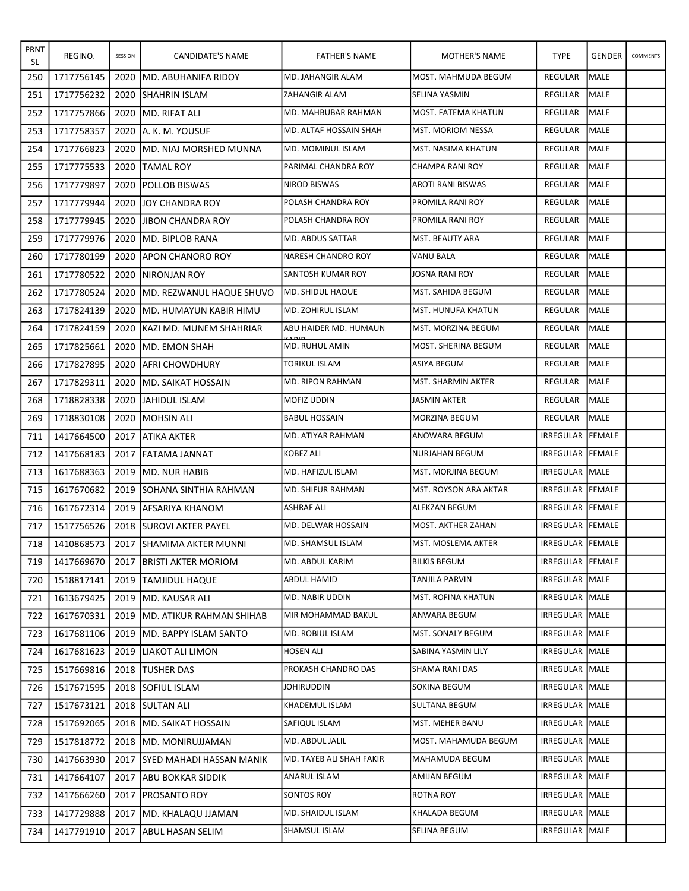| <b>PRNT</b><br>SL | REGINO.    | SESSION | CANDIDATE'S NAME                 | <b>FATHER'S NAME</b>     | MOTHER'S NAME                | <b>TYPE</b>      | <b>GENDER</b>  | COMMENTS |
|-------------------|------------|---------|----------------------------------|--------------------------|------------------------------|------------------|----------------|----------|
| 250               | 1717756145 | 2020    | IMD. ABUHANIFA RIDOY             | <b>MD. JAHANGIR ALAM</b> | MOST. MAHMUDA BEGUM          | REGULAR          | <b>MALE</b>    |          |
| 251               | 1717756232 | 2020    | <b>SHAHRIN ISLAM</b>             | <b>ZAHANGIR ALAM</b>     | SELINA YASMIN                | <b>REGULAR</b>   | <b>MALE</b>    |          |
| 252               | 1717757866 | 2020    | <b>IMD. RIFAT ALI</b>            | MD. MAHBUBAR RAHMAN      | MOST. FATEMA KHATUN          | <b>REGULAR</b>   | <b>MALE</b>    |          |
| 253               | 1717758357 | 2020    | IA. K. M. YOUSUF                 | MD. ALTAF HOSSAIN SHAH   | <b>MST. MORIOM NESSA</b>     | REGULAR          | MALE           |          |
| 254               | 1717766823 | 2020    | IMD. NIAJ MORSHED MUNNA          | IMD. MOMINUL ISLAM       | MST. NASIMA KHATUN           | REGULAR          | <b>MALE</b>    |          |
| 255               | 1717775533 | 2020    | <b>TAMAL ROY</b>                 | PARIMAL CHANDRA ROY      | CHAMPA RANI ROY              | <b>REGULAR</b>   | <b>MALE</b>    |          |
| 256               | 1717779897 | 2020    | <b>POLLOB BISWAS</b>             | <b>NIROD BISWAS</b>      | AROTI RANI BISWAS            | REGULAR          | <b>I</b> MALE  |          |
| 257               | 1717779944 | 2020    | <b>JJOY CHANDRA ROY</b>          | POLASH CHANDRA ROY       | PROMILA RANI ROY             | <b>REGULAR</b>   | <b>MALE</b>    |          |
| 258               | 1717779945 | 2020    | <b>JIBON CHANDRA ROY</b>         | POLASH CHANDRA ROY       | PROMILA RANI ROY             | <b>REGULAR</b>   | <b>MALE</b>    |          |
| 259               | 1717779976 | 2020    | <b>IMD. BIPLOB RANA</b>          | MD. ABDUS SATTAR         | MST. BEAUTY ARA              | REGULAR          | IMALE          |          |
| 260               | 1717780199 | 2020    | JAPON CHANORO ROY                | INARESH CHANDRO ROY      | VANU BALA                    | REGULAR          | MALE           |          |
| 261               | 1717780522 | 2020    | INIRONJAN ROY                    | SANTOSH KUMAR ROY        | JOSNA RANI ROY               | <b>REGULAR</b>   | <b>MALE</b>    |          |
| 262               | 1717780524 | 2020    | <b>MD. REZWANUL HAQUE SHUVO</b>  | MD. SHIDUL HAQUE         | MST. SAHIDA BEGUM            | REGULAR          | <b>I</b> MALE  |          |
| 263               | 1717824139 | 2020    | IMD. HUMAYUN KABIR HIMU          | MD. ZOHIRUL ISLAM        | <b>MST. HUNUFA KHATUN</b>    | REGULAR          | <b>MALE</b>    |          |
| 264               | 1717824159 | 2020    | <b>IKAZI MD. MUNEM SHAHRIAR</b>  | ABU HAIDER MD. HUMAUN    | MST. MORZINA BEGUM           | <b>REGULAR</b>   | <b>MALE</b>    |          |
| 265               | 1717825661 | 2020    | <b>IMD. EMON SHAH</b>            | MD. RUHUL AMIN           | MOST. SHERINA BEGUM          | REGULAR          | <b>MALE</b>    |          |
| 266               | 1717827895 | 2020    | <b>JAFRI CHOWDHURY</b>           | <b>TORIKUL ISLAM</b>     | ASIYA BEGUM                  | REGULAR          | <b>MALE</b>    |          |
| 267               | 1717829311 | 2020    | IMD. SAIKAT HOSSAIN              | <b>MD. RIPON RAHMAN</b>  | MST. SHARMIN AKTER           | <b>REGULAR</b>   | MALE           |          |
| 268               | 1718828338 | 2020    | <b>JJAHIDUL ISLAM</b>            | MOFIZ UDDIN              | JASMIN AKTER                 | REGULAR          | <b>MALE</b>    |          |
| 269               | 1718830108 | 2020    | <b>MOHSIN ALI</b>                | <b>BABUL HOSSAIN</b>     | MORZINA BEGUM                | REGULAR          | MALE           |          |
| 711               | 1417664500 | 2017    | JATIKA AKTER                     | MD. ATIYAR RAHMAN        | ANOWARA BEGUM                | IRREGULAR FEMALE |                |          |
| 712               | 1417668183 | 2017    | <b>IFATAMA JANNAT</b>            | KOBEZ ALI                | NURJAHAN BEGUM               | IRREGULAR        | <b>IFEMALE</b> |          |
| 713               | 1617688363 | 2019    | <b>IMD. NUR HABIB</b>            | MD. HAFIZUL ISLAM        | MST. MORJINA BEGUM           | IRREGULAR MALE   |                |          |
| 715               | 1617670682 | 2019    | <b>ISOHANA SINTHIA RAHMAN</b>    | MD. SHIFUR RAHMAN        | <b>MST. ROYSON ARA AKTAR</b> | IRREGULAR FEMALE |                |          |
| 716               | 1617672314 | 2019    | IAFSARIYA KHANOM                 | ASHRAF ALI               | <b>ALEKZAN BEGUM</b>         | IRREGULAR FEMALE |                |          |
| 717               | 1517756526 |         | 2018 SUROVI AKTER PAYEL          | MD. DELWAR HOSSAIN       | <b>MOST. AKTHER ZAHAN</b>    | IRREGULAR FEMALE |                |          |
| 718               | 1410868573 |         | 2017 SHAMIMA AKTER MUNNI         | MD. SHAMSUL ISLAM        | MST. MOSLEMA AKTER           | IRREGULAR FEMALE |                |          |
| 719               | 1417669670 | 2017    | <b>JBRISTI AKTER MORIOM</b>      | MD. ABDUL KARIM          | <b>BILKIS BEGUM</b>          | IRREGULAR FEMALE |                |          |
| 720               | 1518817141 | 2019    | <b>ITAMJIDUL HAQUE</b>           | ABDUL HAMID              | TANJILA PARVIN               | IRREGULAR MALE   |                |          |
| 721               | 1613679425 | 2019    | <b>JMD. KAUSAR ALI</b>           | MD. NABIR UDDIN          | MST. ROFINA KHATUN           | IRREGULAR MALE   |                |          |
| 722               | 1617670331 | 2019    | <b>JMD. ATIKUR RAHMAN SHIHAB</b> | MIR MOHAMMAD BAKUL       | ANWARA BEGUM                 | IRREGULAR MALE   |                |          |
| 723               | 1617681106 |         | 2019   MD. BAPPY ISLAM SANTO     | MD. ROBIUL ISLAM         | MST. SONALY BEGUM            | IRREGULAR MALE   |                |          |
| 724               | 1617681623 | 2019    | LIAKOT ALI LIMON                 | <b>HOSEN ALI</b>         | SABINA YASMIN LILY           | IRREGULAR MALE   |                |          |
| 725               | 1517669816 |         | 2018  TUSHER DAS                 | PROKASH CHANDRO DAS      | SHAMA RANI DAS               | IRREGULAR MALE   |                |          |
| 726               | 1517671595 |         | 2018 SOFIUL ISLAM                | JOHIRUDDIN               | SOKINA BEGUM                 | IRREGULAR MALE   |                |          |
| 727               | 1517673121 |         | 2018 SULTAN ALI                  | KHADEMUL ISLAM           | SULTANA BEGUM                | IRREGULAR MALE   |                |          |
| 728               | 1517692065 |         | 2018 MD. SAIKAT HOSSAIN          | SAFIQUL ISLAM            | MST. MEHER BANU              | IRREGULAR   MALE |                |          |
| 729               | 1517818772 |         | 2018   MD. MONIRUJJAMAN          | MD. ABDUL JALIL          | MOST. MAHAMUDA BEGUM         | IRREGULAR MALE   |                |          |
| 730               | 1417663930 | 2017    | <b>SYED MAHADI HASSAN MANIK</b>  | MD. TAYEB ALI SHAH FAKIR | MAHAMUDA BEGUM               | IRREGULAR MALE   |                |          |
| 731               | 1417664107 | 2017    | JABU BOKKAR SIDDIK               | ANARUL ISLAM             | AMIJAN BEGUM                 | IRREGULAR   MALE |                |          |
| 732               | 1417666260 | 2017    | <b>PROSANTO ROY</b>              | SONTOS ROY               | ROTNA ROY                    | IRREGULAR MALE   |                |          |
| 733               | 1417729888 | 2017    | <b>MD. KHALAQU JJAMAN</b>        | MD. SHAIDUL ISLAM        | KHALADA BEGUM                | IRREGULAR MALE   |                |          |
| 734               | 1417791910 | 2017    | JABUL HASAN SELIM                | SHAMSUL ISLAM            | SELINA BEGUM                 | IRREGULAR MALE   |                |          |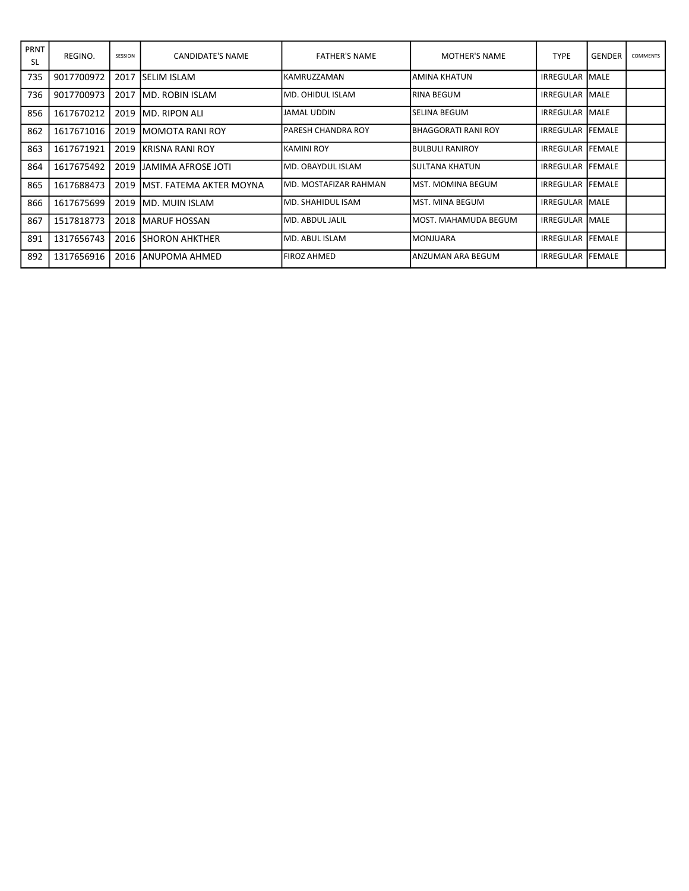| PRNT<br><b>SL</b> | REGINO.    | SESSION | CANDIDATE'S NAME         | <b>FATHER'S NAME</b>   | <b>MOTHER'S NAME</b>     | <b>TYPE</b>              | <b>GENDER</b> | <b>COMMENTS</b> |
|-------------------|------------|---------|--------------------------|------------------------|--------------------------|--------------------------|---------------|-----------------|
| 735               | 9017700972 | 2017    | <b>ISELIM ISLAM</b>      | IKAMRUZZAMAN           | IAMINA KHATUN            | <b>IRREGULAR IMALE</b>   |               |                 |
| 736               | 9017700973 | 2017    | IMD. ROBIN ISLAM         | IMD. OHIDUL ISLAM      | IRINA BEGUM              | <b>IRREGULAR IMALE</b>   |               |                 |
| 856               | 1617670212 | 2019    | IMD. RIPON ALI           | JAMAL UDDIN            | lSELINA BEGUM            | <b>IRREGULAR IMALE</b>   |               |                 |
| 862               | 1617671016 | 2019    | IMOMOTA RANI ROY         | IPARESH CHANDRA ROY    | IBHAGGORATI RANI ROY     | IRREGULAR FEMALE         |               |                 |
| 863               | 1617671921 | 2019    | IKRISNA RANI ROY         | IKAMINI ROY            | <b>I</b> BULBULI RANIROY | <b>IRREGULAR FEMALE</b>  |               |                 |
| 864               | 1617675492 | 2019    | IJAMIMA AFROSE JOTI      | IMD. OBAYDUL ISLAM     | ISULTANA KHATUN          | <b>IRREGULAR IFEMALE</b> |               |                 |
| 865               | 1617688473 | 2019    | IMST. FATEMA AKTER MOYNA | IMD. MOSTAFIZAR RAHMAN | lMST. MOMINA BEGUM       | <b>IRREGULAR IFEMALE</b> |               |                 |
| 866               | 1617675699 | 2019    | IMD. MUIN ISLAM          | IMD. SHAHIDUL ISAM     | lMST. MINA BEGUM         | <b>IRREGULAR IMALE</b>   |               |                 |
| 867               | 1517818773 | 2018    | <b>IMARUF HOSSAN</b>     | lMD. ABDUL JALIL       | lMOST. MAHAMUDA BEGUM    | <b>IRREGULAR IMALE</b>   |               |                 |
| 891               | 1317656743 | 2016    | <b>ISHORON AHKTHER</b>   | IMD. ABUL ISLAM        | IMONJUARA                | <b>IRREGULAR FEMALE</b>  |               |                 |
| 892               | 1317656916 | 2016    | IANUPOMA AHMED           | FIROZ AHMED            | IANZUMAN ARA BEGUM       | <b>IRREGULAR IFEMALE</b> |               |                 |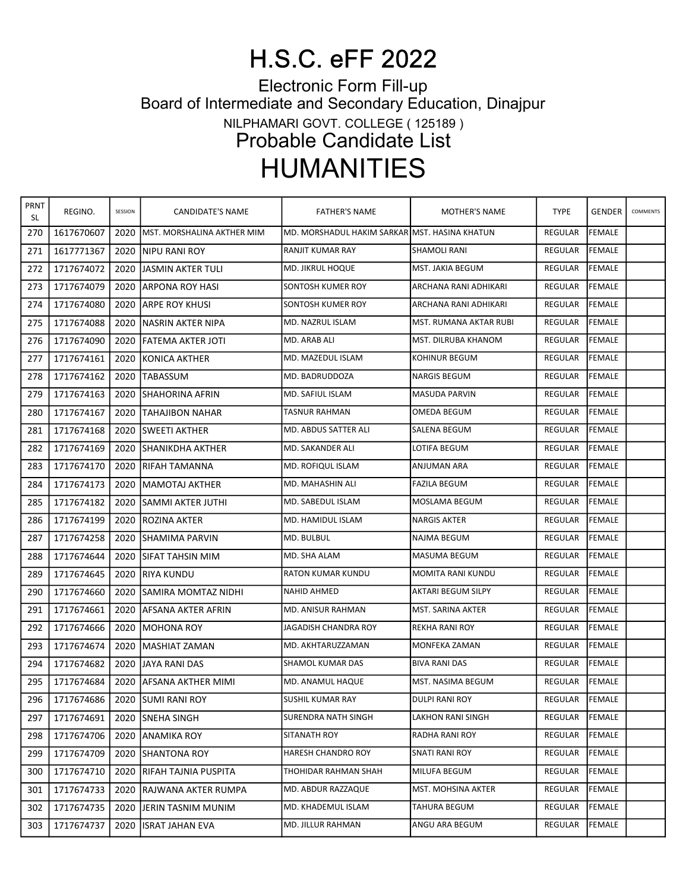## H.S.C. eFF 2022

Electronic Form Fill-up Board of Intermediate and Secondary Education, Dinajpur NILPHAMARI GOVT. COLLEGE ( 125189 ) Probable Candidate List HUMANITIES

| PRNT<br><b>SL</b> | REGINO.    | SESSION | CANDIDATE'S NAME              | <b>FATHER'S NAME</b>                          | <b>MOTHER'S NAME</b>      | <b>TYPE</b>    | <b>GENDER</b>  | COMMENTS |
|-------------------|------------|---------|-------------------------------|-----------------------------------------------|---------------------------|----------------|----------------|----------|
| 270               | 1617670607 | 2020    | MST. MORSHALINA AKTHER MIM    | MD. MORSHADUL HAKIM SARKAR MST. HASINA KHATUN |                           | REGULAR        | <b>FEMALE</b>  |          |
| 271               | 1617771367 | 2020    | INIPU RANI ROY                | RANJIT KUMAR RAY                              | <b>SHAMOLI RANI</b>       | <b>REGULAR</b> | <b>FEMALE</b>  |          |
| 272               | 1717674072 | 2020    | IJASMIN AKTER TULI            | <b>MD. JIKRUL HOQUE</b>                       | MST. JAKIA BEGUM          | REGULAR        | <b>IFEMALE</b> |          |
| 273               | 1717674079 | 2020    | JARPONA ROY HASI              | SONTOSH KUMER ROY                             | ARCHANA RANI ADHIKARI     | REGULAR        | <b>FEMALE</b>  |          |
| 274               | 1717674080 | 2020    | IARPE ROY KHUSI               | SONTOSH KUMER ROY                             | ARCHANA RANI ADHIKARI     | REGULAR        | <b>FEMALE</b>  |          |
| 275               | 1717674088 | 2020    | INASRIN AKTER NIPA            | MD. NAZRUL ISLAM                              | MST. RUMANA AKTAR RUBI    | REGULAR        | <b>IFEMALE</b> |          |
| 276               | 1717674090 | 2020    | <b>JFATEMA AKTER JOTI</b>     | MD. ARAB ALI                                  | MST. DILRUBA KHANOM       | REGULAR        | FEMALE         |          |
| 277               | 1717674161 | 2020    | KONICA AKTHER                 | MD. MAZEDUL ISLAM                             | KOHINUR BEGUM             | <b>REGULAR</b> | <b>FEMALE</b>  |          |
| 278               | 1717674162 | 2020    | <b>ITABASSUM</b>              | MD. BADRUDDOZA                                | <b>NARGIS BEGUM</b>       | REGULAR        | FEMALE         |          |
| 279               | 1717674163 | 2020    | <b>SHAHORINA AFRIN</b>        | MD. SAFIUL ISLAM                              | MASUDA PARVIN             | REGULAR        | FEMALE         |          |
| 280               | 1717674167 | 2020    | TAHAJIBON NAHAR               | TASNUR RAHMAN                                 | OMEDA BEGUM               | REGULAR        | <b>FEMALE</b>  |          |
| 281               | 1717674168 | 2020    | <b>ISWEETI AKTHER</b>         | MD. ABDUS SATTER ALI                          | <b>SALENA BEGUM</b>       | <b>REGULAR</b> | <b>FEMALE</b>  |          |
| 282               | 1717674169 | 2020    | ISHANIKDHA AKTHER             | MD. SAKANDER ALI                              | LOTIFA BEGUM              | REGULAR        | <b>FEMALE</b>  |          |
| 283               | 1717674170 | 2020    | IRIFAH TAMANNA                | MD. ROFIQUL ISLAM                             | ANJUMAN ARA               | REGULAR        | <b>FEMALE</b>  |          |
| 284               | 1717674173 | 2020    | <b>IMAMOTAJ AKTHER</b>        | MD. MAHASHIN ALI                              | <b>FAZILA BEGUM</b>       | REGULAR        | <b>IFEMALE</b> |          |
| 285               | 1717674182 | 2020    | ISAMMI AKTER JUTHI            | MD. SABEDUL ISLAM                             | MOSLAMA BEGUM             | <b>REGULAR</b> | <b>FEMALE</b>  |          |
| 286               | 1717674199 | 2020    | IROZINA AKTER                 | MD. HAMIDUL ISLAM                             | <b>NARGIS AKTER</b>       | REGULAR        | <b>FEMALE</b>  |          |
| 287               | 1717674258 | 2020    | ISHAMIMA PARVIN               | MD. BULBUL                                    | NAJMA BEGUM               | REGULAR        | FEMALE         |          |
| 288               | 1717674644 | 2020    | ISIFAT TAHSIN MIM             | MD. SHA ALAM                                  | MASUMA BEGUM              | <b>REGULAR</b> | <b>FEMALE</b>  |          |
| 289               | 1717674645 | 2020    | IRIYA KUNDU                   | <b>RATON KUMAR KUNDU</b>                      | MOMITA RANI KUNDU         | REGULAR        | FEMALE         |          |
| 290               | 1717674660 | 2020    | <b>SAMIRA MOMTAZ NIDHI</b>    | NAHID AHMED                                   | <b>AKTARI BEGUM SILPY</b> | REGULAR        | FEMALE         |          |
| 291               | 1717674661 | 2020    | <b>JAFSANA AKTER AFRIN</b>    | MD. ANISUR RAHMAN                             | MST. SARINA AKTER         | REGULAR        | <b>FEMALE</b>  |          |
| 292               | 1717674666 | 2020    | IMOHONA ROY                   | JAGADISH CHANDRA ROY                          | REKHA RANI ROY            | REGULAR        | <b>FEMALE</b>  |          |
| 293               | 1717674674 | 2020    | <b>IMASHIAT ZAMAN</b>         | MD. AKHTARUZZAMAN                             | MONFEKA ZAMAN             | REGULAR        | FEMALE         |          |
| 294               | 1717674682 | 2020    | JAYA RANI DAS                 | <b>SHAMOL KUMAR DAS</b>                       | <b>BIVA RANI DAS</b>      | REGULAR        | <b>FEMALE</b>  |          |
| 295               | 1717674684 | 2020    | <b>AFSANA AKTHER MIMI</b>     | MD. ANAMUL HAQUE                              | MST. NASIMA BEGUM         | REGULAR        | <b>FEMALE</b>  |          |
| 296               |            |         | 1717674686 2020 SUMI RANI ROY | <b>SUSHIL KUMAR RAY</b>                       | <b>DULPI RANI ROY</b>     | REGULAR FEMALE |                |          |
| 297               | 1717674691 | 2020    | <b>SNEHA SINGH</b>            | SURENDRA NATH SINGH                           | LAKHON RANI SINGH         | REGULAR        | <b>FEMALE</b>  |          |
| 298               | 1717674706 | 2020    | IANAMIKA ROY                  | SITANATH ROY                                  | RADHA RANI ROY            | REGULAR        | <b>FEMALE</b>  |          |
| 299               | 1717674709 | 2020    | <b>SHANTONA ROY</b>           | HARESH CHANDRO ROY                            | <b>SNATI RANI ROY</b>     | REGULAR        | <b>FEMALE</b>  |          |
| 300               | 1717674710 | 2020    | IRIFAH TAJNIA PUSPITA         | THOHIDAR RAHMAN SHAH                          | MILUFA BEGUM              | <b>REGULAR</b> | FEMALE         |          |
| 301               | 1717674733 | 2020    | IRAJWANA AKTER RUMPA          | MD. ABDUR RAZZAQUE                            | MST. MOHSINA AKTER        | REGULAR        | <b>FEMALE</b>  |          |
| 302               | 1717674735 | 2020    | JIERIN TASNIM MUNIM           | MD. KHADEMUL ISLAM                            | TAHURA BEGUM              | REGULAR        | <b>FEMALE</b>  |          |
| 303               | 1717674737 | 2020    | <b>ISRAT JAHAN EVA</b>        | MD. JILLUR RAHMAN                             | ANGU ARA BEGUM            | REGULAR        | FEMALE         |          |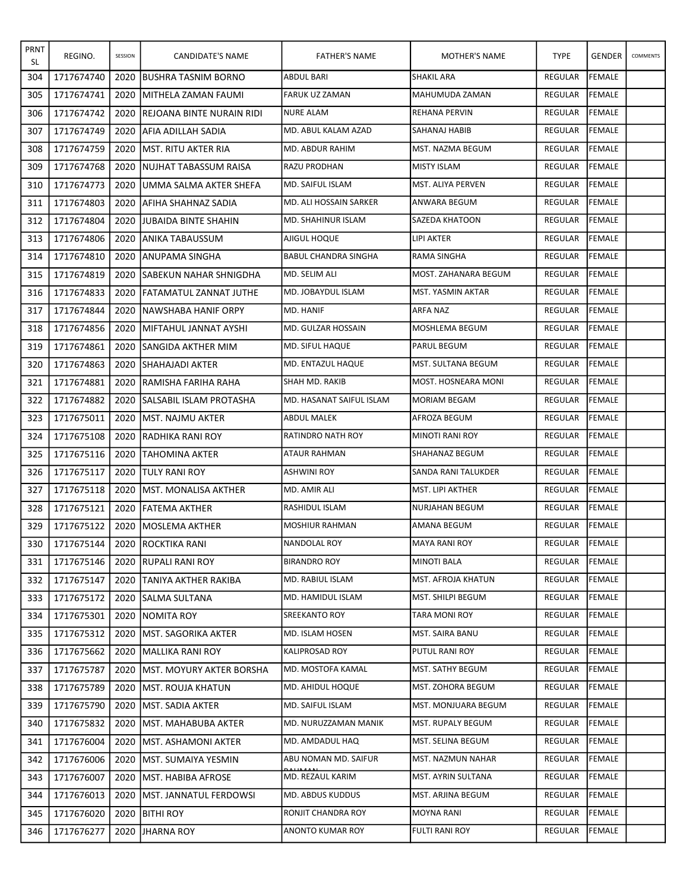| PRNT<br>SL | REGINO.    | SESSION | CANDIDATE'S NAME                 | <b>FATHER'S NAME</b>     | MOTHER'S NAME          | <b>TYPE</b>    | <b>GENDER</b> | COMMENTS |
|------------|------------|---------|----------------------------------|--------------------------|------------------------|----------------|---------------|----------|
| 304        | 1717674740 | 2020    | <b>BUSHRA TASNIM BORNO</b>       | <b>ABDUL BARI</b>        | <b>SHAKIL ARA</b>      | REGULAR        | <b>FEMALE</b> |          |
| 305        | 1717674741 | 2020    | <b>IMITHELA ZAMAN FAUMI</b>      | <b>FARUK UZ ZAMAN</b>    | MAHUMUDA ZAMAN         | REGULAR        | FEMALE        |          |
| 306        | 1717674742 | 2020    | <b>REJOANA BINTE NURAIN RIDI</b> | NURE ALAM                | REHANA PERVIN          | REGULAR        | <b>FEMALE</b> |          |
| 307        | 1717674749 | 2020    | IAFIA ADILLAH SADIA              | MD. ABUL KALAM AZAD      | SAHANAJ HABIB          | REGULAR        | FEMALE        |          |
| 308        | 1717674759 | 2020    | <b>IMST. RITU AKTER RIA</b>      | MD. ABDUR RAHIM          | MST. NAZMA BEGUM       | <b>REGULAR</b> | <b>FEMALE</b> |          |
| 309        | 1717674768 | 2020    | <b>INUJHAT TABASSUM RAISA</b>    | RAZU PRODHAN             | MISTY ISLAM            | REGULAR        | <b>FEMALE</b> |          |
| 310        | 1717674773 | 2020    | <b>JUMMA SALMA AKTER SHEFA</b>   | MD. SAIFUL ISLAM         | MST. ALIYA PERVEN      | REGULAR        | FEMALE        |          |
| 311        | 1717674803 | 2020    | JAFIHA SHAHNAZ SADIA             | MD. ALI HOSSAIN SARKER   | ANWARA BEGUM           | <b>REGULAR</b> | <b>FEMALE</b> |          |
| 312        | 1717674804 | 2020    | <b>JJUBAIDA BINTE SHAHIN</b>     | MD. SHAHINUR ISLAM       | SAZEDA KHATOON         | REGULAR        | FEMALE        |          |
| 313        | 1717674806 | 2020    | JANIKA TABAUSSUM                 | AJIGUL HOQUE             | LIPI AKTER             | REGULAR        | FEMALE        |          |
| 314        | 1717674810 | 2020    | JANUPAMA SINGHA                  | BABUL CHANDRA SINGHA     | RAMA SINGHA            | <b>REGULAR</b> | <b>FEMALE</b> |          |
| 315        | 1717674819 | 2020    | <b>ISABEKUN NAHAR SHNIGDHA</b>   | MD. SELIM ALI            | MOST. ZAHANARA BEGUM   | <b>REGULAR</b> | <b>FEMALE</b> |          |
| 316        | 1717674833 | 2020    | <b>IFATAMATUL ZANNAT JUTHE</b>   | MD. JOBAYDUL ISLAM       | MST. YASMIN AKTAR      | <b>REGULAR</b> | FEMALE        |          |
| 317        | 1717674844 | 2020    | INAWSHABA HANIF ORPY             | MD. HANIF                | ARFA NAZ               | <b>REGULAR</b> | <b>FEMALE</b> |          |
| 318        | 1717674856 | 2020    | <b>IMIFTAHUL JANNAT AYSHI</b>    | MD. GULZAR HOSSAIN       | MOSHLEMA BEGUM         | <b>REGULAR</b> | FEMALE        |          |
| 319        | 1717674861 | 2020    | <b>ISANGIDA AKTHER MIM</b>       | MD. SIFUL HAQUE          | PARUL BEGUM            | REGULAR        | FEMALE        |          |
| 320        | 1717674863 | 2020    | <b>ISHAHAJADI AKTER</b>          | IMD. ENTAZUL HAQUE       | MST. SULTANA BEGUM     | <b>REGULAR</b> | FEMALE        |          |
| 321        | 1717674881 | 2020    | IRAMISHA FARIHA RAHA             | SHAH MD. RAKIB           | MOST. HOSNEARA MONI    | <b>REGULAR</b> | FEMALE        |          |
| 322        | 1717674882 | 2020    | <b>SALSABIL ISLAM PROTASHA</b>   | MD. HASANAT SAIFUL ISLAM | <b>MORIAM BEGAM</b>    | REGULAR        | FEMALE        |          |
| 323        | 1717675011 | 2020    | <b>IMST. NAJMU AKTER</b>         | <b>ABDUL MALEK</b>       | AFROZA BEGUM           | REGULAR        | FEMALE        |          |
| 324        | 1717675108 | 2020    | IRADHIKA RANI ROY                | <b>RATINDRO NATH ROY</b> | <b>MINOTI RANI ROY</b> | <b>REGULAR</b> | <b>FEMALE</b> |          |
| 325        | 1717675116 | 2020    | <b>ITAHOMINA AKTER</b>           | ATAUR RAHMAN             | SHAHANAZ BEGUM         | REGULAR        | FEMALE        |          |
| 326        | 1717675117 | 2020    | <b>ITULY RANI ROY</b>            | <b>ASHWINI ROY</b>       | SANDA RANI TALUKDER    | REGULAR        | FEMALE        |          |
| 327        | 1717675118 | 2020    | <b>IMST. MONALISA AKTHER</b>     | MD. AMIR ALI             | MST. LIPI AKTHER       | <b>REGULAR</b> | <b>FEMALE</b> |          |
| 328        | 1717675121 | 2020    | <b>IFATEMA AKTHER</b>            | RASHIDUL ISLAM           | NURJAHAN BEGUM         | REGULAR        | FEMALE        |          |
| 329        | 1717675122 | 2020    | <b>IMOSLEMA AKTHER</b>           | MOSHIUR RAHMAN           | AMANA BEGUM            | REGULAR        | FEMALE        |          |
| 330        | 1717675144 |         | 2020 ROCKTIKA RANI               | NANDOLAL ROY             | <b>MAYA RANI ROY</b>   | REGULAR FEMALE |               |          |
| 331        | 1717675146 |         | 2020 RUPALI RANI ROY             | <b>BIRANDRO ROY</b>      | MINOTI BALA            | REGULAR        | FEMALE        |          |
| 332        | 1717675147 | 2020    | <b>TANIYA AKTHER RAKIBA</b>      | MD. RABIUL ISLAM         | MST. AFROJA KHATUN     | REGULAR        | FEMALE        |          |
| 333        | 1717675172 | 2020    | <b>SALMA SULTANA</b>             | MD. HAMIDUL ISLAM        | MST. SHILPI BEGUM      | REGULAR        | <b>FEMALE</b> |          |
| 334        | 1717675301 | 2020    | <b>NOMITA ROY</b>                | <b>SREEKANTO ROY</b>     | TARA MONI ROY          | REGULAR        | FEMALE        |          |
| 335        | 1717675312 | 2020    | <b>IMST. SAGORIKA AKTER</b>      | MD. ISLAM HOSEN          | MST. SAIRA BANU        | <b>REGULAR</b> | FEMALE        |          |
| 336        | 1717675662 | 2020    | <b>MALLIKA RANI ROY</b>          | <b>KALIPROSAD ROY</b>    | PUTUL RANI ROY         | REGULAR        | <b>FEMALE</b> |          |
| 337        | 1717675787 | 2020    | <b>IMST. MOYURY AKTER BORSHA</b> | MD. MOSTOFA KAMAL        | MST. SATHY BEGUM       | REGULAR        | FEMALE        |          |
| 338        | 1717675789 | 2020    | <b>IMST. ROUJA KHATUN</b>        | MD. AHIDUL HOQUE         | MST. ZOHORA BEGUM      | REGULAR        | <b>FEMALE</b> |          |
| 339        | 1717675790 | 2020    | <b>IMST. SADIA AKTER</b>         | MD. SAIFUL ISLAM         | MST. MONJUARA BEGUM    | REGULAR        | <b>FEMALE</b> |          |
| 340        | 1717675832 | 2020    | <b>IMST. MAHABUBA AKTER</b>      | MD. NURUZZAMAN MANIK     | MST. RUPALY BEGUM      | REGULAR        | FEMALE        |          |
| 341        | 1717676004 | 2020    | <b>IMST. ASHAMONI AKTER</b>      | MD. AMDADUL HAQ          | MST. SELINA BEGUM      | REGULAR        | FEMALE        |          |
| 342        | 1717676006 | 2020    | <b>IMST. SUMAIYA YESMIN</b>      | ABU NOMAN MD. SAIFUR     | MST. NAZMUN NAHAR      | REGULAR        | FEMALE        |          |
| 343        | 1717676007 | 2020    | <b>IMST. HABIBA AFROSE</b>       | MD. REZAUL KARIM         | MST. AYRIN SULTANA     | REGULAR        | FEMALE        |          |
| 344        | 1717676013 | 2020    | <b>IMST. JANNATUL FERDOWSI</b>   | MD. ABDUS KUDDUS         | MST. ARJINA BEGUM      | REGULAR        | FEMALE        |          |
| 345        | 1717676020 | 2020    | <b>BITHI ROY</b>                 | RONJIT CHANDRA ROY       | MOYNA RANI             | REGULAR        | <b>FEMALE</b> |          |
| 346        | 1717676277 | 2020    | JHARNA ROY                       | <b>ANONTO KUMAR ROY</b>  | FULTI RANI ROY         | REGULAR        | FEMALE        |          |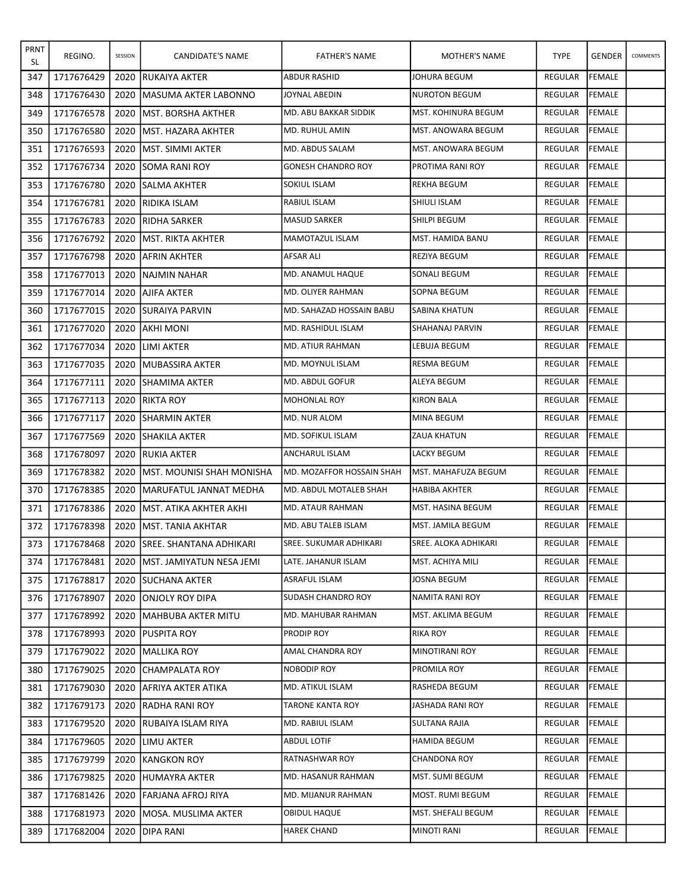| PRNT<br>SL | REGINO.    | SESSION | CANDIDATE'S NAME                  | <b>FATHER'S NAME</b>          | MOTHER'S NAME          | <b>TYPE</b>    | <b>GENDER</b> | <b>COMMENTS</b> |
|------------|------------|---------|-----------------------------------|-------------------------------|------------------------|----------------|---------------|-----------------|
| 347        | 1717676429 | 2020    | <b>RUKAIYA AKTER</b>              | <b>ABDUR RASHID</b>           | JOHURA BEGUM           | <b>REGULAR</b> | <b>FEMALE</b> |                 |
| 348        | 1717676430 | 2020    | IMASUMA AKTER LABONNO             | JOYNAL ABEDIN                 | <b>NUROTON BEGUM</b>   | <b>REGULAR</b> | <b>FEMALE</b> |                 |
| 349        | 1717676578 | 2020    | <b>IMST. BORSHA AKTHER</b>        | MD. ABU BAKKAR SIDDIK         | MST. KOHINURA BEGUM    | <b>REGULAR</b> | FEMALE        |                 |
| 350        | 1717676580 | 2020    | <b>IMST. HAZARA AKHTER</b>        | MD. RUHUL AMIN                | MST. ANOWARA BEGUM     | REGULAR        | FEMALE        |                 |
| 351        | 1717676593 | 2020    | <b>IMST. SIMMI AKTER</b>          | MD. ABDUS SALAM               | MST. ANOWARA BEGUM     | <b>REGULAR</b> | <b>FEMALE</b> |                 |
| 352        | 1717676734 | 2020    | <b>ISOMA RANI ROY</b>             | <b>GONESH CHANDRO ROY</b>     | PROTIMA RANI ROY       | <b>REGULAR</b> | <b>FEMALE</b> |                 |
| 353        | 1717676780 | 2020    | <b>SALMA AKHTER</b>               | SOKIUL ISLAM                  | <b>REKHA BEGUM</b>     | <b>REGULAR</b> | FEMALE        |                 |
| 354        | 1717676781 | 2020    | <b>IRIDIKA ISLAM</b>              | RABIUL ISLAM                  | SHIULI ISLAM           | <b>REGULAR</b> | <b>FEMALE</b> |                 |
| 355        | 1717676783 | 2020    | IRIDHA SARKER                     | <b>MASUD SARKER</b>           | SHILPI BEGUM           | <b>REGULAR</b> | FEMALE        |                 |
| 356        | 1717676792 | 2020    | <b>IMST. RIKTA AKHTER</b>         | MAMOTAZUL ISLAM               | MST. HAMIDA BANU       | REGULAR        | FEMALE        |                 |
| 357        | 1717676798 | 2020    | JAFRIN AKHTER                     | AFSAR ALI                     | <b>REZIYA BEGUM</b>    | REGULAR        | FEMALE        |                 |
| 358        | 1717677013 | 2020    | INAJMIN NAHAR                     | MD. ANAMUL HAQUE              | SONALI BEGUM           | <b>REGULAR</b> | FEMALE        |                 |
| 359        | 1717677014 | 2020    | JAJIFA AKTER                      | <b>MD. OLIYER RAHMAN</b>      | SOPNA BEGUM            | REGULAR        | FEMALE        |                 |
| 360        | 1717677015 | 2020    | <b>SURAIYA PARVIN</b>             | IMD. SAHAZAD HOSSAIN BABU     | SABINA KHATUN          | REGULAR        | FEMALE        |                 |
| 361        | 1717677020 | 2020    | IAKHI MONI                        | MD. RASHIDUL ISLAM            | <b>SHAHANAJ PARVIN</b> | <b>REGULAR</b> | <b>FEMALE</b> |                 |
| 362        | 1717677034 | 2020    | <b>ILIMI AKTER</b>                | MD. ATIUR RAHMAN              | LEBUJA BEGUM           | <b>REGULAR</b> | FEMALE        |                 |
| 363        | 1717677035 | 2020    | <b>IMUBASSIRA AKTER</b>           | MD. MOYNUL ISLAM              | <b>RESMA BEGUM</b>     | <b>REGULAR</b> | <b>FEMALE</b> |                 |
| 364        | 1717677111 | 2020    | <b>SHAMIMA AKTER</b>              | MD. ABDUL GOFUR               | ALEYA BEGUM            | <b>REGULAR</b> | <b>FEMALE</b> |                 |
| 365        | 1717677113 | 2020    | <b>RIKTA ROY</b>                  | <b>MOHONLAL ROY</b>           | <b>KIRON BALA</b>      | <b>REGULAR</b> | <b>FEMALE</b> |                 |
| 366        | 1717677117 | 2020    | <b>ISHARMIN AKTER</b>             | MD. NUR ALOM                  | MINA BEGUM             | <b>REGULAR</b> | FEMALE        |                 |
| 367        | 1717677569 | 2020    | <b>SHAKILA AKTER</b>              | MD. SOFIKUL ISLAM             | ZAUA KHATUN            | <b>REGULAR</b> | <b>FEMALE</b> |                 |
| 368        | 1717678097 | 2020    | <b>RUKIA AKTER</b>                | ANCHARUL ISLAM                | LACKY BEGUM            | <b>REGULAR</b> | FEMALE        |                 |
| 369        | 1717678382 | 2020    | <b>IMST. MOUNISI SHAH MONISHA</b> | MD. MOZAFFOR HOSSAIN SHAH     | MST. MAHAFUZA BEGUM    | <b>REGULAR</b> | FEMALE        |                 |
| 370        | 1717678385 | 2020    | MARUFATUL JANNAT MEDHA            | MD. ABDUL MOTALEB SHAH        | <b>HABIBA AKHTER</b>   | REGULAR        | <b>FEMALE</b> |                 |
| 371        | 1717678386 | 2020    | IMST. ATIKA AKHTER AKHI           | <b>MD. ATAUR RAHMAN</b>       | MST. HASINA BEGUM      | REGULAR        | FEMALE        |                 |
| 372        | 1717678398 | 2020    | <b>MST. TANIA AKHTAR</b>          | MD. ABU TALEB ISLAM           | MST. JAMILA BEGUM      | <b>REGULAR</b> | FEMALE        |                 |
| 373        | 1717678468 |         | 2020 SREE. SHANTANA ADHIKARI      | <b>SREE. SUKUMAR ADHIKARI</b> | SREE. ALOKA ADHIKARI   | REGULAR FEMALE |               |                 |
| 374        | 1717678481 |         | 2020 JMST. JAMIYATUN NESA JEMI    | LATE. JAHANUR ISLAM           | MST. ACHIYA MILI       | REGULAR        | <b>FEMALE</b> |                 |
| 375        | 1717678817 | 2020    | <b>ISUCHANA AKTER</b>             | ASRAFUL ISLAM                 | JOSNA BEGUM            | REGULAR        | FEMALE        |                 |
| 376        | 1717678907 | 2020    | <b>JONJOLY ROY DIPA</b>           | <b>SUDASH CHANDRO ROY</b>     | NAMITA RANI ROY        | REGULAR        | FEMALE        |                 |
| 377        | 1717678992 | 2020    | <b>IMAHBUBA AKTER MITU</b>        | MD. MAHUBAR RAHMAN            | MST. AKLIMA BEGUM      | REGULAR        | FEMALE        |                 |
| 378        | 1717678993 | 2020    | <b>PUSPITA ROY</b>                | PRODIP ROY                    | RIKA ROY               | REGULAR        | FEMALE        |                 |
| 379        | 1717679022 | 2020    | MALLIKA ROY                       | AMAL CHANDRA ROY              | MINOTIRANI ROY         | REGULAR        | <b>FEMALE</b> |                 |
| 380        | 1717679025 | 2020    | <b>CHAMPALATA ROY</b>             | NOBODIP ROY                   | PROMILA ROY            | REGULAR        | FEMALE        |                 |
| 381        | 1717679030 | 2020    | <b>AFRIYA AKTER ATIKA</b>         | MD. ATIKUL ISLAM              | RASHEDA BEGUM          | REGULAR        | <b>FEMALE</b> |                 |
| 382        | 1717679173 | 2020    | <b>RADHA RANI ROY</b>             | TARONE KANTA ROY              | JASHADA RANI ROY       | REGULAR        | FEMALE        |                 |
| 383        | 1717679520 | 2020    | <b>IRUBAIYA ISLAM RIYA</b>        | MD. RABIUL ISLAM              | SULTANA RAJIA          | REGULAR        | FEMALE        |                 |
| 384        | 1717679605 | 2020    | <b>LIMU AKTER</b>                 | ABDUL LOTIF                   | HAMIDA BEGUM           | REGULAR        | <b>FEMALE</b> |                 |
| 385        | 1717679799 | 2020    | <b>IKANGKON ROY</b>               | RATNASHWAR ROY                | CHANDONA ROY           | REGULAR        | FEMALE        |                 |
| 386        | 1717679825 | 2020    | HUMAYRA AKTER                     | MD. HASANUR RAHMAN            | MST. SUMI BEGUM        | REGULAR        | FEMALE        |                 |
| 387        | 1717681426 | 2020    | <b>FARJANA AFROJ RIYA</b>         | MD. MIJANUR RAHMAN            | MOST. RUMI BEGUM       | REGULAR        | <b>FEMALE</b> |                 |
| 388        | 1717681973 | 2020    | <b>MOSA. MUSLIMA AKTER</b>        | OBIDUL HAQUE                  | MST. SHEFALI BEGUM     | REGULAR        | FEMALE        |                 |
| 389        | 1717682004 |         | 2020 DIPA RANI                    | <b>HAREK CHAND</b>            | <b>MINOTI RANI</b>     | REGULAR        | FEMALE        |                 |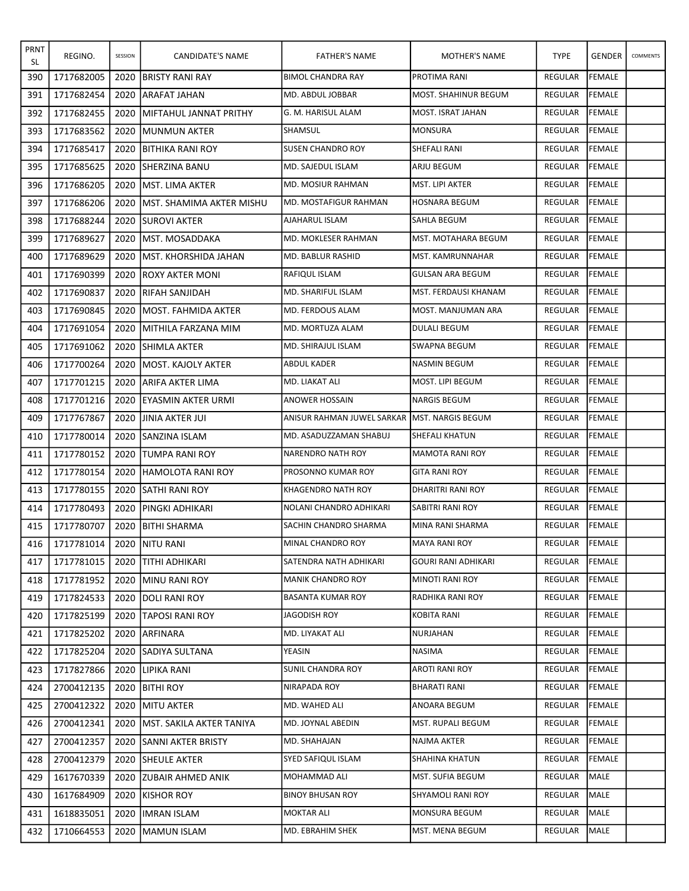| <b>PRNT</b><br>SL | REGINO.    | SESSION | CANDIDATE'S NAME                 | <b>FATHER'S NAME</b>       | MOTHER'S NAME             | <b>TYPE</b>    | <b>GENDER</b> | COMMENTS |
|-------------------|------------|---------|----------------------------------|----------------------------|---------------------------|----------------|---------------|----------|
| 390               | 1717682005 | 2020    | <b>IBRISTY RANI RAY</b>          | <b>BIMOL CHANDRA RAY</b>   | PROTIMA RANI              | REGULAR        | <b>FEMALE</b> |          |
| 391               | 1717682454 | 2020    | JARAFAT JAHAN                    | MD. ABDUL JOBBAR           | MOST. SHAHINUR BEGUM      | <b>REGULAR</b> | FEMALE        |          |
| 392               | 1717682455 | 2020    | <b>MIFTAHUL JANNAT PRITHY</b>    | G. M. HARISUL ALAM         | MOST. ISRAT JAHAN         | <b>REGULAR</b> | FEMALE        |          |
| 393               | 1717683562 | 2020    | IMUNMUN AKTER                    | SHAMSUL                    | MONSURA                   | REGULAR        | FEMALE        |          |
| 394               | 1717685417 | 2020    | <b>JBITHIKA RANI ROY</b>         | <b>I</b> SUSEN CHANDRO ROY | SHEFALI RANI              | <b>REGULAR</b> | <b>FEMALE</b> |          |
| 395               | 1717685625 | 2020    | <b>ISHERZINA BANU</b>            | MD. SAJEDUL ISLAM          | ARJU BEGUM                | <b>REGULAR</b> | <b>FEMALE</b> |          |
| 396               | 1717686205 | 2020    | <b>IMST. LIMA AKTER</b>          | MD. MOSIUR RAHMAN          | MST. LIPI AKTER           | REGULAR        | FEMALE        |          |
| 397               | 1717686206 | 2020    | <b>IMST. SHAMIMA AKTER MISHU</b> | MD. MOSTAFIGUR RAHMAN      | HOSNARA BEGUM             | <b>REGULAR</b> | <b>FEMALE</b> |          |
| 398               | 1717688244 | 2020    | <b>ISUROVI AKTER</b>             | AJAHARUL ISLAM             | SAHLA BEGUM               | <b>REGULAR</b> | FEMALE        |          |
| 399               | 1717689627 | 2020    | <b>IMST. MOSADDAKA</b>           | MD. MOKLESER RAHMAN        | MST. MOTAHARA BEGUM       | REGULAR        | FEMALE        |          |
| 400               | 1717689629 | 2020    | <b>IMST. KHORSHIDA JAHAN</b>     | MD. BABLUR RASHID          | MST. KAMRUNNAHAR          | REGULAR        | FEMALE        |          |
| 401               | 1717690399 | 2020    | <b>IROXY AKTER MONI</b>          | RAFIQUL ISLAM              | <b>GULSAN ARA BEGUM</b>   | <b>REGULAR</b> | FEMALE        |          |
| 402               | 1717690837 | 2020    | <b>IRIFAH SANJIDAH</b>           | MD. SHARIFUL ISLAM         | MST. FERDAUSI KHANAM      | <b>REGULAR</b> | FEMALE        |          |
| 403               | 1717690845 | 2020    | <b>IMOST. FAHMIDA AKTER</b>      | MD. FERDOUS ALAM           | MOST. MANJUMAN ARA        | REGULAR        | <b>FEMALE</b> |          |
| 404               | 1717691054 | 2020    | İMITHILA FARZANA MIM             | MD. MORTUZA ALAM           | <b>DULALI BEGUM</b>       | <b>REGULAR</b> | <b>FEMALE</b> |          |
| 405               | 1717691062 | 2020    | <b>SHIMLA AKTER</b>              | MD. SHIRAJUL ISLAM         | SWAPNA BEGUM              | REGULAR        | FEMALE        |          |
| 406               | 1717700264 | 2020    | <b>IMOST. KAJOLY AKTER</b>       | <b>ABDUL KADER</b>         | NASMIN BEGUM              | <b>REGULAR</b> | <b>FEMALE</b> |          |
| 407               | 1717701215 | 2020    | IARIFA AKTER LIMA                | MD. LIAKAT ALI             | MOST. LIPI BEGUM          | REGULAR        | <b>FEMALE</b> |          |
| 408               | 1717701216 | 2020    | JEYASMIN AKTER URMI              | <b>ANOWER HOSSAIN</b>      | <b>NARGIS BEGUM</b>       | REGULAR        | <b>FEMALE</b> |          |
| 409               | 1717767867 | 2020    | IJINIA AKTER JUI                 | ANISUR RAHMAN JUWEL SARKAR | <b>IMST. NARGIS BEGUM</b> | REGULAR        | FEMALE        |          |
| 410               | 1717780014 | 2020    | <b>SANZINA ISLAM</b>             | MD. ASADUZZAMAN SHABUJ     | <b>SHEFALI KHATUN</b>     | <b>REGULAR</b> | <b>FEMALE</b> |          |
| 411               | 1717780152 | 2020    | <b>ITUMPA RANI ROY</b>           | NARENDRO NATH ROY          | <b>MAMOTA RANI ROY</b>    | <b>REGULAR</b> | FEMALE        |          |
| 412               | 1717780154 | 2020    | <b>HAMOLOTA RANI ROY</b>         | <b>PROSONNO KUMAR ROY</b>  | <b>GITA RANI ROY</b>      | <b>REGULAR</b> | FEMALE        |          |
| 413               | 1717780155 | 2020    | <b>SATHI RANI ROY</b>            | <b>KHAGENDRO NATH ROY</b>  | DHARITRI RANI ROY         | REGULAR        | <b>FEMALE</b> |          |
| 414               | 1717780493 | 2020    | JPINGKI ADHIKARI                 | NOLANI CHANDRO ADHIKARI    | SABITRI RANI ROY          | REGULAR        | <b>FEMALE</b> |          |
| 415               | 1717780707 | 2020    | <b>BITHI SHARMA</b>              | SACHIN CHANDRO SHARMA      | MINA RANI SHARMA          | <b>REGULAR</b> | <b>FEMALE</b> |          |
| 416               | 1717781014 |         | 2020 NITU RANI                   | MINAL CHANDRO ROY          | MAYA RANI ROY             | REGULAR FEMALE |               |          |
| 417               | 1717781015 |         | 2020 JTITHI ADHIKARI             | SATENDRA NATH ADHIKARI     | GOURI RANI ADHIKARI       | REGULAR        | <b>FEMALE</b> |          |
| 418               | 1717781952 | 2020    | <b>IMINU RANI ROY</b>            | MANIK CHANDRO ROY          | <b>MINOTI RANI ROY</b>    | REGULAR        | FEMALE        |          |
| 419               | 1717824533 | 2020    | <b>JDOLI RANI ROY</b>            | <b>BASANTA KUMAR ROY</b>   | RADHIKA RANI ROY          | REGULAR        | <b>FEMALE</b> |          |
| 420               | 1717825199 |         | 2020 TAPOSI RANI ROY             | JAGODISH ROY               | KOBITA RANI               | REGULAR        | <b>FEMALE</b> |          |
| 421               | 1717825202 | 2020    | <b>JARFINARA</b>                 | MD. LIYAKAT ALI            | NURJAHAN                  | REGULAR        | FEMALE        |          |
| 422               | 1717825204 | 2020    | <b>SADIYA SULTANA</b>            | YEASIN                     | NASIMA                    | REGULAR        | <b>FEMALE</b> |          |
| 423               | 1717827866 |         | 2020 LIPIKA RANI                 | <b>SUNIL CHANDRA ROY</b>   | <b>AROTI RANI ROY</b>     | REGULAR        | FEMALE        |          |
| 424               | 2700412135 | 2020    | <b>BITHI ROY</b>                 | NIRAPADA ROY               | <b>BHARATI RANI</b>       | REGULAR        | FEMALE        |          |
| 425               | 2700412322 | 2020    | <b>MITU AKTER</b>                | MD. WAHED ALI              | ANOARA BEGUM              | REGULAR        | FEMALE        |          |
| 426               | 2700412341 | 2020    | <b>JMST. SAKILA AKTER TANIYA</b> | MD. JOYNAL ABEDIN          | MST. RUPALI BEGUM         | REGULAR        | FEMALE        |          |
| 427               | 2700412357 | 2020    | <b>SANNI AKTER BRISTY</b>        | MD. SHAHAJAN               | NAJMA AKTER               | REGULAR        | FEMALE        |          |
| 428               | 2700412379 | 2020    | <b>SHEULE AKTER</b>              | SYED SAFIQUL ISLAM         | SHAHINA KHATUN            | REGULAR        | FEMALE        |          |
| 429               | 1617670339 |         | 2020 IZUBAIR AHMED ANIK          | MOHAMMAD ALI               | MST. SUFIA BEGUM          | REGULAR        | <b>MALE</b>   |          |
| 430               | 1617684909 | 2020    | <b>IKISHOR ROY</b>               | <b>BINOY BHUSAN ROY</b>    | SHYAMOLI RANI ROY         | REGULAR        | <b>MALE</b>   |          |
| 431               | 1618835051 | 2020    | <b>IMRAN ISLAM</b>               | <b>MOKTAR ALI</b>          | MONSURA BEGUM             | REGULAR        | MALE          |          |
| 432               | 1710664553 |         | 2020   MAMUN ISLAM               | MD. EBRAHIM SHEK           | MST. MENA BEGUM           | REGULAR        | MALE          |          |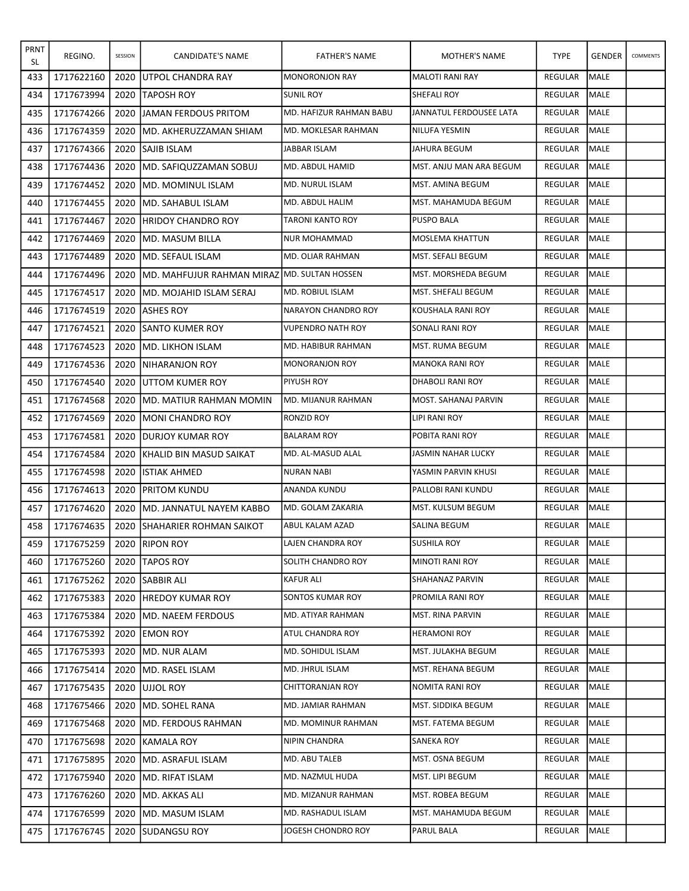| <b>PRNT</b><br>SL | REGINO.    | SESSION | CANDIDATE'S NAME                              | <b>FATHER'S NAME</b>      | MOTHER'S NAME           | <b>TYPE</b>    | <b>GENDER</b> | COMMENTS |
|-------------------|------------|---------|-----------------------------------------------|---------------------------|-------------------------|----------------|---------------|----------|
| 433               | 1717622160 | 2020    | UTPOL CHANDRA RAY                             | <b>MONORONJON RAY</b>     | MALOTI RANI RAY         | REGULAR        | <b>MALE</b>   |          |
| 434               | 1717673994 | 2020    | <b>ITAPOSH ROY</b>                            | <b>SUNIL ROY</b>          | <b>SHEFALI ROY</b>      | <b>REGULAR</b> | <b>MALE</b>   |          |
| 435               | 1717674266 | 2020    | <b>JJAMAN FERDOUS PRITOM</b>                  | MD. HAFIZUR RAHMAN BABU   | JANNATUL FERDOUSEE LATA | <b>REGULAR</b> | <b>MALE</b>   |          |
| 436               | 1717674359 | 2020    | IMD. AKHERUZZAMAN SHIAM                       | MD. MOKLESAR RAHMAN       | NILUFA YESMIN           | REGULAR        | <b>MALE</b>   |          |
| 437               | 1717674366 | 2020    | <b>SAJIB ISLAM</b>                            | JABBAR ISLAM              | JAHURA BEGUM            | <b>REGULAR</b> | <b>MALE</b>   |          |
| 438               | 1717674436 | 2020    | <b>MD. SAFIQUZZAMAN SOBUJ</b>                 | MD. ABDUL HAMID           | MST. ANJU MAN ARA BEGUM | <b>REGULAR</b> | <b>MALE</b>   |          |
| 439               | 1717674452 | 2020    | IMD. MOMINUL ISLAM                            | MD. NURUL ISLAM           | MST. AMINA BEGUM        | REGULAR        | <b>MALE</b>   |          |
| 440               | 1717674455 | 2020    | IMD. SAHABUL ISLAM                            | MD. ABDUL HALIM           | MST. MAHAMUDA BEGUM     | <b>REGULAR</b> | <b>MALE</b>   |          |
| 441               | 1717674467 | 2020    | <b>HRIDOY CHANDRO ROY</b>                     | TARONI KANTO ROY          | PUSPO BALA              | <b>REGULAR</b> | <b>MALE</b>   |          |
| 442               | 1717674469 | 2020    | <b>IMD. MASUM BILLA</b>                       | <b>NUR MOHAMMAD</b>       | <b>MOSLEMA KHATTUN</b>  | REGULAR        | <b>I</b> MALE |          |
| 443               | 1717674489 | 2020    | <b>IMD. SEFAUL ISLAM</b>                      | MD. OLIAR RAHMAN          | MST. SEFALI BEGUM       | REGULAR        | <b>MALE</b>   |          |
| 444               | 1717674496 | 2020    | IMD. MAHFUJUR RAHMAN MIRAZ IMD. SULTAN HOSSEN |                           | MST. MORSHEDA BEGUM     | <b>REGULAR</b> | <b>MALE</b>   |          |
| 445               | 1717674517 | 2020    | <b>IMD. MOJAHID ISLAM SERAJ</b>               | MD. ROBIUL ISLAM          | MST. SHEFALI BEGUM      | REGULAR        | MALE          |          |
| 446               | 1717674519 | 2020    | <b>JASHES ROY</b>                             | INARAYON CHANDRO ROY      | KOUSHALA RANI ROY       | REGULAR        | <b>MALE</b>   |          |
| 447               | 1717674521 | 2020    | <b>ISANTO KUMER ROY</b>                       | <b>VUPENDRO NATH ROY</b>  | SONALI RANI ROY         | <b>REGULAR</b> | <b>MALE</b>   |          |
| 448               | 1717674523 | 2020    | <b>IMD. LIKHON ISLAM</b>                      | MD. HABIBUR RAHMAN        | MST. RUMA BEGUM         | <b>REGULAR</b> | <b>MALE</b>   |          |
| 449               | 1717674536 | 2020    | INIHARANJON ROY                               | <b>MONORANJON ROY</b>     | <b>MANOKA RANI ROY</b>  | REGULAR        | <b>MALE</b>   |          |
| 450               | 1717674540 | 2020    | <b>IUTTOM KUMER ROY</b>                       | <b>PIYUSH ROY</b>         | DHABOLI RANI ROY        | <b>REGULAR</b> | <b>MALE</b>   |          |
| 451               | 1717674568 | 2020    | <b>IMD. MATIUR RAHMAN MOMIN</b>               | MD. MIJANUR RAHMAN        | MOST. SAHANAJ PARVIN    | <b>REGULAR</b> | <b>MALE</b>   |          |
| 452               | 1717674569 | 2020    | <b>IMONI CHANDRO ROY</b>                      | RONZID ROY                | LIPI RANI ROY           | <b>REGULAR</b> | MALE          |          |
| 453               | 1717674581 | 2020    | <b>IDURJOY KUMAR ROY</b>                      | <b>BALARAM ROY</b>        | POBITA RANI ROY         | <b>REGULAR</b> | <b>MALE</b>   |          |
| 454               | 1717674584 | 2020    | <b>IKHALID BIN MASUD SAIKAT</b>               | MD. AL-MASUD ALAL         | JASMIN NAHAR LUCKY      | REGULAR        | <b>MALE</b>   |          |
| 455               | 1717674598 | 2020    | <b>ISTIAK AHMED</b>                           | NURAN NABI                | YASMIN PARVIN KHUSI     | <b>REGULAR</b> | MALE          |          |
| 456               | 1717674613 | 2020    | <b>PRITOM KUNDU</b>                           | ANANDA KUNDU              | PALLOBI RANI KUNDU      | REGULAR        | <b>MALE</b>   |          |
| 457               | 1717674620 | 2020    | <b>IMD. JANNATUL NAYEM KABBO</b>              | MD. GOLAM ZAKARIA         | MST. KULSUM BEGUM       | REGULAR        | MALE          |          |
| 458               | 1717674635 | 2020    | <b>ISHAHARIER ROHMAN SAIKOT</b>               | ABUL KALAM AZAD           | <b>SALINA BEGUM</b>     | <b>REGULAR</b> | MALE          |          |
| 459               | 1717675259 |         | 2020 RIPON ROY                                | LAJEN CHANDRA ROY         | <b>SUSHILA ROY</b>      | REGULAR MALE   |               |          |
| 460               | 1717675260 |         | 2020  TAPOS ROY                               | <b>SOLITH CHANDRO ROY</b> | <b>MINOTI RANI ROY</b>  | REGULAR        | MALE          |          |
| 461               | 1717675262 | 2020    | <b>SABBIR ALI</b>                             | KAFUR ALI                 | SHAHANAZ PARVIN         | <b>REGULAR</b> | MALE          |          |
| 462               | 1717675383 | 2020    | <b>IHREDOY KUMAR ROY</b>                      | SONTOS KUMAR ROY          | PROMILA RANI ROY        | REGULAR        | MALE          |          |
| 463               | 1717675384 | 2020    | IMD. NAEEM FERDOUS                            | MD. ATIYAR RAHMAN         | MST. RINA PARVIN        | REGULAR        | MALE          |          |
| 464               | 1717675392 | 2020    | <b>JEMON ROY</b>                              | ATUL CHANDRA ROY          | <b>HERAMONI ROY</b>     | REGULAR        | <b>MALE</b>   |          |
| 465               | 1717675393 | 2020    | MD. NUR ALAM                                  | <b>MD. SOHIDUL ISLAM</b>  | MST. JULAKHA BEGUM      | REGULAR        | MALE          |          |
| 466               | 1717675414 |         | 2020 JMD. RASEL ISLAM                         | MD. JHRUL ISLAM           | MST. REHANA BEGUM       | REGULAR        | <b>I</b> MALE |          |
| 467               | 1717675435 |         | 2020 JUJJOL ROY                               | CHITTORANJAN ROY          | NOMITA RANI ROY         | REGULAR        | MALE          |          |
| 468               | 1717675466 | 2020    | <b>MD. SOHEL RANA</b>                         | MD. JAMIAR RAHMAN         | MST. SIDDIKA BEGUM      | REGULAR        | MALE          |          |
| 469               | 1717675468 | 2020    | <b>IMD. FERDOUS RAHMAN</b>                    | MD. MOMINUR RAHMAN        | MST. FATEMA BEGUM       | REGULAR        | <b>MALE</b>   |          |
| 470               | 1717675698 | 2020    | KAMALA ROY                                    | NIPIN CHANDRA             | SANEKA ROY              | REGULAR        | MALE          |          |
| 471               | 1717675895 | 2020    | <b>IMD. ASRAFUL ISLAM</b>                     | MD. ABU TALEB             | MST. OSNA BEGUM         | REGULAR        | MALE          |          |
| 472               | 1717675940 | 2020    | <b>IMD. RIFAT ISLAM</b>                       | MD. NAZMUL HUDA           | MST. LIPI BEGUM         | REGULAR        | <b>MALE</b>   |          |
| 473               | 1717676260 | 2020    | <b>JMD. AKKAS ALI</b>                         | MD. MIZANUR RAHMAN        | MST. ROBEA BEGUM        | REGULAR        | MALE          |          |
| 474               | 1717676599 | 2020    | <b>IMD. MASUM ISLAM</b>                       | MD. RASHADUL ISLAM        | MST. MAHAMUDA BEGUM     | REGULAR        | MALE          |          |
| 475               | 1717676745 |         | 2020 ISUDANGSU ROY                            | JOGESH CHONDRO ROY        | PARUL BALA              | REGULAR        | MALE          |          |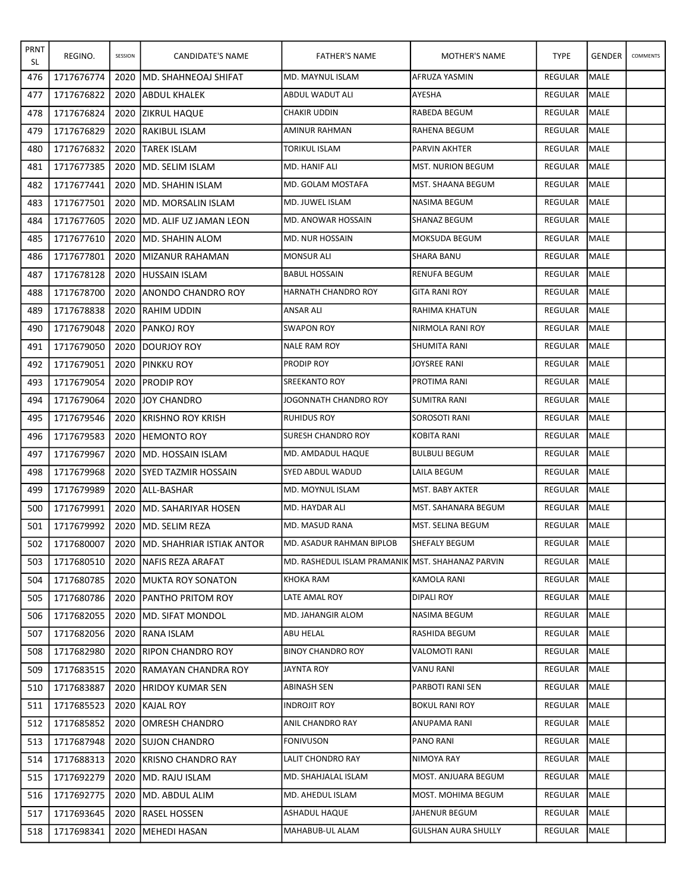| <b>PRNT</b><br>SL | REGINO.    | SESSION | CANDIDATE'S NAME               | <b>FATHER'S NAME</b>                             | MOTHER'S NAME              | <b>TYPE</b>    | <b>GENDER</b> | COMMENTS |
|-------------------|------------|---------|--------------------------------|--------------------------------------------------|----------------------------|----------------|---------------|----------|
| 476               | 1717676774 | 2020    | <b>MD. SHAHNEOAJ SHIFAT</b>    | MD. MAYNUL ISLAM                                 | AFRUZA YASMIN              | <b>REGULAR</b> | <b>MALE</b>   |          |
| 477               | 1717676822 | 2020    | <b>JABDUL KHALEK</b>           | ABDUL WADUT ALI                                  | AYESHA                     | <b>REGULAR</b> | <b>MALE</b>   |          |
| 478               | 1717676824 | 2020    | <b>ZIKRUL HAQUE</b>            | <b>CHAKIR UDDIN</b>                              | <b>RABEDA BEGUM</b>        | REGULAR        | <b>MALE</b>   |          |
| 479               | 1717676829 | 2020    | IRAKIBUL ISLAM                 | AMINUR RAHMAN                                    | RAHENA BEGUM               | REGULAR        | MALE          |          |
| 480               | 1717676832 | 2020    | <b>TAREK ISLAM</b>             | <b>TORIKUL ISLAM</b>                             | PARVIN AKHTER              | <b>REGULAR</b> | <b>MALE</b>   |          |
| 481               | 1717677385 | 2020    | IMD. SELIM ISLAM               | MD. HANIF ALI                                    | <b>MST. NURION BEGUM</b>   | REGULAR        | <b>MALE</b>   |          |
| 482               | 1717677441 | 2020    | <b>IMD. SHAHIN ISLAM</b>       | MD. GOLAM MOSTAFA                                | MST. SHAANA BEGUM          | REGULAR        | MALE          |          |
| 483               | 1717677501 | 2020    | <b>IMD. MORSALIN ISLAM</b>     | MD. JUWEL ISLAM                                  | NASIMA BEGUM               | <b>REGULAR</b> | <b>MALE</b>   |          |
| 484               | 1717677605 | 2020    | İMD. ALIF UZ JAMAN LEON        | MD. ANOWAR HOSSAIN                               | SHANAZ BEGUM               | <b>REGULAR</b> | <b>MALE</b>   |          |
| 485               | 1717677610 | 2020    | IMD. SHAHIN ALOM               | <b>MD. NUR HOSSAIN</b>                           | MOKSUDA BEGUM              | REGULAR        | <b>I</b> MALE |          |
| 486               | 1717677801 | 2020    | <b>IMIZANUR RAHAMAN</b>        | <b>MONSUR ALI</b>                                | <b>SHARA BANU</b>          | REGULAR        | MALE          |          |
| 487               | 1717678128 | 2020    | <b>IHUSSAIN ISLAM</b>          | <b>BABUL HOSSAIN</b>                             | <b>RENUFA BEGUM</b>        | REGULAR        | <b>MALE</b>   |          |
| 488               | 1717678700 | 2020    | <b>JANONDO CHANDRO ROY</b>     | HARNATH CHANDRO ROY                              | <b>GITA RANI ROY</b>       | REGULAR        | MALE          |          |
| 489               | 1717678838 | 2020    | <b>RAHIM UDDIN</b>             | <b>ANSAR ALI</b>                                 | RAHIMA KHATUN              | <b>REGULAR</b> | <b>MALE</b>   |          |
| 490               | 1717679048 | 2020    | <b>IPANKOJ ROY</b>             | <b>SWAPON ROY</b>                                | NIRMOLA RANI ROY           | <b>REGULAR</b> | <b>MALE</b>   |          |
| 491               | 1717679050 | 2020    | <b>IDOURJOY ROY</b>            | <b>NALE RAM ROY</b>                              | SHUMITA RANI               | <b>REGULAR</b> | <b>MALE</b>   |          |
| 492               | 1717679051 | 2020    | <b>PINKKU ROY</b>              | PRODIP ROY                                       | JOYSREE RANI               | REGULAR        | <b>MALE</b>   |          |
| 493               | 1717679054 | 2020    | <b>IPRODIP ROY</b>             | <b>SREEKANTO ROY</b>                             | PROTIMA RANI               | REGULAR        | MALE          |          |
| 494               | 1717679064 | 2020    | <b>JJOY CHANDRO</b>            | JOGONNATH CHANDRO ROY                            | <b>SUMITRA RANI</b>        | REGULAR        | <b>MALE</b>   |          |
| 495               | 1717679546 | 2020    | <b>IKRISHNO ROY KRISH</b>      | <b>RUHIDUS ROY</b>                               | SOROSOTI RANI              | REGULAR        | MALE          |          |
| 496               | 1717679583 | 2020    | <b>IHEMONTO ROY</b>            | <b>SURESH CHANDRO ROY</b>                        | KOBITA RANI                | <b>REGULAR</b> | <b>MALE</b>   |          |
| 497               | 1717679967 | 2020    | <b>IMD. HOSSAIN ISLAM</b>      | MD. AMDADUL HAQUE                                | <b>BULBULI BEGUM</b>       | <b>REGULAR</b> | <b>MALE</b>   |          |
| 498               | 1717679968 | 2020    | <b>SYED TAZMIR HOSSAIN</b>     | SYED ABDUL WADUD                                 | LAILA BEGUM                | REGULAR        | MALE          |          |
| 499               | 1717679989 | 2020    | <b>JALL-BASHAR</b>             | MD. MOYNUL ISLAM                                 | MST. BABY AKTER            | REGULAR        | <b>MALE</b>   |          |
| 500               | 1717679991 | 2020    | IMD. SAHARIYAR HOSEN           | MD. HAYDAR ALI                                   | MST. SAHANARA BEGUM        | REGULAR        | MALE          |          |
| 501               | 1717679992 | 2020    | IMD. SELIM REZA                | MD. MASUD RANA                                   | MST. SELINA BEGUM          | REGULAR        | MALE          |          |
| 502               | 1717680007 |         | 2020 MD. SHAHRIAR ISTIAK ANTOR | MD. ASADUR RAHMAN BIPLOB                         | SHEFALY BEGUM              | REGULAR MALE   |               |          |
| 503               | 1717680510 |         | 2020   NAFIS REZA ARAFAT       | MD. RASHEDUL ISLAM PRAMANIK MST. SHAHANAZ PARVIN |                            | REGULAR        | <b>MALE</b>   |          |
| 504               | 1717680785 | 2020    | <b>IMUKTA ROY SONATON</b>      | KHOKA RAM                                        | <b>KAMOLA RANI</b>         | REGULAR        | MALE          |          |
| 505               | 1717680786 | 2020    | <b>JPANTHO PRITOM ROY</b>      | LATE AMAL ROY                                    | DIPALI ROY                 | REGULAR        | MALE          |          |
| 506               | 1717682055 | 2020    | <b>IMD. SIFAT MONDOL</b>       | MD. JAHANGIR ALOM                                | NASIMA BEGUM               | REGULAR        | MALE          |          |
| 507               | 1717682056 | 2020    | RANA ISLAM                     | ABU HELAL                                        | <b>RASHIDA BEGUM</b>       | REGULAR        | MALE          |          |
| 508               | 1717682980 | 2020    | <b>IRIPON CHANDRO ROY</b>      | <b>BINOY CHANDRO ROY</b>                         | VALOMOTI RANI              | REGULAR        | MALE          |          |
| 509               | 1717683515 | 2020    | <b>IRAMAYAN CHANDRA ROY</b>    | JAYNTA ROY                                       | VANU RANI                  | REGULAR        | <b>MALE</b>   |          |
| 510               | 1717683887 | 2020    | <b>HRIDOY KUMAR SEN</b>        | ABINASH SEN                                      | PARBOTI RANI SEN           | REGULAR        | MALE          |          |
| 511               | 1717685523 | 2020    | KAJAL ROY                      | INDROJIT ROY                                     | <b>BOKUL RANI ROY</b>      | REGULAR        | MALE          |          |
| 512               | 1717685852 | 2020    | JOMRESH CHANDRO                | ANIL CHANDRO RAY                                 | ANUPAMA RANI               | REGULAR        | <b>MALE</b>   |          |
| 513               | 1717687948 | 2020    | <b>SUJON CHANDRO</b>           | <b>FONIVUSON</b>                                 | PANO RANI                  | REGULAR        | MALE          |          |
| 514               | 1717688313 | 2020    | <b>IKRISNO CHANDRO RAY</b>     | LALIT CHONDRO RAY                                | NIMOYA RAY                 | REGULAR        | MALE          |          |
| 515               | 1717692279 | 2020    | <b>IMD. RAJU ISLAM</b>         | MD. SHAHJALAL ISLAM                              | MOST. ANJUARA BEGUM        | REGULAR        | <b>MALE</b>   |          |
| 516               | 1717692775 | 2020    | <b>MD. ABDUL ALIM</b>          | MD. AHEDUL ISLAM                                 | MOST. MOHIMA BEGUM         | REGULAR        | <b>MALE</b>   |          |
| 517               | 1717693645 | 2020    | <b>IRASEL HOSSEN</b>           | ASHADUL HAQUE                                    | JAHENUR BEGUM              | REGULAR        | MALE          |          |
| 518               | 1717698341 |         | 2020   MEHEDI HASAN            | MAHABUB-UL ALAM                                  | <b>GULSHAN AURA SHULLY</b> | REGULAR        | MALE          |          |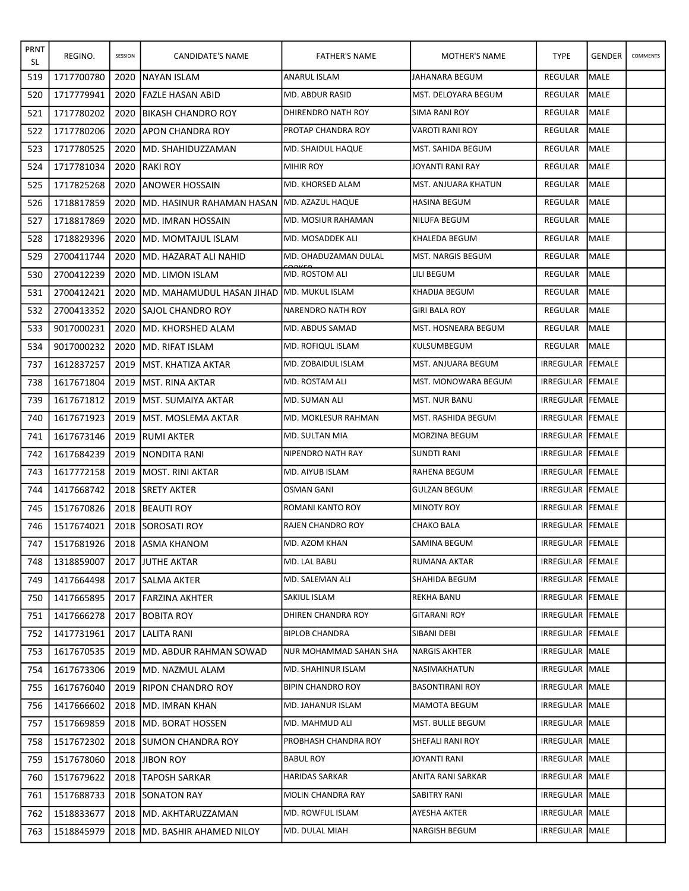| PRNT<br>SL | REGINO.    | SESSION | CANDIDATE'S NAME                                   | <b>FATHER'S NAME</b>     | <b>MOTHER'S NAME</b>       | <b>TYPE</b>             | <b>GENDER</b> | COMMENTS |
|------------|------------|---------|----------------------------------------------------|--------------------------|----------------------------|-------------------------|---------------|----------|
| 519        | 1717700780 | 2020    | <b>INAYAN ISLAM</b>                                | ANARUL ISLAM             | JAHANARA BEGUM             | REGULAR                 | <b>MALE</b>   |          |
| 520        | 1717779941 | 2020    | <b>FAZLE HASAN ABID</b>                            | MD. ABDUR RASID          | MST. DELOYARA BEGUM        | REGULAR                 | MALE          |          |
| 521        | 1717780202 | 2020    | <b>IBIKASH CHANDRO ROY</b>                         | DHIRENDRO NATH ROY       | SIMA RANI ROY              | <b>REGULAR</b>          | MALE          |          |
| 522        | 1717780206 | 2020    | JAPON CHANDRA ROY                                  | PROTAP CHANDRA ROY       | VAROTI RANI ROY            | REGULAR                 | IMALE         |          |
| 523        | 1717780525 | 2020    | IMD. SHAHIDUZZAMAN                                 | MD. SHAIDUL HAQUE        | MST. SAHIDA BEGUM          | REGULAR                 | MALE          |          |
| 524        | 1717781034 | 2020    | IRAKI ROY                                          | <b>MIHIR ROY</b>         | JOYANTI RANI RAY           | <b>REGULAR</b>          | MALE          |          |
| 525        | 1717825268 | 2020    | <b>JANOWER HOSSAIN</b>                             | MD. KHORSED ALAM         | <b>MST. ANJUARA KHATUN</b> | REGULAR                 | <b>I</b> MALE |          |
| 526        | 1718817859 | 2020    | <b>IMD. HASINUR RAHAMAN HASAN MD. AZAZUL HAQUE</b> |                          | <b>HASINA BEGUM</b>        | REGULAR                 | MALE          |          |
| 527        | 1718817869 | 2020    | IMD. IMRAN HOSSAIN                                 | MD. MOSIUR RAHAMAN       | NILUFA BEGUM               | <b>REGULAR</b>          | MALE          |          |
| 528        | 1718829396 | 2020    | IMD. MOMTAJUL ISLAM                                | MD. MOSADDEK ALI         | KHALEDA BEGUM              | REGULAR                 | <b>I</b> MALE |          |
| 529        | 2700411744 | 2020    | <b>JMD. HAZARAT ALI NAHID</b>                      | MD. OHADUZAMAN DULAL     | MST. NARGIS BEGUM          | REGULAR                 | MALE          |          |
| 530        | 2700412239 | 2020    | <b>IMD. LIMON ISLAM</b>                            | MD. ROSTOM ALI           | LILI BEGUM                 | <b>REGULAR</b>          | MALE          |          |
| 531        | 2700412421 | 2020    | IMD. MAHAMUDUL HASAN JIHAD IMD. MUKUL ISLAM        |                          | KHADIJA BEGUM              | <b>REGULAR</b>          | MALE          |          |
| 532        | 2700413352 | 2020    | <b>ISAJOL CHANDRO ROY</b>                          | INARENDRO NATH ROY       | <b>GIRI BALA ROY</b>       | REGULAR                 | MALE          |          |
| 533        | 9017000231 | 2020    | <b>IMD. KHORSHED ALAM</b>                          | MD. ABDUS SAMAD          | MST. HOSNEARA BEGUM        | REGULAR                 | MALE          |          |
| 534        | 9017000232 | 2020    | IMD. RIFAT ISLAM                                   | <b>MD. ROFIQUL ISLAM</b> | KULSUMBEGUM                | <b>REGULAR</b>          | MALE          |          |
| 737        | 1612837257 | 2019    | <b>IMST. KHATIZA AKTAR</b>                         | MD. ZOBAIDUL ISLAM       | MST. ANJUARA BEGUM         | IRREGULAR FEMALE        |               |          |
| 738        | 1617671804 | 2019    | <b>IMST. RINA AKTAR</b>                            | MD. ROSTAM ALI           | MST. MONOWARA BEGUM        | IRREGULAR FEMALE        |               |          |
| 739        | 1617671812 | 2019    | <b>IMST. SUMAIYA AKTAR</b>                         | MD. SUMAN ALI            | <b>MST. NUR BANU</b>       | IRREGULAR FEMALE        |               |          |
| 740        | 1617671923 | 2019    | <b>IMST. MOSLEMA AKTAR</b>                         | MD. MOKLESUR RAHMAN      | MST. RASHIDA BEGUM         | IRREGULAR FEMALE        |               |          |
| 741        | 1617673146 | 2019    | <b>RUMI AKTER</b>                                  | MD. SULTAN MIA           | <b>MORZINA BEGUM</b>       | IRREGULAR FEMALE        |               |          |
| 742        | 1617684239 | 2019    | <b>INONDITA RANI</b>                               | NIPENDRO NATH RAY        | SUNDTI RANI                | IRREGULAR FEMALE        |               |          |
| 743        | 1617772158 | 2019    | <b>IMOST. RINI AKTAR</b>                           | MD. AIYUB ISLAM          | RAHENA BEGUM               | IRREGULAR FEMALE        |               |          |
| 744        | 1417668742 | 2018    | <b>ISRETY AKTER</b>                                | <b>OSMAN GANI</b>        | <b>GULZAN BEGUM</b>        | IRREGULAR FEMALE        |               |          |
| 745        | 1517670826 |         | 2018 BEAUTI ROY                                    | ROMANI KANTO ROY         | <b>MINOTY ROY</b>          | <b>IRREGULAR FEMALE</b> |               |          |
| 746        | 1517674021 |         | 2018 SOROSATI ROY                                  | <b>RAJEN CHANDRO ROY</b> | <b>CHAKO BALA</b>          | <b>IRREGULAR FEMALE</b> |               |          |
| 747        | 1517681926 |         | 2018 ASMA KHANOM                                   | MD. AZOM KHAN            | SAMINA BEGUM               | IRREGULAR FEMALE        |               |          |
| 748        | 1318859007 | 2017    | <b>JUTHE AKTAR</b>                                 | MD. LAL BABU             | RUMANA AKTAR               | IRREGULAR FEMALE        |               |          |
| 749        | 1417664498 | 2017    | <b>SALMA AKTER</b>                                 | MD. SALEMAN ALI          | SHAHIDA BEGUM              | <b>IRREGULAR FEMALE</b> |               |          |
| 750        | 1417665895 | 2017    | <b>FARZINA AKHTER</b>                              | SAKIUL ISLAM             | REKHA BANU                 | IRREGULAR FEMALE        |               |          |
| 751        | 1417666278 | 2017    | <b>BOBITA ROY</b>                                  | DHIREN CHANDRA ROY       | <b>GITARANI ROY</b>        | IRREGULAR FEMALE        |               |          |
| 752        | 1417731961 |         | 2017 LALITA RANI                                   | <b>BIPLOB CHANDRA</b>    | SIBANI DEBI                | IRREGULAR FEMALE        |               |          |
| 753        | 1617670535 | 2019    | <b>IMD. ABDUR RAHMAN SOWAD</b>                     | NUR MOHAMMAD SAHAN SHA   | <b>NARGIS AKHTER</b>       | IRREGULAR MALE          |               |          |
| 754        | 1617673306 | 2019    | <b>IMD. NAZMUL ALAM</b>                            | MD. SHAHINUR ISLAM       | NASIMAKHATUN               | IRREGULAR   MALE        |               |          |
| 755        | 1617676040 | 2019    | <b>RIPON CHANDRO ROY</b>                           | <b>BIPIN CHANDRO ROY</b> | <b>BASONTIRANI ROY</b>     | <b>IRREGULAR MALE</b>   |               |          |
| 756        | 1417666602 | 2018    | <b>MD. IMRAN KHAN</b>                              | MD. JAHANUR ISLAM        | <b>MAMOTA BEGUM</b>        | IRREGULAR MALE          |               |          |
| 757        | 1517669859 |         | 2018 JMD. BORAT HOSSEN                             | MD. MAHMUD ALI           | MST. BULLE BEGUM           | IRREGULAR MALE          |               |          |
| 758        | 1517672302 | 2018    | <b>ISUMON CHANDRA ROY</b>                          | PROBHASH CHANDRA ROY     | SHEFALI RANI ROY           | <b>IRREGULAR MALE</b>   |               |          |
| 759        | 1517678060 | 2018    | <b>JIBON ROY</b>                                   | <b>BABUL ROY</b>         | JOYANTI RANI               | IRREGULAR MALE          |               |          |
| 760        | 1517679622 |         | 2018   TAPOSH SARKAR                               | <b>HARIDAS SARKAR</b>    | ANITA RANI SARKAR          | IRREGULAR MALE          |               |          |
| 761        | 1517688733 |         | 2018 SONATON RAY                                   | MOLIN CHANDRA RAY        | SABITRY RANI               | IRREGULAR MALE          |               |          |
| 762        | 1518833677 | 2018    | <b>MD. AKHTARUZZAMAN</b>                           | MD. ROWFUL ISLAM         | AYESHA AKTER               | IRREGULAR MALE          |               |          |
| 763        | 1518845979 |         | 2018   MD. BASHIR AHAMED NILOY                     | MD. DULAL MIAH           | NARGISH BEGUM              | IRREGULAR MALE          |               |          |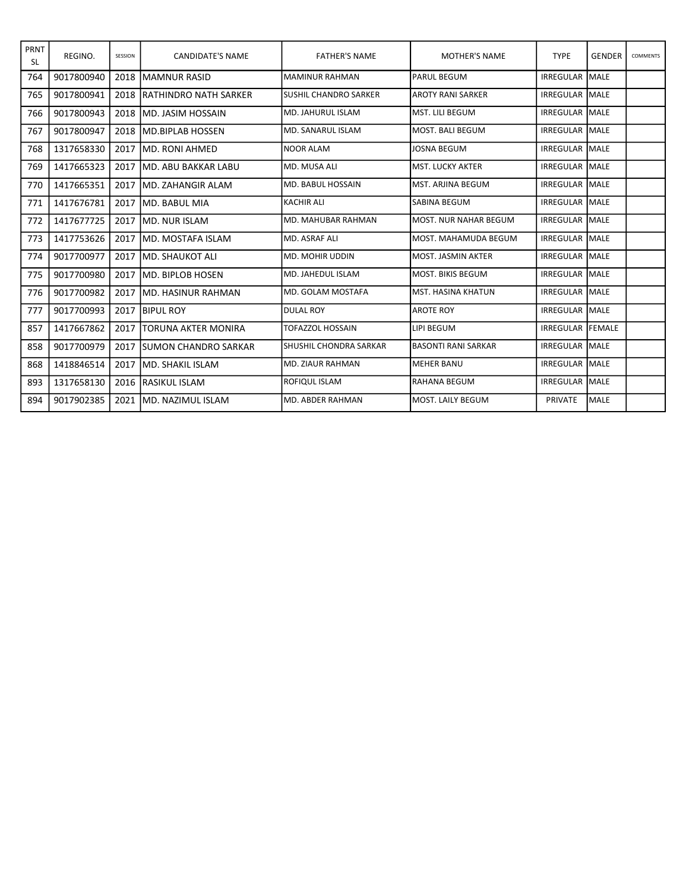| PRNT<br><b>SL</b> | REGINO.    | SESSION | <b>CANDIDATE'S NAME</b>       | <b>FATHER'S NAME</b>          | <b>MOTHER'S NAME</b>       | <b>TYPE</b>             | <b>GENDER</b> | <b>COMMENTS</b> |
|-------------------|------------|---------|-------------------------------|-------------------------------|----------------------------|-------------------------|---------------|-----------------|
| 764               | 9017800940 | 2018    | İMAMNUR RASID                 | IMAMINUR RAHMAN               | <b>PARUL BEGUM</b>         | <b>IRREGULAR MALE</b>   |               |                 |
| 765               | 9017800941 | 2018    | <b>IRATHINDRO NATH SARKER</b> | <b>SUSHIL CHANDRO SARKER</b>  | AROTY RANI SARKER          | <b>IRREGULAR MALE</b>   |               |                 |
| 766               | 9017800943 | 2018    | IMD. JASIM HOSSAIN            | MD. JAHURUL ISLAM             | lMST. LILI BEGUM           | <b>IRREGULAR MALE</b>   |               |                 |
| 767               | 9017800947 | 2018    | <b>IMD.BIPLAB HOSSEN</b>      | <b>I</b> MD. SANARUL ISLAM    | lMOST. BALI BEGUM          | <b>IRREGULAR MALE</b>   |               |                 |
| 768               | 1317658330 | 2017    | IMD. RONI AHMED               | <b>NOOR ALAM</b>              | <b>JOSNA BEGUM</b>         | <b>IRREGULAR MALE</b>   |               |                 |
| 769               | 1417665323 | 2017    | MD. ABU BAKKAR LABU           | MD. MUSA ALI                  | <b>MST. LUCKY AKTER</b>    | <b>IRREGULAR MALE</b>   |               |                 |
| 770               | 1417665351 | 2017    | İMD. ZAHANGIR ALAM            | MD. BABUL HOSSAIN             | MST. ARJINA BEGUM          | <b>IRREGULAR MALE</b>   |               |                 |
| 771               | 1417676781 | 2017    | lMD. BABUL MIA                | İKACHIR ALI                   | <b>SABINA BEGUM</b>        | <b>IRREGULAR MALE</b>   |               |                 |
| 772               | 1417677725 | 2017    | IMD. NUR ISLAM                | IMD. MAHUBAR RAHMAN           | MOST. NUR NAHAR BEGUM      | <b>IRREGULAR MALE</b>   |               |                 |
| 773               | 1417753626 | 2017    | MD. MOSTAFA ISLAM             | MD. ASRAF ALI                 | MOST. MAHAMUDA BEGUM       | <b>IRREGULAR MALE</b>   |               |                 |
| 774               | 9017700977 | 2017    | <b>I</b> MD. SHAUKOT ALI      | MD. MOHIR UDDIN               | MOST, JASMIN AKTER         | <b>IRREGULAR IMALE</b>  |               |                 |
| 775               | 9017700980 | 2017    | IMD. BIPLOB HOSEN             | IMD. JAHEDUL ISLAM            | lmost. Bikis begum         | <b>IRREGULAR IMALE</b>  |               |                 |
| 776               | 9017700982 | 2017    | IMD. HASINUR RAHMAN           | <b>I</b> MD. GOLAM MOSTAFA    | lMST. HASINA KHATUN        | <b>IRREGULAR MALE</b>   |               |                 |
| 777               | 9017700993 | 2017    | <b>BIPUL ROY</b>              | <b>DULAL ROY</b>              | <b>AROTE ROY</b>           | <b>IRREGULAR MALE</b>   |               |                 |
| 857               | 1417667862 | 2017    | <b>ITORUNA AKTER MONIRA</b>   | <b>TOFAZZOL HOSSAIN</b>       | LIPI BEGUM                 | <b>IRREGULAR FEMALE</b> |               |                 |
| 858               | 9017700979 | 2017    | <b>ISUMON CHANDRO SARKAR</b>  | <b>SHUSHIL CHONDRA SARKAR</b> | <b>BASONTI RANI SARKAR</b> | <b>IRREGULAR MALE</b>   |               |                 |
| 868               | 1418846514 | 2017    | İMD. SHAKIL ISLAM             | MD. ZIAUR RAHMAN              | <b>MEHER BANU</b>          | <b>IRREGULAR MALE</b>   |               |                 |
| 893               | 1317658130 | 2016    | <b>IRASIKUL ISLAM</b>         | <b>ROFIQUL ISLAM</b>          | lRAHANA BEGUM              | <b>IRREGULAR MALE</b>   |               |                 |
| 894               | 9017902385 | 2021    | <b>IMD. NAZIMUL ISLAM</b>     | MD. ABDER RAHMAN              | lMOST. LAILY BEGUM         | <b>PRIVATE</b>          | <b>IMALE</b>  |                 |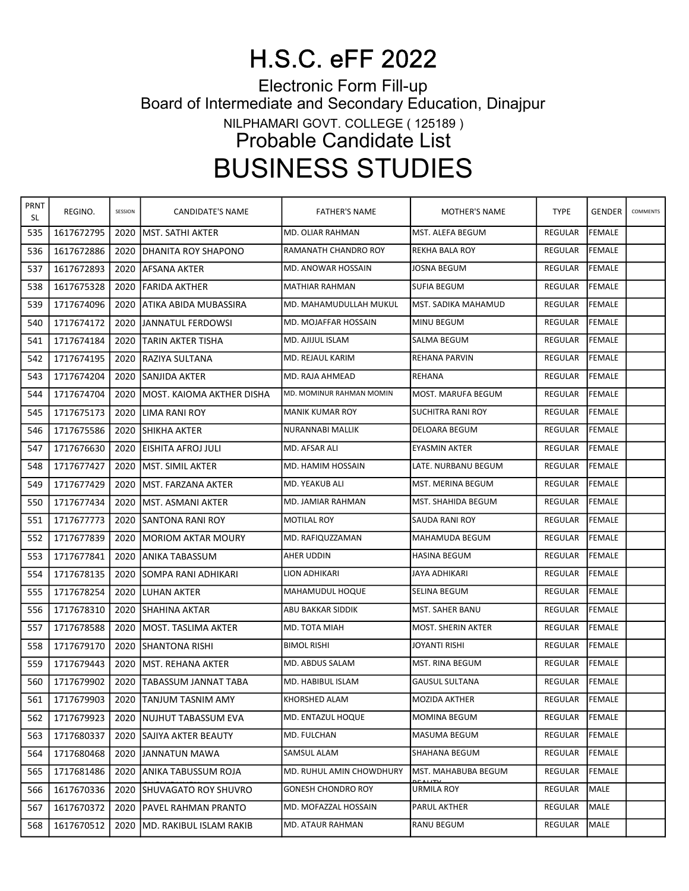## H.S.C. eFF 2022

Electronic Form Fill-up Board of Intermediate and Secondary Education, Dinajpur NILPHAMARI GOVT. COLLEGE ( 125189 ) Probable Candidate List BUSINESS STUDIES

| PRNT<br>SL | REGINO.    | SESSION | CANDIDATE'S NAME             | <b>FATHER'S NAME</b>        | MOTHER'S NAME         | <b>TYPE</b>    | <b>GENDER</b> | COMMENTS |
|------------|------------|---------|------------------------------|-----------------------------|-----------------------|----------------|---------------|----------|
| 535        | 1617672795 | 2020    | lMST. SATHI AKTER            | MD. OLIAR RAHMAN            | MST. ALEFA BEGUM      | <b>REGULAR</b> | FEMALE        |          |
| 536        | 1617672886 | 2020    | DHANITA ROY SHAPONO          | RAMANATH CHANDRO ROY        | REKHA BALA ROY        | REGULAR        | <b>FEMALE</b> |          |
| 537        | 1617672893 | 2020    | IAFSANA AKTER                | MD. ANOWAR HOSSAIN          | <b>JOSNA BEGUM</b>    | REGULAR        | <b>FEMALE</b> |          |
| 538        | 1617675328 | 2020    | lFARIDA AKTHER               | <b>MATHIAR RAHMAN</b>       | SUFIA BEGUM           | REGULAR        | <b>FEMALE</b> |          |
| 539        | 1717674096 | 2020    | ATIKA ABIDA MUBASSIRA        | MD. MAHAMUDULLAH MUKUL      | MST. SADIKA MAHAMUD   | <b>REGULAR</b> | <b>FEMALE</b> |          |
| 540        | 1717674172 | 2020    | JANNATUL FERDOWSI            | <b>MD. MOJAFFAR HOSSAIN</b> | MINU BEGUM            | REGULAR        | <b>FEMALE</b> |          |
| 541        | 1717674184 | 2020    | <b>TARIN AKTER TISHA</b>     | MD. AJIJUL ISLAM            | SALMA BEGUM           | <b>REGULAR</b> | <b>FEMALE</b> |          |
| 542        | 1717674195 | 2020    | IRAZIYA SULTANA              | MD. REJAUL KARIM            | <b>REHANA PARVIN</b>  | <b>REGULAR</b> | FEMALE        |          |
| 543        | 1717674204 | 2020    | lSANJIDA AKTER               | MD. RAJA AHMEAD             | REHANA                | REGULAR        | <b>FEMALE</b> |          |
| 544        | 1717674704 | 2020    | MOST. KAIOMA AKTHER DISHA    | MD. MOMINUR RAHMAN MOMIN    | MOST. MARUFA BEGUM    | REGULAR        | FEMALE        |          |
| 545        | 1717675173 | 2020    | LIMA RANI ROY                | <b>MANIK KUMAR ROY</b>      | SUCHITRA RANI ROY     | <b>REGULAR</b> | <b>FEMALE</b> |          |
| 546        | 1717675586 | 2020    | SHIKHA AKTER                 | NURANNABI MALLIK            | DELOARA BEGUM         | REGULAR        | <b>FEMALE</b> |          |
| 547        | 1717676630 | 2020    | IEISHITA AFROJ JULI          | MD. AFSAR ALI               | EYASMIN AKTER         | <b>REGULAR</b> | <b>FEMALE</b> |          |
| 548        | 1717677427 | 2020    | MST. SIMIL AKTER             | MD. HAMIM HOSSAIN           | LATE. NURBANU BEGUM   | <b>REGULAR</b> | FEMALE        |          |
| 549        | 1717677429 | 2020    | lMST. FARZANA AKTER          | MD. YEAKUB ALI              | MST. MERINA BEGUM     | <b>REGULAR</b> | FEMALE        |          |
| 550        | 1717677434 | 2020    | MST. ASMANI AKTER            | MD. JAMIAR RAHMAN           | MST. SHAHIDA BEGUM    | <b>REGULAR</b> | <b>FEMALE</b> |          |
| 551        | 1717677773 | 2020    | <b>SANTONA RANI ROY</b>      | <b>MOTILAL ROY</b>          | SAUDA RANI ROY        | <b>REGULAR</b> | <b>FEMALE</b> |          |
| 552        | 1717677839 | 2020    | IMORIOM AKTAR MOURY          | MD. RAFIQUZZAMAN            | MAHAMUDA BEGUM        | <b>REGULAR</b> | FEMALE        |          |
| 553        | 1717677841 | 2020    | IANIKA TABASSUM              | AHER UDDIN                  | <b>HASINA BEGUM</b>   | REGULAR        | <b>FEMALE</b> |          |
| 554        | 1717678135 | 2020    | ISOMPA RANI ADHIKARI         | LION ADHIKARI               | JAYA ADHIKARI         | <b>REGULAR</b> | FEMALE        |          |
| 555        | 1717678254 | 2020    | ILUHAN AKTER                 | MAHAMUDUL HOQUE             | SELINA BEGUM          | REGULAR        | <b>FEMALE</b> |          |
| 556        | 1717678310 | 2020    | SHAHINA AKTAR                | ABU BAKKAR SIDDIK           | MST. SAHER BANU       | <b>REGULAR</b> | <b>FEMALE</b> |          |
| 557        | 1717678588 | 2020    | lMOST. TASLIMA AKTER         | MD. TOTA MIAH               | MOST. SHERIN AKTER    | <b>REGULAR</b> | FEMALE        |          |
| 558        | 1717679170 | 2020    | ISHANTONA RISHI              | <b>BIMOL RISHI</b>          | JOYANTI RISHI         | REGULAR        | FEMALE        |          |
| 559        | 1717679443 | 2020    | IMST. REHANA AKTER           | MD. ABDUS SALAM             | MST. RINA BEGUM       | <b>REGULAR</b> | <b>FEMALE</b> |          |
| 560        | 1717679902 | 2020    | TABASSUM JANNAT TABA         | MD. HABIBUL ISLAM           | <b>GAUSUL SULTANA</b> | REGULAR        | FEMALE        |          |
| 561        | 1717679903 |         | 2020 TANJUM TASNIM AMY       | KHORSHED ALAM               | MOZIDA AKTHER         | REGULAR FEMALE |               |          |
| 562        | 1717679923 | 2020    | INUJHUT TABASSUM EVA         | MD. ENTAZUL HOQUE           | MOMINA BEGUM          | REGULAR        | FEMALE        |          |
| 563        | 1717680337 | 2020    | SAJIYA AKTER BEAUTY          | MD. FULCHAN                 | MASUMA BEGUM          | REGULAR        | <b>FEMALE</b> |          |
| 564        | 1717680468 | 2020    | JANNATUN MAWA                | SAMSUL ALAM                 | SHAHANA BEGUM         | REGULAR        | <b>FEMALE</b> |          |
| 565        | 1717681486 | 2020    | ANIKA TABUSSUM ROJA          | MD. RUHUL AMIN CHOWDHURY    | MST. MAHABUBA BEGUM   | REGULAR        | FEMALE        |          |
| 566        | 1617670336 | 2020    | <b>ISHUVAGATO ROY SHUVRO</b> | <b>GONESH CHONDRO ROY</b>   | URMILA ROY            | <b>REGULAR</b> | MALE          |          |
| 567        | 1617670372 | 2020    | PAVEL RAHMAN PRANTO          | MD. MOFAZZAL HOSSAIN        | PARUL AKTHER          | <b>REGULAR</b> | <b>MALE</b>   |          |
| 568        | 1617670512 | 2020    | İMD. RAKIBUL ISLAM RAKIB     | MD. ATAUR RAHMAN            | RANU BEGUM            | REGULAR        | <b>MALE</b>   |          |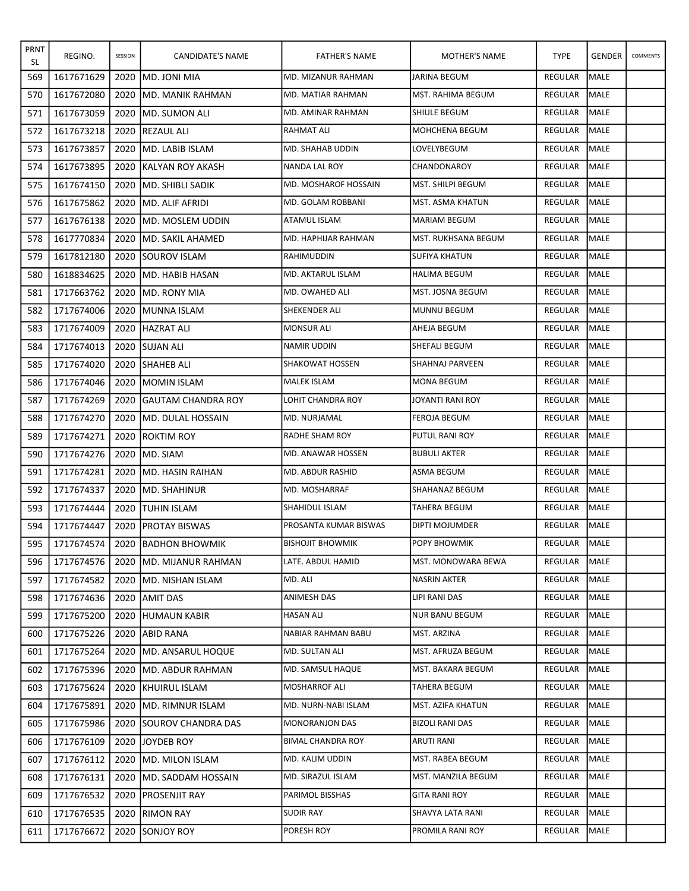| <b>PRNT</b><br>SL | REGINO.    | SESSION | CANDIDATE'S NAME           | <b>FATHER'S NAME</b>     | MOTHER'S NAME       | <b>TYPE</b>    | <b>GENDER</b> | COMMENTS |
|-------------------|------------|---------|----------------------------|--------------------------|---------------------|----------------|---------------|----------|
| 569               | 1617671629 | 2020    | <b>IMD. JONI MIA</b>       | MD. MIZANUR RAHMAN       | JARINA BEGUM        | REGULAR        | <b>MALE</b>   |          |
| 570               | 1617672080 | 2020    | <b>JMD. MANIK RAHMAN</b>   | MD. MATIAR RAHMAN        | MST. RAHIMA BEGUM   | <b>REGULAR</b> | <b>MALE</b>   |          |
| 571               | 1617673059 | 2020    | <b>IMD. SUMON ALI</b>      | MD. AMINAR RAHMAN        | SHIULE BEGUM        | <b>REGULAR</b> | <b>MALE</b>   |          |
| 572               | 1617673218 | 2020    | <b>REZAUL ALI</b>          | <b>RAHMAT ALI</b>        | MOHCHENA BEGUM      | REGULAR        | MALE          |          |
| 573               | 1617673857 | 2020    | <b>IMD. LABIB ISLAM</b>    | MD. SHAHAB UDDIN         | LOVELYBEGUM         | REGULAR        | <b>MALE</b>   |          |
| 574               | 1617673895 | 2020    | IKALYAN ROY AKASH          | NANDA LAL ROY            | CHANDONAROY         | <b>REGULAR</b> | <b>MALE</b>   |          |
| 575               | 1617674150 | 2020    | <b>IMD. SHIBLI SADIK</b>   | MD. MOSHAROF HOSSAIN     | MST. SHILPI BEGUM   | REGULAR        | MALE          |          |
| 576               | 1617675862 | 2020    | <b>IMD. ALIF AFRIDI</b>    | MD. GOLAM ROBBANI        | MST. ASMA KHATUN    | <b>REGULAR</b> | <b>MALE</b>   |          |
| 577               | 1617676138 | 2020    | IMD. MOSLEM UDDIN          | ATAMUL ISLAM             | <b>MARIAM BEGUM</b> | REGULAR        | MALE          |          |
| 578               | 1617770834 | 2020    | <b>IMD. SAKIL AHAMED</b>   | MD. HAPHIJAR RAHMAN      | MST. RUKHSANA BEGUM | REGULAR        | IMALE         |          |
| 579               | 1617812180 | 2020    | <b>ISOUROV ISLAM</b>       | RAHIMUDDIN               | SUFIYA KHATUN       | REGULAR        | MALE          |          |
| 580               | 1618834625 | 2020    | IMD. HABIB HASAN           | <b>MD. AKTARUL ISLAM</b> | <b>HALIMA BEGUM</b> | REGULAR        | MALE          |          |
| 581               | 1717663762 | 2020    | <b>IMD. RONY MIA</b>       | MD. OWAHED ALI           | MST. JOSNA BEGUM    | REGULAR        | MALE          |          |
| 582               | 1717674006 | 2020    | <b>IMUNNA ISLAM</b>        | SHEKENDER ALI            | <b>MUNNU BEGUM</b>  | REGULAR        | MALE          |          |
| 583               | 1717674009 | 2020    | <b>HAZRAT ALI</b>          | <b>MONSUR ALI</b>        | AHEJA BEGUM         | <b>REGULAR</b> | <b>MALE</b>   |          |
| 584               | 1717674013 | 2020    | <b>ISUJAN ALI</b>          | NAMIR UDDIN              | SHEFALI BEGUM       | REGULAR        | <b>MALE</b>   |          |
| 585               | 1717674020 | 2020    | <b>SHAHEB ALI</b>          | <b>SHAKOWAT HOSSEN</b>   | SHAHNAJ PARVEEN     | REGULAR        | MALE          |          |
| 586               | 1717674046 | 2020    | IMOMIN ISLAM               | <b>MALEK ISLAM</b>       | <b>MONA BEGUM</b>   | REGULAR        | MALE          |          |
| 587               | 1717674269 | 2020    | <b>IGAUTAM CHANDRA ROY</b> | LOHIT CHANDRA ROY        | JOYANTI RANI ROY    | REGULAR        | <b>MALE</b>   |          |
| 588               | 1717674270 | 2020    | <b>IMD. DULAL HOSSAIN</b>  | MD. NURJAMAL             | FEROJA BEGUM        | REGULAR        | MALE          |          |
| 589               | 1717674271 | 2020    | <b>IROKTIM ROY</b>         | <b>RADHE SHAM ROY</b>    | PUTUL RANI ROY      | REGULAR        | <b>MALE</b>   |          |
| 590               | 1717674276 | 2020    | IMD. SIAM                  | MD. ANAWAR HOSSEN        | <b>BUBULI AKTER</b> | <b>REGULAR</b> | <b>MALE</b>   |          |
| 591               | 1717674281 | 2020    | <b>IMD. HASIN RAIHAN</b>   | MD. ABDUR RASHID         | ASMA BEGUM          | REGULAR        | MALE          |          |
| 592               | 1717674337 | 2020    | IMD. SHAHINUR              | MD. MOSHARRAF            | SHAHANAZ BEGUM      | REGULAR        | MALE          |          |
| 593               | 1717674444 | 2020    | <b>ITUHIN ISLAM</b>        | <b>SHAHIDUL ISLAM</b>    | <b>TAHERA BEGUM</b> | REGULAR        | MALE          |          |
| 594               | 1717674447 | 2020    | <b>IPROTAY BISWAS</b>      | PROSANTA KUMAR BISWAS    | DIPTI MOJUMDER      | REGULAR        | <b>MALE</b>   |          |
| 595               | 1717674574 |         | 2020 BADHON BHOWMIK        | <b>BISHOJIT BHOWMIK</b>  | <b>POPY BHOWMIK</b> | REGULAR MALE   |               |          |
| 596               | 1717674576 |         | 2020 JMD. MIJANUR RAHMAN   | LATE. ABDUL HAMID        | MST. MONOWARA BEWA  | REGULAR        | MALE          |          |
| 597               | 1717674582 | 2020    | IMD. NISHAN ISLAM          | MD. ALI                  | NASRIN AKTER        | REGULAR        | <b>MALE</b>   |          |
| 598               | 1717674636 | 2020    | JAMIT DAS                  | ANIMESH DAS              | LIPI RANI DAS       | REGULAR        | MALE          |          |
| 599               | 1717675200 | 2020    | <b>HUMAUN KABIR</b>        | <b>HASAN ALI</b>         | NUR BANU BEGUM      | REGULAR        | <b>MALE</b>   |          |
| 600               | 1717675226 | 2020    | <b>JABID RANA</b>          | NABIAR RAHMAN BABU       | MST. ARZINA         | REGULAR        | <b>MALE</b>   |          |
| 601               | 1717675264 | 2020    | <b>IMD. ANSARUL HOQUE</b>  | MD. SULTAN ALI           | MST. AFRUZA BEGUM   | REGULAR        | MALE          |          |
| 602               | 1717675396 |         | 2020 IMD. ABDUR RAHMAN     | MD. SAMSUL HAQUE         | MST. BAKARA BEGUM   | REGULAR        | <b>MALE</b>   |          |
| 603               | 1717675624 |         | 2020 KHUIRUL ISLAM         | <b>MOSHARROF ALI</b>     | TAHERA BEGUM        | REGULAR        | MALE          |          |
| 604               | 1717675891 | 2020    | <b>IMD. RIMNUR ISLAM</b>   | MD. NURN-NABI ISLAM      | MST. AZIFA KHATUN   | REGULAR        | <b>MALE</b>   |          |
| 605               | 1717675986 |         | 2020 ISOUROV CHANDRA DAS   | <b>MONORANJON DAS</b>    | BIZOLI RANI DAS     | REGULAR        | <b>MALE</b>   |          |
| 606               | 1717676109 | 2020    | JOYDEB ROY                 | BIMAL CHANDRA ROY        | ARUTI RANI          | REGULAR        | MALE          |          |
| 607               | 1717676112 | 2020    | <b>IMD. MILON ISLAM</b>    | MD. KALIM UDDIN          | MST. RABEA BEGUM    | REGULAR        | MALE          |          |
| 608               | 1717676131 |         | 2020 JMD. SADDAM HOSSAIN   | MD. SIRAZUL ISLAM        | MST. MANZILA BEGUM  | REGULAR        | <b>MALE</b>   |          |
| 609               | 1717676532 | 2020    | <b>PROSENJIT RAY</b>       | PARIMOL BISSHAS          | GITA RANI ROY       | REGULAR        | MALE          |          |
| 610               | 1717676535 | 2020    | <b>RIMON RAY</b>           | <b>SUDIR RAY</b>         | SHAVYA LATA RANI    | REGULAR        | MALE          |          |
| 611               | 1717676672 |         | 2020 SONJOY ROY            | PORESH ROY               | PROMILA RANI ROY    | REGULAR        | MALE          |          |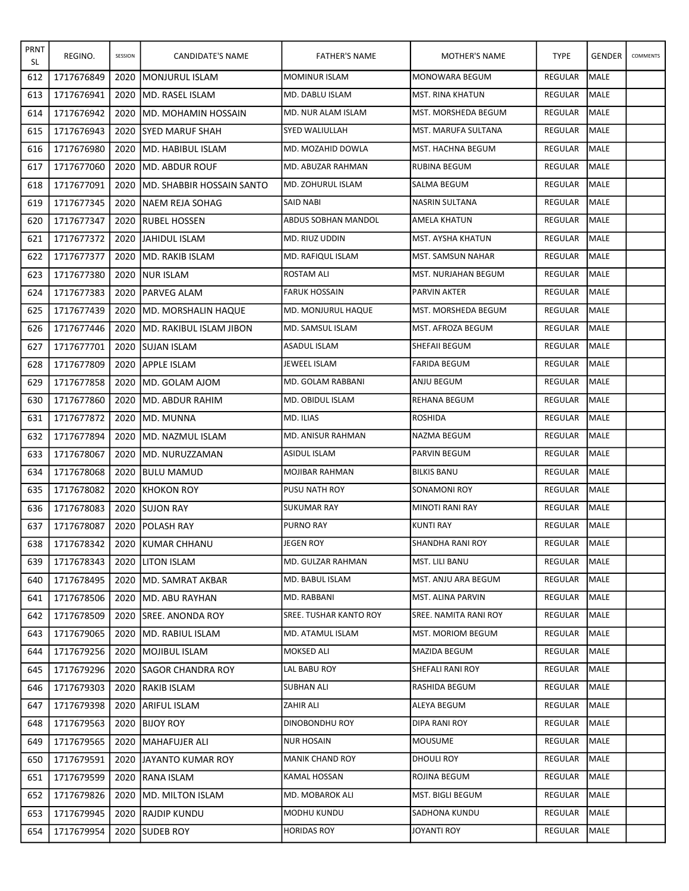| <b>PRNT</b><br>SL | REGINO.    | SESSION | CANDIDATE'S NAME            | <b>FATHER'S NAME</b>     | MOTHER'S NAME            | <b>TYPE</b>    | <b>GENDER</b> | COMMENTS |
|-------------------|------------|---------|-----------------------------|--------------------------|--------------------------|----------------|---------------|----------|
| 612               | 1717676849 | 2020    | <b>IMONJURUL ISLAM</b>      | <b>MOMINUR ISLAM</b>     | <b>MONOWARA BEGUM</b>    | REGULAR        | <b>MALE</b>   |          |
| 613               | 1717676941 | 2020    | IMD. RASEL ISLAM            | MD. DABLU ISLAM          | <b>MST. RINA KHATUN</b>  | REGULAR        | <b>MALE</b>   |          |
| 614               | 1717676942 | 2020    | IMD. MOHAMIN HOSSAIN        | MD. NUR ALAM ISLAM       | MST. MORSHEDA BEGUM      | <b>REGULAR</b> | <b>MALE</b>   |          |
| 615               | 1717676943 | 2020    | <b>ISYED MARUF SHAH</b>     | SYED WALIULLAH           | MST. MARUFA SULTANA      | REGULAR        | MALE          |          |
| 616               | 1717676980 | 2020    | IMD. HABIBUL ISLAM          | MD. MOZAHID DOWLA        | MST. HACHNA BEGUM        | <b>REGULAR</b> | <b>MALE</b>   |          |
| 617               | 1717677060 | 2020    | IMD. ABDUR ROUF             | MD. ABUZAR RAHMAN        | <b>RUBINA BEGUM</b>      | <b>REGULAR</b> | <b>MALE</b>   |          |
| 618               | 1717677091 | 2020    | IMD. SHABBIR HOSSAIN SANTO  | <b>MD. ZOHURUL ISLAM</b> | SALMA BEGUM              | REGULAR        | MALE          |          |
| 619               | 1717677345 | 2020    | <b>INAEM REJA SOHAG</b>     | <b>SAID NABI</b>         | <b>NASRIN SULTANA</b>    | <b>REGULAR</b> | <b>MALE</b>   |          |
| 620               | 1717677347 | 2020    | <b>IRUBEL HOSSEN</b>        | ABDUS SOBHAN MANDOL      | AMELA KHATUN             | REGULAR        | <b>MALE</b>   |          |
| 621               | 1717677372 | 2020    | <b>JJAHIDUL ISLAM</b>       | MD. RIUZ UDDIN           | MST. AYSHA KHATUN        | REGULAR        | <b>I</b> MALE |          |
| 622               | 1717677377 | 2020    | <b>IMD. RAKIB ISLAM</b>     | MD. RAFIQUL ISLAM        | <b>MST. SAMSUN NAHAR</b> | REGULAR        | <b>MALE</b>   |          |
| 623               | 1717677380 | 2020    | <b>INUR ISLAM</b>           | <b>ROSTAM ALI</b>        | MST. NURJAHAN BEGUM      | REGULAR        | MALE          |          |
| 624               | 1717677383 | 2020    | <b>IPARVEG ALAM</b>         | <b>FARUK HOSSAIN</b>     | PARVIN AKTER             | REGULAR        | MALE          |          |
| 625               | 1717677439 | 2020    | <b>IMD. MORSHALIN HAQUE</b> | MD. MONJURUL HAQUE       | MST. MORSHEDA BEGUM      | REGULAR        | <b>MALE</b>   |          |
| 626               | 1717677446 | 2020    | İMD. RAKIBUL ISLAM JIBON    | MD. SAMSUL ISLAM         | MST. AFROZA BEGUM        | <b>REGULAR</b> | <b>MALE</b>   |          |
| 627               | 1717677701 | 2020    | <b>SUJAN ISLAM</b>          | ASADUL ISLAM             | SHEFAII BEGUM            | REGULAR        | <b>MALE</b>   |          |
| 628               | 1717677809 | 2020    | <b>JAPPLE ISLAM</b>         | <b>JEWEEL ISLAM</b>      | <b>FARIDA BEGUM</b>      | REGULAR        | <b>MALE</b>   |          |
| 629               | 1717677858 | 2020    | IMD. GOLAM AJOM             | MD. GOLAM RABBANI        | ANJU BEGUM               | REGULAR        | MALE          |          |
| 630               | 1717677860 | 2020    | IMD. ABDUR RAHIM            | MD. OBIDUL ISLAM         | REHANA BEGUM             | <b>REGULAR</b> | <b>MALE</b>   |          |
| 631               | 1717677872 | 2020    | IMD. MUNNA                  | MD. ILIAS                | <b>ROSHIDA</b>           | <b>REGULAR</b> | MALE          |          |
| 632               | 1717677894 | 2020    | IMD. NAZMUL ISLAM           | MD. ANISUR RAHMAN        | NAZMA BEGUM              | REGULAR        | MALE          |          |
| 633               | 1717678067 | 2020    | <b>IMD. NURUZZAMAN</b>      | ASIDUL ISLAM             | PARVIN BEGUM             | REGULAR        | <b>MALE</b>   |          |
| 634               | 1717678068 | 2020    | <b>IBULU MAMUD</b>          | MOJIBAR RAHMAN           | <b>BILKIS BANU</b>       | REGULAR        | MALE          |          |
| 635               | 1717678082 | 2020    | <b>IKHOKON ROY</b>          | <b>PUSU NATH ROY</b>     | <b>SONAMONI ROY</b>      | REGULAR        | MALE          |          |
| 636               | 1717678083 | 2020    | <b>ISUJON RAY</b>           | <b>SUKUMAR RAY</b>       | <b>MINOTI RANI RAY</b>   | REGULAR        | MALE          |          |
| 637               | 1717678087 | 2020    | <b>POLASH RAY</b>           | <b>PURNO RAY</b>         | <b>KUNTI RAY</b>         | REGULAR        | MALE          |          |
| 638               | 1717678342 |         | 2020 KUMAR CHHANU           | JEGEN ROY                | SHANDHA RANI ROY         | REGULAR MALE   |               |          |
| 639               | 1717678343 |         | 2020 JLITON ISLAM           | MD. GULZAR RAHMAN        | MST. LILI BANU           | REGULAR        | MALE          |          |
| 640               | 1717678495 | 2020    | <b>IMD. SAMRAT AKBAR</b>    | MD. BABUL ISLAM          | MST. ANJU ARA BEGUM      | REGULAR        | MALE          |          |
| 641               | 1717678506 | 2020    | <b>MD. ABU RAYHAN</b>       | MD. RABBANI              | MST. ALINA PARVIN        | REGULAR        | MALE          |          |
| 642               | 1717678509 |         | 2020 ISREE. ANONDA ROY      | SREE. TUSHAR KANTO ROY   | SREE. NAMITA RANI ROY    | REGULAR        | MALE          |          |
| 643               | 1717679065 | 2020    | IMD. RABIUL ISLAM           | MD. ATAMUL ISLAM         | MST. MORIOM BEGUM        | REGULAR        | MALE          |          |
| 644               | 1717679256 | 2020    | <b>IMOJIBUL ISLAM</b>       | MOKSED ALI               | MAZIDA BEGUM             | REGULAR        | MALE          |          |
| 645               | 1717679296 |         | 2020 ISAGOR CHANDRA ROY     | LAL BABU ROY             | SHEFALI RANI ROY         | REGULAR        | <b>I</b> MALE |          |
| 646               | 1717679303 | 2020    | <b>IRAKIB ISLAM</b>         | <b>SUBHAN ALI</b>        | RASHIDA BEGUM            | REGULAR        | MALE          |          |
| 647               | 1717679398 | 2020    | ARIFUL ISLAM                | ZAHIR ALI                | ALEYA BEGUM              | REGULAR        | MALE          |          |
| 648               | 1717679563 | 2020    | <b>BIJOY ROY</b>            | DINOBONDHU ROY           | DIPA RANI ROY            | REGULAR        | <b>MALE</b>   |          |
| 649               | 1717679565 | 2020    | <b>MAHAFUJER ALI</b>        | <b>NUR HOSAIN</b>        | MOUSUME                  | REGULAR        | MALE          |          |
| 650               | 1717679591 | 2020    | JJAYANTO KUMAR ROY          | <b>MANIK CHAND ROY</b>   | DHOULI ROY               | REGULAR        | MALE          |          |
| 651               | 1717679599 |         | 2020  RANA ISLAM            | KAMAL HOSSAN             | ROJINA BEGUM             | REGULAR        | <b>MALE</b>   |          |
| 652               | 1717679826 | 2020    | <b>IMD. MILTON ISLAM</b>    | MD. MOBAROK ALI          | MST. BIGLI BEGUM         | REGULAR        | MALE          |          |
| 653               | 1717679945 | 2020    | <b>RAJDIP KUNDU</b>         | MODHU KUNDU              | SADHONA KUNDU            | REGULAR        | MALE          |          |
| 654               | 1717679954 |         | 2020 ISUDEB ROY             | <b>HORIDAS ROY</b>       | JOYANTI ROY              | REGULAR        | MALE          |          |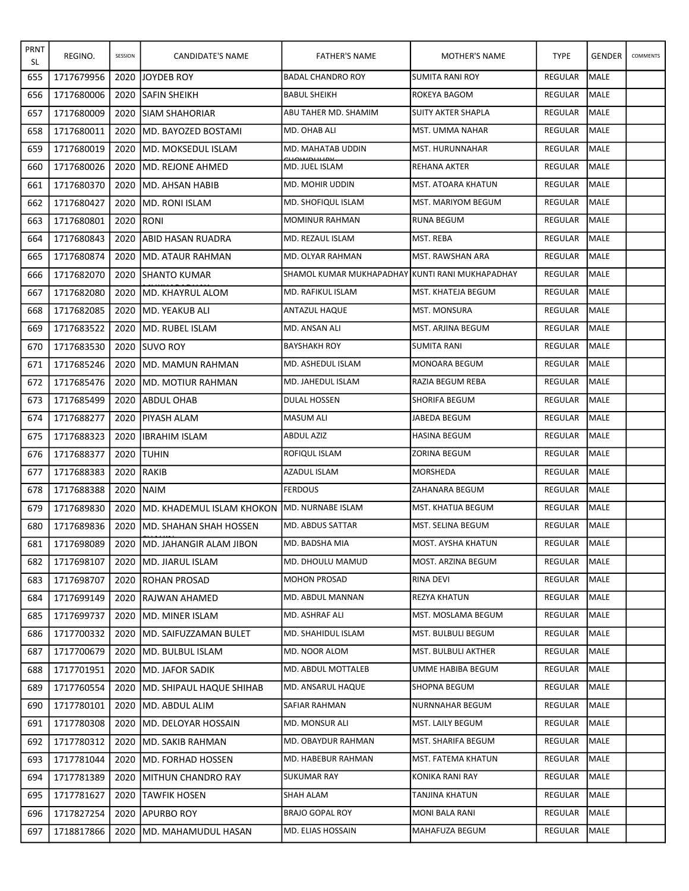| <b>PRNT</b><br>SL | REGINO.    | SESSION | CANDIDATE'S NAME                                     | <b>FATHER'S NAME</b>                            | MOTHER'S NAME             | <b>TYPE</b>    | <b>GENDER</b> | COMMENTS |
|-------------------|------------|---------|------------------------------------------------------|-------------------------------------------------|---------------------------|----------------|---------------|----------|
| 655               | 1717679956 | 2020    | <b>JOYDEB ROY</b>                                    | <b>BADAL CHANDRO ROY</b>                        | SUMITA RANI ROY           | <b>REGULAR</b> | <b>MALE</b>   |          |
| 656               | 1717680006 | 2020    | <b>SAFIN SHEIKH</b>                                  | <b>BABUL SHEIKH</b>                             | ROKEYA BAGOM              | REGULAR        | <b>MALE</b>   |          |
| 657               | 1717680009 | 2020    | <b>ISIAM SHAHORIAR</b>                               | ABU TAHER MD. SHAMIM                            | SUITY AKTER SHAPLA        | REGULAR        | <b>MALE</b>   |          |
| 658               | 1717680011 | 2020    | IMD. BAYOZED BOSTAMI                                 | MD. OHAB ALI                                    | MST. UMMA NAHAR           | REGULAR        | MALE          |          |
| 659               | 1717680019 | 2020    | IMD. MOKSEDUL ISLAM                                  | MD. MAHATAB UDDIN                               | MST. HURUNNAHAR           | REGULAR        | <b>MALE</b>   |          |
| 660               | 1717680026 | 2020    | <b>I</b> MD. REJONE AHMED                            | MD. JUEL ISLAM                                  | REHANA AKTER              | REGULAR        | <b>MALE</b>   |          |
| 661               | 1717680370 | 2020    | IMD. AHSAN HABIB                                     | MD. MOHIR UDDIN                                 | MST. ATOARA KHATUN        | REGULAR        | MALE          |          |
| 662               | 1717680427 | 2020    | <b>IMD. RONI ISLAM</b>                               | <b>MD. SHOFIQUL ISLAM</b>                       | MST. MARIYOM BEGUM        | <b>REGULAR</b> | <b>MALE</b>   |          |
| 663               | 1717680801 | 2020    | RONI                                                 | <b>MOMINUR RAHMAN</b>                           | <b>RUNA BEGUM</b>         | REGULAR        | <b>MALE</b>   |          |
| 664               | 1717680843 | 2020    | JABID HASAN RUADRA                                   | MD. REZAUL ISLAM                                | MST. REBA                 | REGULAR        | IMALE         |          |
| 665               | 1717680874 | 2020    | IMD. ATAUR RAHMAN                                    | MD. OLYAR RAHMAN                                | MST. RAWSHAN ARA          | REGULAR        | MALE          |          |
| 666               | 1717682070 | 2020    | <b>ISHANTO KUMAR</b>                                 | SHAMOL KUMAR MUKHAPADHAY KUNTI RANI MUKHAPADHAY |                           | REGULAR        | <b>MALE</b>   |          |
| 667               | 1717682080 | 2020    | <b>IMD. KHAYRUL ALOM</b>                             | MD. RAFIKUL ISLAM                               | MST. KHATEJA BEGUM        | REGULAR        | MALE          |          |
| 668               | 1717682085 | 2020    | <b>IMD. YEAKUB ALI</b>                               | <b>ANTAZUL HAQUE</b>                            | <b>MST. MONSURA</b>       | <b>REGULAR</b> | MALE          |          |
| 669               | 1717683522 | 2020    | IMD. RUBEL ISLAM                                     | MD. ANSAN ALI                                   | MST. ARJINA BEGUM         | REGULAR        | <b>MALE</b>   |          |
| 670               | 1717683530 | 2020    | <b>ISUVO ROY</b>                                     | BAYSHAKH ROY                                    | SUMITA RANI               | REGULAR        | <b>MALE</b>   |          |
| 671               | 1717685246 | 2020    | IMD. MAMUN RAHMAN                                    | MD. ASHEDUL ISLAM                               | MONOARA BEGUM             | REGULAR        | <b>MALE</b>   |          |
| 672               | 1717685476 | 2020    | IMD. MOTIUR RAHMAN                                   | MD. JAHEDUL ISLAM                               | RAZIA BEGUM REBA          | REGULAR        | <b>MALE</b>   |          |
| 673               | 1717685499 | 2020    | IABDUL OHAB                                          | DULAL HOSSEN                                    | <b>SHORIFA BEGUM</b>      | REGULAR        | <b>MALE</b>   |          |
| 674               | 1717688277 | 2020    | <b>IPIYASH ALAM</b>                                  | <b>MASUM ALI</b>                                | JABEDA BEGUM              | REGULAR        | MALE          |          |
| 675               | 1717688323 | 2020    | <b>IBRAHIM ISLAM</b>                                 | ABDUL AZIZ                                      | <b>HASINA BEGUM</b>       | REGULAR        | <b>MALE</b>   |          |
| 676               | 1717688377 | 2020    | <b>ITUHIN</b>                                        | ROFIQUL ISLAM                                   | ZORINA BEGUM              | <b>REGULAR</b> | <b>MALE</b>   |          |
| 677               | 1717688383 | 2020    | RAKIB                                                | AZADUL ISLAM                                    | MORSHEDA                  | REGULAR        | MALE          |          |
| 678               | 1717688388 | 2020    | <b>NAIM</b>                                          | <b>FERDOUS</b>                                  | ZAHANARA BEGUM            | REGULAR        | MALE          |          |
| 679               | 1717689830 | 2020    | <b>IMD. KHADEMUL ISLAM KHOKON IMD. NURNABE ISLAM</b> |                                                 | <b>MST. KHATIJA BEGUM</b> | REGULAR        | MALE          |          |
| 680               | 1717689836 | 2020    | IMD. SHAHAN SHAH HOSSEN                              | MD. ABDUS SATTAR                                | MST. SELINA BEGUM         | REGULAR        | MALE          |          |
| 681               | 1717698089 |         | 2020   MD. JAHANGIR ALAM JIBON                       | MD. BADSHA MIA                                  | MOST. AYSHA KHATUN        | REGULAR MALE   |               |          |
| 682               | 1717698107 |         | 2020 JMD. JIARUL ISLAM                               | MD. DHOULU MAMUD                                | MOST. ARZINA BEGUM        | REGULAR        | <b>MALE</b>   |          |
| 683               | 1717698707 | 2020    | <b>IROHAN PROSAD</b>                                 | <b>MOHON PROSAD</b>                             | RINA DEVI                 | REGULAR        | MALE          |          |
| 684               | 1717699149 | 2020    | <b>IRAJWAN AHAMED</b>                                | MD. ABDUL MANNAN                                | REZYA KHATUN              | REGULAR        | MALE          |          |
| 685               | 1717699737 | 2020    | <b>IMD. MINER ISLAM</b>                              | MD. ASHRAF ALI                                  | MST. MOSLAMA BEGUM        | REGULAR        | MALE          |          |
| 686               | 1717700332 | 2020    | IMD. SAIFUZZAMAN BULET                               | IMD. SHAHIDUL ISLAM                             | MST. BULBULI BEGUM        | REGULAR        | MALE          |          |
| 687               | 1717700679 | 2020    | <b>IMD. BULBUL ISLAM</b>                             | MD. NOOR ALOM                                   | MST. BULBULI AKTHER       | REGULAR        | MALE          |          |
| 688               | 1717701951 |         | 2020 JMD. JAFOR SADIK                                | MD. ABDUL MOTTALEB                              | UMME HABIBA BEGUM         | REGULAR        | <b>I</b> MALE |          |
| 689               | 1717760554 | 2020    | <b>MD. SHIPAUL HAQUE SHIHAB</b>                      | MD. ANSARUL HAQUE                               | SHOPNA BEGUM              | REGULAR        | MALE          |          |
| 690               | 1717780101 | 2020    | <b>IMD. ABDUL ALIM</b>                               | SAFIAR RAHMAN                                   | NURNNAHAR BEGUM           | REGULAR        | MALE          |          |
| 691               | 1717780308 | 2020    | <b>IMD. DELOYAR HOSSAIN</b>                          | MD. MONSUR ALI                                  | MST. LAILY BEGUM          | REGULAR        | <b>MALE</b>   |          |
| 692               | 1717780312 | 2020    | <b>MD. SAKIB RAHMAN</b>                              | MD. OBAYDUR RAHMAN                              | MST. SHARIFA BEGUM        | REGULAR        | MALE          |          |
| 693               | 1717781044 | 2020    | <b>IMD. FORHAD HOSSEN</b>                            | MD. HABEBUR RAHMAN                              | MST. FATEMA KHATUN        | REGULAR        | MALE          |          |
| 694               | 1717781389 | 2020    | <b>IMITHUN CHANDRO RAY</b>                           | <b>SUKUMAR RAY</b>                              | KONIKA RANI RAY           | REGULAR        | <b>MALE</b>   |          |
| 695               | 1717781627 | 2020    | <b>TAWFIK HOSEN</b>                                  | <b>SHAH ALAM</b>                                | TANJINA KHATUN            | REGULAR        | <b>MALE</b>   |          |
| 696               | 1717827254 | 2020    | <b>APURBO ROY</b>                                    | <b>BRAJO GOPAL ROY</b>                          | MONI BALA RANI            | REGULAR        | MALE          |          |
| 697               | 1718817866 |         | 2020   MD. MAHAMUDUL HASAN                           | MD. ELIAS HOSSAIN                               | MAHAFUZA BEGUM            | REGULAR        | MALE          |          |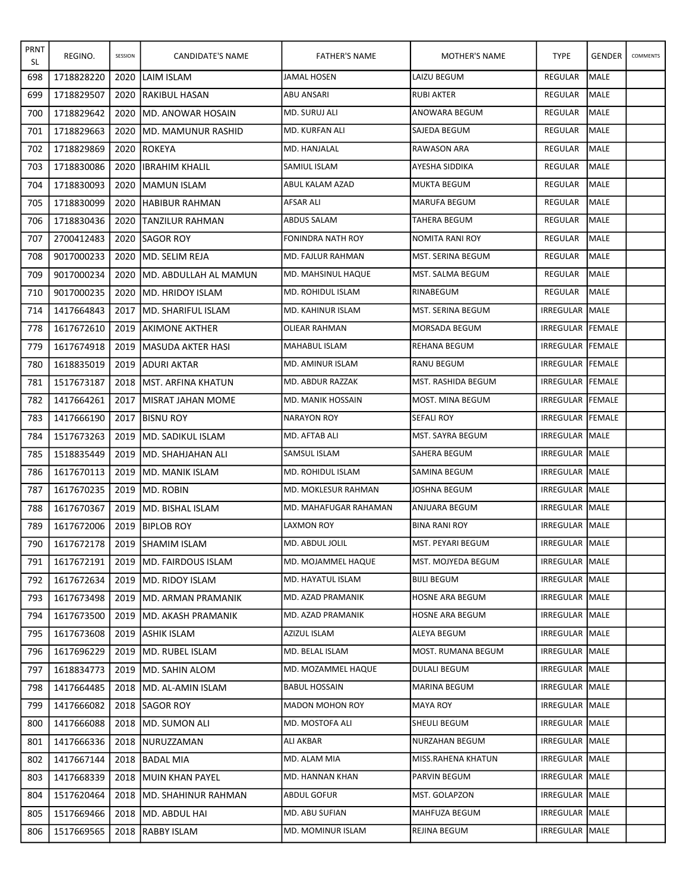| PRNT<br>SL | REGINO.    | SESSION | CANDIDATE'S NAME               | <b>FATHER'S NAME</b>     | MOTHER'S NAME       | <b>TYPE</b>             | <b>GENDER</b> | COMMENTS |
|------------|------------|---------|--------------------------------|--------------------------|---------------------|-------------------------|---------------|----------|
| 698        | 1718828220 | 2020    | <b>ILAIM ISLAM</b>             | JAMAL HOSEN              | LAIZU BEGUM         | REGULAR                 | <b>MALE</b>   |          |
| 699        | 1718829507 | 2020    | <b>IRAKIBUL HASAN</b>          | ABU ANSARI               | RUBI AKTER          | REGULAR                 | <b>MALE</b>   |          |
| 700        | 1718829642 | 2020    | <b>IMD. ANOWAR HOSAIN</b>      | MD. SURUJ ALI            | ANOWARA BEGUM       | REGULAR                 | <b>MALE</b>   |          |
| 701        | 1718829663 | 2020    | IMD. MAMUNUR RASHID            | MD. KURFAN ALI           | SAJEDA BEGUM        | REGULAR                 | <b>MALE</b>   |          |
| 702        | 1718829869 | 2020    | <b>IROKEYA</b>                 | MD. HANJALAL             | RAWASON ARA         | <b>REGULAR</b>          | <b>MALE</b>   |          |
| 703        | 1718830086 | 2020    | <b>IIBRAHIM KHALIL</b>         | <b>SAMIUL ISLAM</b>      | AYESHA SIDDIKA      | REGULAR                 | <b>MALE</b>   |          |
| 704        | 1718830093 | 2020    | IMAMUN ISLAM                   | ABUL KALAM AZAD          | <b>MUKTA BEGUM</b>  | REGULAR                 | MALE          |          |
| 705        | 1718830099 | 2020    | <b>HABIBUR RAHMAN</b>          | AFSAR ALI                | <b>MARUFA BEGUM</b> | REGULAR                 | <b>MALE</b>   |          |
| 706        | 1718830436 | 2020    | <b>ITANZILUR RAHMAN</b>        | ABDUS SALAM              | TAHERA BEGUM        | <b>REGULAR</b>          | <b>MALE</b>   |          |
| 707        | 2700412483 | 2020    | <b>ISAGOR ROY</b>              | FONINDRA NATH ROY        | NOMITA RANI ROY     | REGULAR                 | MALE          |          |
| 708        | 9017000233 | 2020    | <b>IMD. SELIM REJA</b>         | MD. FAJLUR RAHMAN        | MST. SERINA BEGUM   | REGULAR                 | <b>MALE</b>   |          |
| 709        | 9017000234 | 2020    | IMD. ABDULLAH AL MAMUN         | IMD. MAHSINUL HAQUE      | MST. SALMA BEGUM    | <b>REGULAR</b>          | <b>MALE</b>   |          |
| 710        | 9017000235 | 2020    | IMD. HRIDOY ISLAM              | MD. ROHIDUL ISLAM        | RINABEGUM           | REGULAR                 | MALE          |          |
| 714        | 1417664843 | 2017    | <b>IMD. SHARIFUL ISLAM</b>     | IMD. KAHINUR ISLAM       | MST. SERINA BEGUM   | IRREGULAR               | MALE          |          |
| 778        | 1617672610 | 2019    | <b>JAKIMONE AKTHER</b>         | <b>OLIEAR RAHMAN</b>     | MORSADA BEGUM       | IRREGULAR FEMALE        |               |          |
| 779        | 1617674918 | 2019    | <b>IMASUDA AKTER HASI</b>      | MAHABUL ISLAM            | REHANA BEGUM        | <b>IRREGULAR FEMALE</b> |               |          |
| 780        | 1618835019 | 2019    | JADURI AKTAR                   | MD. AMINUR ISLAM         | RANU BEGUM          | IRREGULAR FEMALE        |               |          |
| 781        | 1517673187 |         | 2018 IMST. ARFINA KHATUN       | MD. ABDUR RAZZAK         | MST. RASHIDA BEGUM  | IRREGULAR FEMALE        |               |          |
| 782        | 1417664261 | 2017    | <b>IMISRAT JAHAN MOME</b>      | <b>MD. MANIK HOSSAIN</b> | MOST. MINA BEGUM    | IRREGULAR FEMALE        |               |          |
| 783        | 1417666190 | 2017    | <b>IBISNU ROY</b>              | NARAYON ROY              | SEFALI ROY          | IRREGULAR FEMALE        |               |          |
| 784        | 1517673263 | 2019    | <b>IMD. SADIKUL ISLAM</b>      | MD. AFTAB ALI            | MST. SAYRA BEGUM    | IRREGULAR MALE          |               |          |
| 785        | 1518835449 | 2019    | IMD. SHAHJAHAN ALI             | SAMSUL ISLAM             | SAHERA BEGUM        | IRREGULAR MALE          |               |          |
| 786        | 1617670113 | 2019    | <b>IMD. MANIK ISLAM</b>        | MD. ROHIDUL ISLAM        | SAMINA BEGUM        | IRREGULAR MALE          |               |          |
| 787        | 1617670235 | 2019    | IMD. ROBIN                     | MD. MOKLESUR RAHMAN      | JOSHNA BEGUM        | IRREGULAR MALE          |               |          |
| 788        | 1617670367 | 2019    | IMD. BISHAL ISLAM              | MD. MAHAFUGAR RAHAMAN    | ANJUARA BEGUM       | <b>IRREGULAR IMALE</b>  |               |          |
| 789        | 1617672006 |         | 2019   BIPLOB ROY              | LAXMON ROY               | BINA RANI ROY       | <b>IRREGULAR MALE</b>   |               |          |
| 790        |            |         | 1617672178   2019 SHAMIM ISLAM | MD. ABDUL JOLIL          | MST. PEYARI BEGUM   | IRREGULAR MALE          |               |          |
| 791        | 1617672191 |         | 2019 JMD. FAIRDOUS ISLAM       | MD. MOJAMMEL HAQUE       | MST. MOJYEDA BEGUM  | IRREGULAR   MALE        |               |          |
| 792        | 1617672634 |         | 2019   MD. RIDOY ISLAM         | MD. HAYATUL ISLAM        | <b>BIJLI BEGUM</b>  | IRREGULAR MALE          |               |          |
| 793        | 1617673498 |         | 2019 JMD. ARMAN PRAMANIK       | MD. AZAD PRAMANIK        | HOSNE ARA BEGUM     | IRREGULAR MALE          |               |          |
| 794        | 1617673500 | 2019    | <b>IMD. AKASH PRAMANIK</b>     | MD. AZAD PRAMANIK        | HOSNE ARA BEGUM     | IRREGULAR MALE          |               |          |
| 795        | 1617673608 |         | 2019 ASHIK ISLAM               | AZIZUL ISLAM             | ALEYA BEGUM         | IRREGULAR   MALE        |               |          |
| 796        | 1617696229 |         | 2019 JMD. RUBEL ISLAM          | MD. BELAL ISLAM          | MOST. RUMANA BEGUM  | IRREGULAR MALE          |               |          |
| 797        | 1618834773 | 2019    | IMD. SAHIN ALOM                | MD. MOZAMMEL HAQUE       | DULALI BEGUM        | IRREGULAR MALE          |               |          |
| 798        | 1417664485 |         | 2018 JMD. AL-AMIN ISLAM        | <b>BABUL HOSSAIN</b>     | MARINA BEGUM        | IRREGULAR   MALE        |               |          |
| 799        | 1417666082 |         | 2018 SAGOR ROY                 | MADON MOHON ROY          | MAYA ROY            | IRREGULAR MALE          |               |          |
| 800        | 1417666088 |         | 2018 JMD. SUMON ALI            | MD. MOSTOFA ALI          | SHEULI BEGUM        | IRREGULAR MALE          |               |          |
| 801        | 1417666336 |         | 2018 INURUZZAMAN               | ALI AKBAR                | NURZAHAN BEGUM      | IRREGULAR MALE          |               |          |
| 802        | 1417667144 |         | 2018   BADAL MIA               | MD. ALAM MIA             | MISS.RAHENA KHATUN  | IRREGULAR MALE          |               |          |
| 803        | 1417668339 |         | 2018 MUIN KHAN PAYEL           | MD. HANNAN KHAN          | PARVIN BEGUM        | IRREGULAR MALE          |               |          |
| 804        | 1517620464 |         | 2018 IMD. SHAHINUR RAHMAN      | ABDUL GOFUR              | MST. GOLAPZON       | IRREGULAR MALE          |               |          |
| 805        | 1517669466 |         | 2018 JMD. ABDUL HAI            | MD. ABU SUFIAN           | MAHFUZA BEGUM       | IRREGULAR MALE          |               |          |
| 806        | 1517669565 |         | 2018  RABBY ISLAM              | MD. MOMINUR ISLAM        | REJINA BEGUM        | IRREGULAR MALE          |               |          |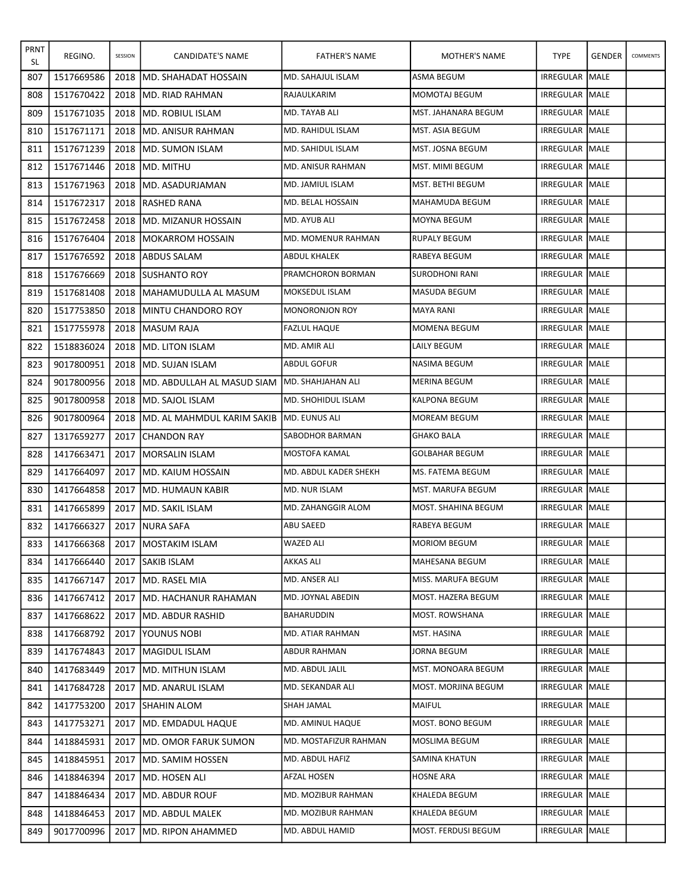| <b>PRNT</b><br>SL | REGINO.    | SESSION | CANDIDATE'S NAME             | <b>FATHER'S NAME</b>      | MOTHER'S NAME         | <b>TYPE</b>            | <b>GENDER</b> | COMMENTS |
|-------------------|------------|---------|------------------------------|---------------------------|-----------------------|------------------------|---------------|----------|
| 807               | 1517669586 | 2018    | IMD. SHAHADAT HOSSAIN        | MD. SAHAJUL ISLAM         | <b>ASMA BEGUM</b>     | IRREGULAR              | MALE          |          |
| 808               | 1517670422 | 2018    | <b>IMD. RIAD RAHMAN</b>      | RAJAULKARIM               | MOMOTAJ BEGUM         | IRREGULAR MALE         |               |          |
| 809               | 1517671035 |         | 2018 JMD. ROBIUL ISLAM       | MD. TAYAB ALI             | MST. JAHANARA BEGUM   | <b>IRREGULAR IMALE</b> |               |          |
| 810               | 1517671171 | 2018    | IMD. ANISUR RAHMAN           | MD. RAHIDUL ISLAM         | MST. ASIA BEGUM       | IRREGULAR MALE         |               |          |
| 811               | 1517671239 | 2018    | <b>IMD. SUMON ISLAM</b>      | IMD. SAHIDUL ISLAM        | MST. JOSNA BEGUM      | <b>IRREGULAR MALE</b>  |               |          |
| 812               | 1517671446 | 2018    | IMD. MITHU                   | MD. ANISUR RAHMAN         | MST. MIMI BEGUM       | <b>IRREGULAR IMALE</b> |               |          |
| 813               | 1517671963 | 2018    | <b>IMD. ASADURJAMAN</b>      | MD. JAMIUL ISLAM          | MST. BETHI BEGUM      | IRREGULAR MALE         |               |          |
| 814               | 1517672317 | 2018    | IRASHED RANA                 | MD. BELAL HOSSAIN         | MAHAMUDA BEGUM        | <b>IRREGULAR MALE</b>  |               |          |
| 815               | 1517672458 | 2018    | IMD. MIZANUR HOSSAIN         | MD. AYUB ALI              | <b>MOYNA BEGUM</b>    | IRREGULAR MALE         |               |          |
| 816               | 1517676404 | 2018    | <b>IMOKARROM HOSSAIN</b>     | MD. MOMENUR RAHMAN        | <b>RUPALY BEGUM</b>   | IRREGULAR MALE         |               |          |
| 817               | 1517676592 | 2018    | <b>JABDUS SALAM</b>          | <b>ABDUL KHALEK</b>       | RABEYA BEGUM          | <b>IRREGULAR MALE</b>  |               |          |
| 818               | 1517676669 |         | 2018 ISUSHANTO ROY           | PRAMCHORON BORMAN         | <b>SURODHONI RANI</b> | <b>IRREGULAR IMALE</b> |               |          |
| 819               | 1517681408 | 2018    | <b>IMAHAMUDULLA AL MASUM</b> | <b>MOKSEDUL ISLAM</b>     | MASUDA BEGUM          | IRREGULAR MALE         |               |          |
| 820               | 1517753850 | 2018    | <b>IMINTU CHANDORO ROY</b>   | IMONORONJON ROY           | <b>MAYA RANI</b>      | <b>IRREGULAR MALE</b>  |               |          |
| 821               | 1517755978 | 2018    | <b>IMASUM RAJA</b>           | <b>FAZLUL HAQUE</b>       | MOMENA BEGUM          | IRREGULAR MALE         |               |          |
| 822               | 1518836024 | 2018    | <b>IMD. LITON ISLAM</b>      | MD. AMIR ALI              | LAILY BEGUM           | <b>IRREGULAR IMALE</b> |               |          |
| 823               | 9017800951 | 2018    | IMD. SUJAN ISLAM             | <b>ABDUL GOFUR</b>        | <b>NASIMA BEGUM</b>   | <b>IRREGULAR MALE</b>  |               |          |
| 824               | 9017800956 | 2018    | IMD. ABDULLAH AL MASUD SIAM  | MD. SHAHJAHAN ALI         | <b>MERINA BEGUM</b>   | <b>IRREGULAR MALE</b>  |               |          |
| 825               | 9017800958 | 2018    | <b>IMD. SAJOL ISLAM</b>      | MD. SHOHIDUL ISLAM        | <b>KALPONA BEGUM</b>  | <b>IRREGULAR MALE</b>  |               |          |
| 826               | 9017800964 | 2018    | IMD. AL MAHMDUL KARIM SAKIB  | <b>MD. EUNUS ALI</b>      | <b>MOREAM BEGUM</b>   | IRREGULAR MALE         |               |          |
| 827               | 1317659277 | 2017    | <b>ICHANDON RAY</b>          | <b>SABODHOR BARMAN</b>    | <b>GHAKO BALA</b>     | <b>IRREGULAR MALE</b>  |               |          |
| 828               | 1417663471 | 2017    | <b>IMORSALIN ISLAM</b>       | MOSTOFA KAMAL             | <b>GOLBAHAR BEGUM</b> | IRREGULAR MALE         |               |          |
| 829               | 1417664097 | 2017    | <b>IMD. KAIUM HOSSAIN</b>    | MD. ABDUL KADER SHEKH     | MS. FATEMA BEGUM      | IRREGULAR MALE         |               |          |
| 830               | 1417664858 | 2017    | <b>MD. HUMAUN KABIR</b>      | MD. NUR ISLAM             | MST. MARUFA BEGUM     | <b>IRREGULAR MALE</b>  |               |          |
| 831               | 1417665899 | 2017    | <b>JMD. SAKIL ISLAM</b>      | <b>MD. ZAHANGGIR ALOM</b> | MOST. SHAHINA BEGUM   | <b>IRREGULAR IMALE</b> |               |          |
| 832               | 1417666327 | 2017    | NURA SAFA                    | <b>ABU SAEED</b>          | RABEYA BEGUM          | IRREGULAR MALE         |               |          |
| 833               | 1417666368 |         | 2017   MOSTAKIM ISLAM        | <b>WAZED ALI</b>          | <b>MORIOM BEGUM</b>   | IRREGULAR MALE         |               |          |
| 834               | 1417666440 |         | 2017 ISAKIB ISLAM            | AKKAS ALI                 | MAHESANA BEGUM        | IRREGULAR   MALE       |               |          |
| 835               | 1417667147 | 2017    | IMD. RASEL MIA               | MD. ANSER ALI             | MISS. MARUFA BEGUM    | IRREGULAR MALE         |               |          |
| 836               | 1417667412 | 2017    | <b>JMD. HACHANUR RAHAMAN</b> | MD. JOYNAL ABEDIN         | MOST. HAZERA BEGUM    | IRREGULAR MALE         |               |          |
| 837               | 1417668622 | 2017    | <b>IMD. ABDUR RASHID</b>     | BAHARUDDIN                | MOST. ROWSHANA        | IRREGULAR MALE         |               |          |
| 838               | 1417668792 | 2017    | <b>YOUNUS NOBI</b>           | MD. ATIAR RAHMAN          | MST. HASINA           | IRREGULAR MALE         |               |          |
| 839               | 1417674843 | 2017    | <b>MAGIDUL ISLAM</b>         | ABDUR RAHMAN              | JORNA BEGUM           | IRREGULAR MALE         |               |          |
| 840               | 1417683449 | 2017    | IMD. MITHUN ISLAM            | MD. ABDUL JALIL           | MST. MONOARA BEGUM    | IRREGULAR MALE         |               |          |
| 841               | 1417684728 | 2017    | <b>IMD. ANARUL ISLAM</b>     | MD. SEKANDAR ALI          | MOST. MORJINA BEGUM   | IRREGULAR MALE         |               |          |
| 842               | 1417753200 | 2017    | <b>SHAHIN ALOM</b>           | SHAH JAMAL                | MAIFUL                | IRREGULAR MALE         |               |          |
| 843               | 1417753271 | 2017    | IMD. EMDADUL HAQUE           | MD. AMINUL HAQUE          | MOST. BONO BEGUM      | IRREGULAR MALE         |               |          |
| 844               | 1418845931 | 2017    | IMD. OMOR FARUK SUMON        | MD. MOSTAFIZUR RAHMAN     | MOSLIMA BEGUM         | IRREGULAR MALE         |               |          |
| 845               | 1418845951 | 2017    | <b>IMD. SAMIM HOSSEN</b>     | MD. ABDUL HAFIZ           | SAMINA KHATUN         | IRREGULAR MALE         |               |          |
| 846               | 1418846394 | 2017    | <b>IMD. HOSEN ALI</b>        | AFZAL HOSEN               | <b>HOSNE ARA</b>      | IRREGULAR   MALE       |               |          |
| 847               | 1418846434 | 2017    | <b>IMD. ABDUR ROUF</b>       | MD. MOZIBUR RAHMAN        | KHALEDA BEGUM         | IRREGULAR MALE         |               |          |
| 848               | 1418846453 | 2017    | <b>IMD. ABDUL MALEK</b>      | MD. MOZIBUR RAHMAN        | KHALEDA BEGUM         | IRREGULAR MALE         |               |          |
| 849               | 9017700996 | 2017    | IMD. RIPON AHAMMED           | MD. ABDUL HAMID           | MOST. FERDUSI BEGUM   | IRREGULAR MALE         |               |          |